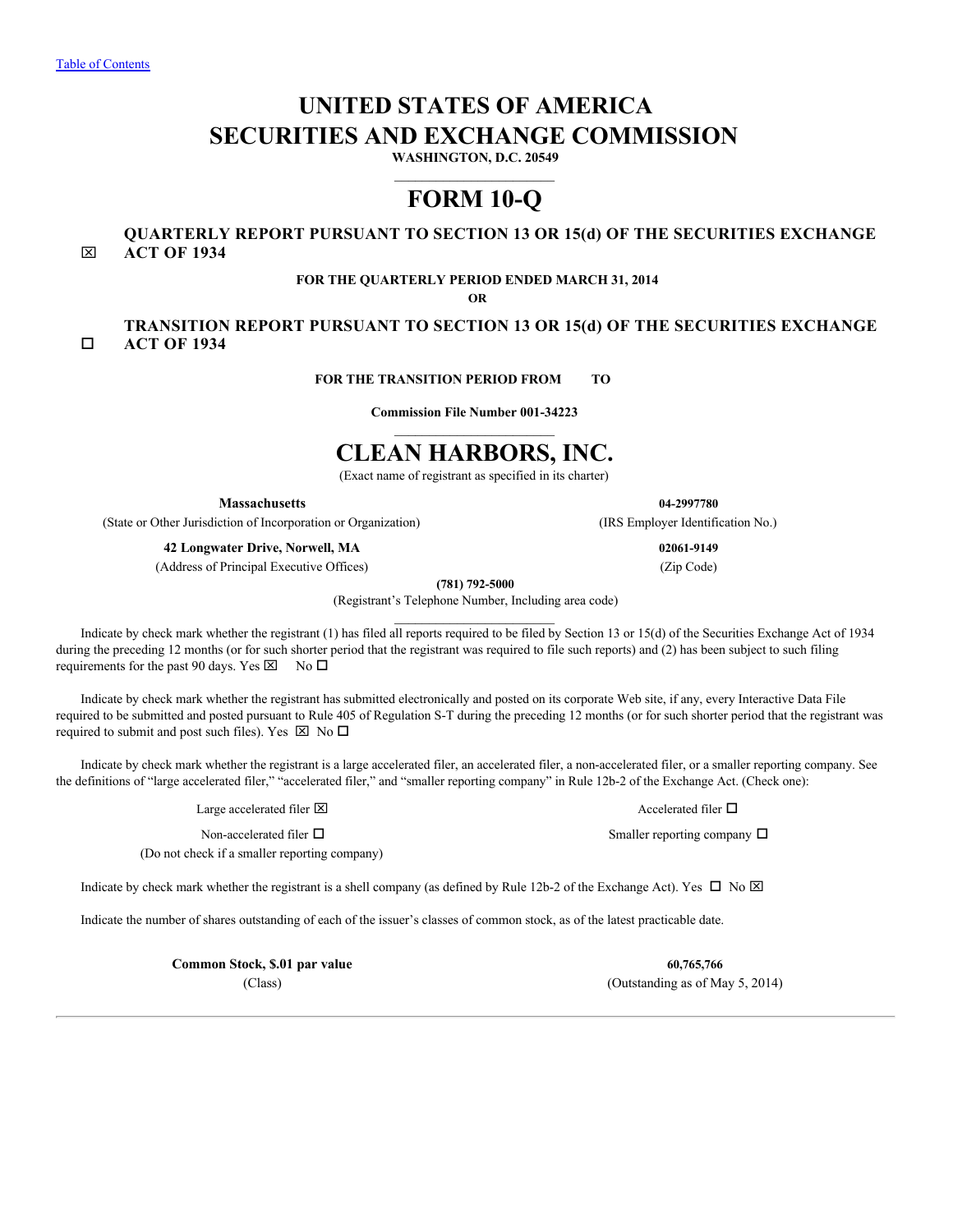o

# **UNITED STATES OF AMERICA SECURITIES AND EXCHANGE COMMISSION**

**WASHINGTON, D.C. 20549**  $\mathcal{L}_\text{max}$ 

# **FORM 10-Q**

#### x **QUARTERLY REPORT PURSUANT TO SECTION 13 OR 15(d) OF THE SECURITIES EXCHANGE ACT OF 1934**

#### **FOR THE QUARTERLY PERIOD ENDED MARCH 31, 2014**

**OR**

# **TRANSITION REPORT PURSUANT TO SECTION 13 OR 15(d) OF THE SECURITIES EXCHANGE ACT OF 1934**

**FOR THE TRANSITION PERIOD FROM TO** 

**Commission File Number 001-34223**

# **CLEAN HARBORS, INC.**

(Exact name of registrant as specified in its charter)

**Massachusetts 04-2997780**

(State or Other Jurisdiction of Incorporation or Organization) (IRS Employer Identification No.)

**42 Longwater Drive, Norwell, MA 02061-9149**

(Address of Principal Executive Offices) (Zip Code)

**(781) 792-5000**

(Registrant's Telephone Number, Including area code)

Indicate by check mark whether the registrant (1) has filed all reports required to be filed by Section 13 or 15(d) of the Securities Exchange Act of 1934 during the preceding 12 months (or for such shorter period that the registrant was required to file such reports) and (2) has been subject to such filing requirements for the past 90 days. Yes  $\boxtimes$  No  $\square$ 

Indicate by check mark whether the registrant has submitted electronically and posted on its corporate Web site, if any, every Interactive Data File required to be submitted and posted pursuant to Rule 405 of Regulation S-T during the preceding 12 months (or for such shorter period that the registrant was required to submit and post such files). Yes  $\boxtimes$  No  $\square$ 

Indicate by check mark whether the registrant is a large accelerated filer, an accelerated filer, a non-accelerated filer, or a smaller reporting company. See the definitions of "large accelerated filer," "accelerated filer," and "smaller reporting company" in Rule 12b-2 of the Exchange Act. (Check one):

Large accelerated filer  $\boxtimes$ 

(Do not check if a smaller reporting company)

Indicate by check mark whether the registrant is a shell company (as defined by Rule 12b-2 of the Exchange Act). Yes  $\Box$  No  $\boxtimes$ 

Indicate the number of shares outstanding of each of the issuer's classes of common stock, as of the latest practicable date.

**Common Stock, \$.01 par value** 60,765,766

(Class) (Outstanding as of May 5, 2014)

Non-accelerated filer  $\Box$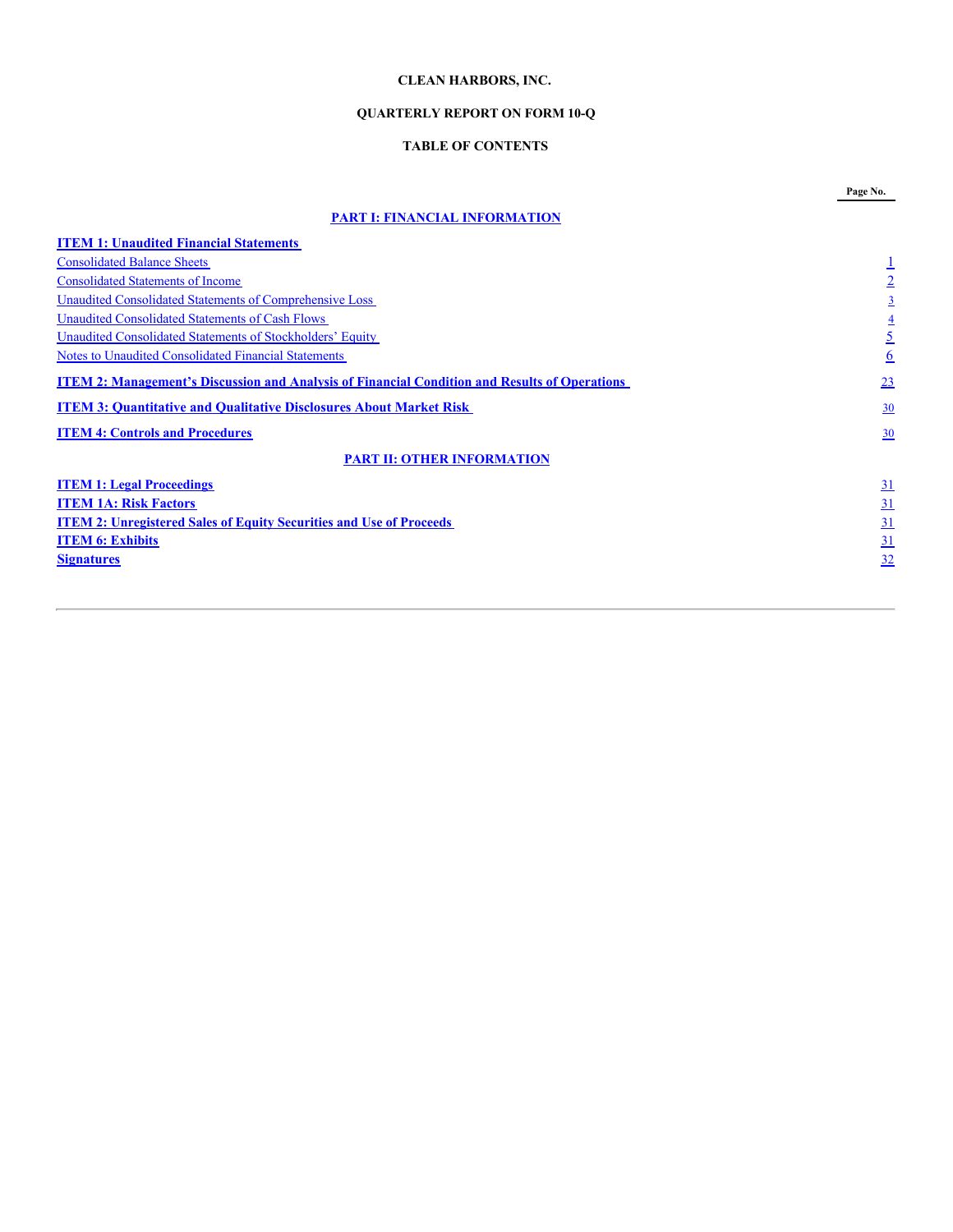# **CLEAN HARBORS, INC.**

# **QUARTERLY REPORT ON FORM 10-Q**

# **TABLE OF CONTENTS**

**Page No.**

# **PART I: FINANCIAL INFORMATION**

<span id="page-1-0"></span>

| <b>ITEM 1: Unaudited Financial Statements</b>                                                        |                  |
|------------------------------------------------------------------------------------------------------|------------------|
| <b>Consolidated Balance Sheets</b>                                                                   |                  |
| <b>Consolidated Statements of Income</b>                                                             | $\overline{2}$   |
| Unaudited Consolidated Statements of Comprehensive Loss                                              |                  |
| Unaudited Consolidated Statements of Cash Flows                                                      | $\overline{4}$   |
| Unaudited Consolidated Statements of Stockholders' Equity                                            | <u>5</u>         |
| Notes to Unaudited Consolidated Financial Statements                                                 | $\underline{6}$  |
| <b>ITEM 2: Management's Discussion and Analysis of Financial Condition and Results of Operations</b> | 23               |
| <b>ITEM 3: Quantitative and Qualitative Disclosures About Market Risk</b>                            | $\frac{30}{2}$   |
| <b>ITEM 4: Controls and Procedures</b>                                                               | $\underline{30}$ |
| <b>PART II: OTHER INFORMATION</b>                                                                    |                  |
| <b>ITEM 1: Legal Proceedings</b>                                                                     | $\underline{31}$ |
| <b>ITEM 1A: Risk Factors</b>                                                                         | 31               |
| <b>ITEM 2: Unregistered Sales of Equity Securities and Use of Proceeds</b>                           | 31               |
| <b>ITEM 6: Exhibits</b>                                                                              | 31               |
| <b>Signatures</b>                                                                                    | 32               |
|                                                                                                      |                  |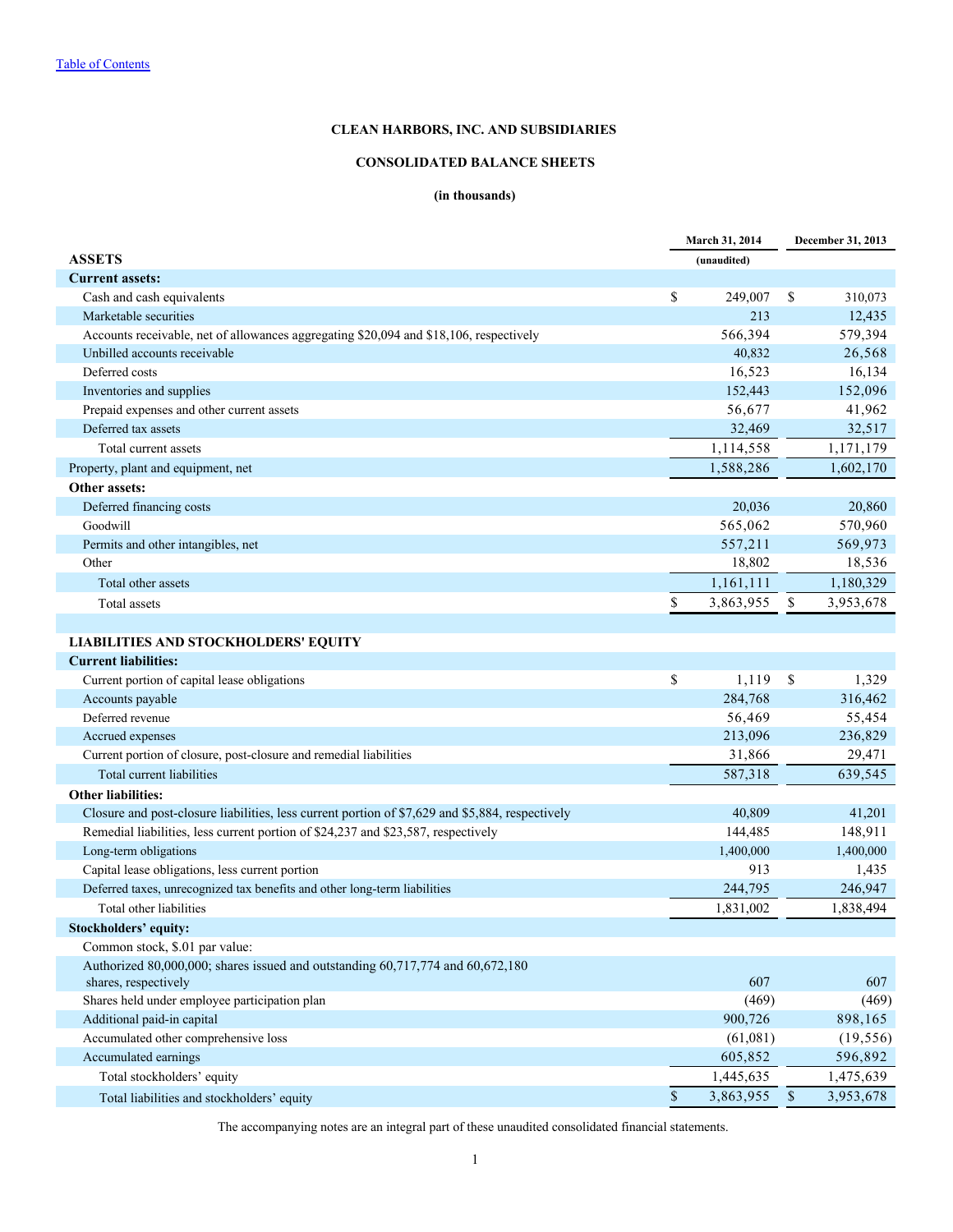## **CONSOLIDATED BALANCE SHEETS**

## **(in thousands)**

<span id="page-2-0"></span>

|                                                                                                 | March 31, 2014 |             |               | December 31, 2013 |
|-------------------------------------------------------------------------------------------------|----------------|-------------|---------------|-------------------|
| <b>ASSETS</b>                                                                                   |                | (unaudited) |               |                   |
| <b>Current assets:</b>                                                                          |                |             |               |                   |
| Cash and cash equivalents                                                                       | \$             | 249,007     | S             | 310,073           |
| Marketable securities                                                                           |                | 213         |               | 12,435            |
| Accounts receivable, net of allowances aggregating \$20,094 and \$18,106, respectively          |                | 566,394     |               | 579,394           |
| Unbilled accounts receivable                                                                    |                | 40,832      |               | 26,568            |
| Deferred costs                                                                                  |                | 16,523      |               | 16,134            |
| Inventories and supplies                                                                        |                | 152,443     |               | 152,096           |
| Prepaid expenses and other current assets                                                       |                | 56,677      |               | 41,962            |
| Deferred tax assets                                                                             |                | 32,469      |               | 32,517            |
| Total current assets                                                                            |                | 1,114,558   |               | 1,171,179         |
| Property, plant and equipment, net                                                              |                | 1,588,286   |               | 1,602,170         |
| Other assets:                                                                                   |                |             |               |                   |
| Deferred financing costs                                                                        |                | 20,036      |               | 20,860            |
| Goodwill                                                                                        |                | 565,062     |               | 570,960           |
| Permits and other intangibles, net                                                              |                | 557,211     |               | 569,973           |
| Other                                                                                           |                | 18,802      |               | 18,536            |
| Total other assets                                                                              |                | 1,161,111   |               | 1,180,329         |
| Total assets                                                                                    | \$             | 3,863,955   | \$            | 3,953,678         |
|                                                                                                 |                |             |               |                   |
| <b>LIABILITIES AND STOCKHOLDERS' EQUITY</b>                                                     |                |             |               |                   |
| <b>Current liabilities:</b>                                                                     |                |             |               |                   |
| Current portion of capital lease obligations                                                    | \$             | 1,119       | <sup>\$</sup> | 1,329             |
| Accounts payable                                                                                |                | 284,768     |               | 316,462           |
| Deferred revenue                                                                                |                | 56,469      |               | 55,454            |
| Accrued expenses                                                                                |                | 213,096     |               | 236,829           |
| Current portion of closure, post-closure and remedial liabilities                               |                | 31,866      |               | 29,471            |
| Total current liabilities                                                                       |                | 587,318     |               | 639,545           |
| <b>Other liabilities:</b>                                                                       |                |             |               |                   |
| Closure and post-closure liabilities, less current portion of \$7,629 and \$5,884, respectively |                | 40,809      |               | 41,201            |
| Remedial liabilities, less current portion of \$24,237 and \$23,587, respectively               |                | 144,485     |               | 148,911           |
| Long-term obligations                                                                           |                | 1,400,000   |               | 1,400,000         |
| Capital lease obligations, less current portion                                                 |                | 913         |               | 1,435             |
| Deferred taxes, unrecognized tax benefits and other long-term liabilities                       |                | 244,795     |               | 246,947           |
| Total other liabilities                                                                         |                | 1,831,002   |               | 1,838,494         |
| Stockholders' equity:                                                                           |                |             |               |                   |
| Common stock, \$.01 par value:                                                                  |                |             |               |                   |
| Authorized 80,000,000; shares issued and outstanding 60,717,774 and 60,672,180                  |                |             |               |                   |
| shares, respectively                                                                            |                | 607         |               | 607               |
| Shares held under employee participation plan                                                   |                | (469)       |               | (469)             |
| Additional paid-in capital                                                                      |                | 900,726     |               | 898,165           |
| Accumulated other comprehensive loss                                                            |                | (61,081)    |               | (19, 556)         |
| Accumulated earnings                                                                            |                | 605,852     |               | 596,892           |
| Total stockholders' equity                                                                      |                | 1,445,635   |               | 1,475,639         |
| Total liabilities and stockholders' equity                                                      | $\mathbb{S}$   | 3,863,955   | $\$$          | 3,953,678         |

The accompanying notes are an integral part of these unaudited consolidated financial statements.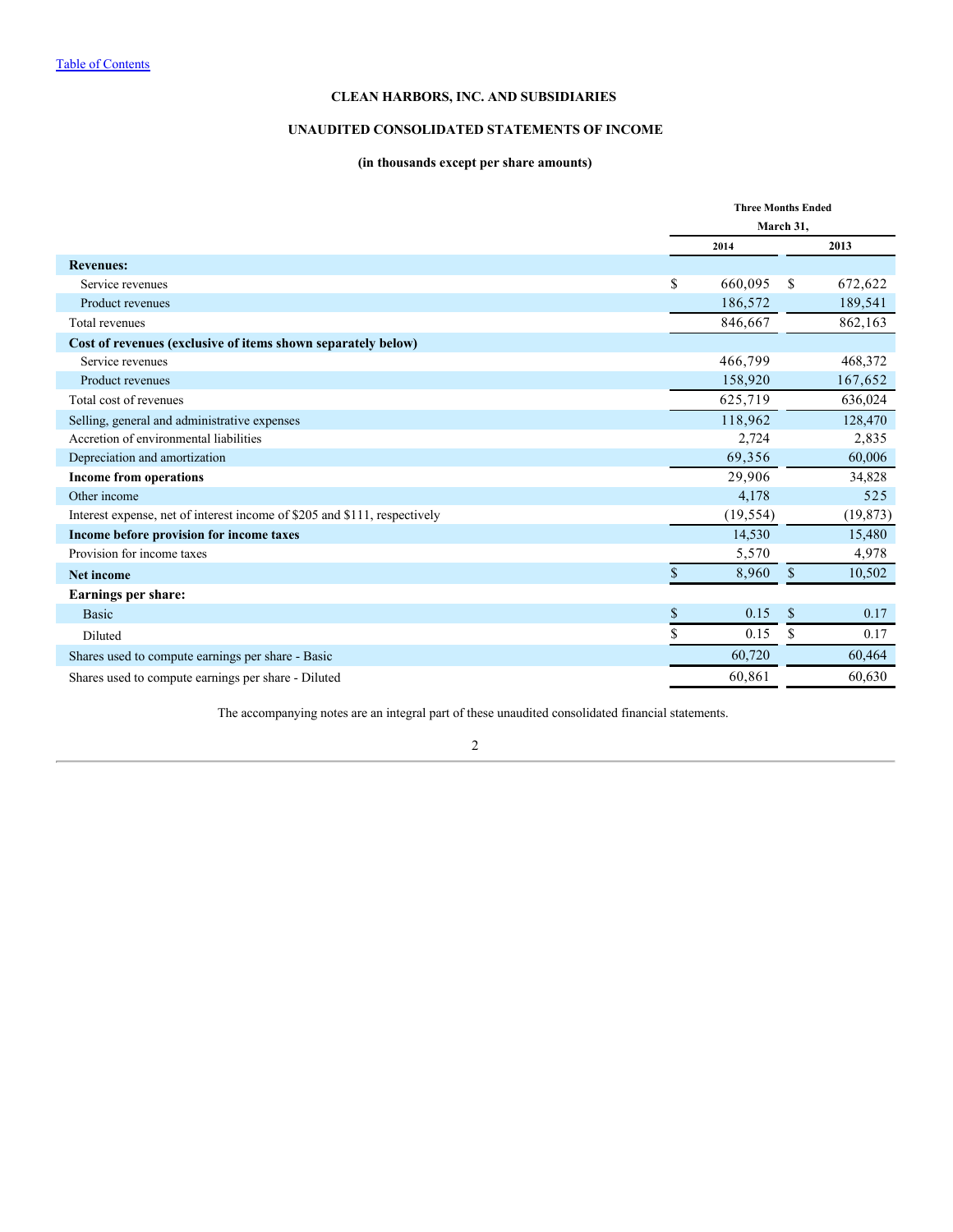# **UNAUDITED CONSOLIDATED STATEMENTS OF INCOME**

## **(in thousands except per share amounts)**

<span id="page-4-0"></span>

|                                                                           | <b>Three Months Ended</b><br>March 31, |           |              |           |
|---------------------------------------------------------------------------|----------------------------------------|-----------|--------------|-----------|
|                                                                           |                                        |           |              |           |
|                                                                           |                                        | 2014      |              | 2013      |
| <b>Revenues:</b>                                                          |                                        |           |              |           |
| Service revenues                                                          | \$                                     | 660,095   | \$           | 672,622   |
| Product revenues                                                          |                                        | 186,572   |              | 189,541   |
| Total revenues                                                            |                                        | 846,667   |              | 862,163   |
| Cost of revenues (exclusive of items shown separately below)              |                                        |           |              |           |
| Service revenues                                                          |                                        | 466,799   |              | 468,372   |
| Product revenues                                                          |                                        | 158,920   |              | 167,652   |
| Total cost of revenues                                                    |                                        | 625,719   |              | 636,024   |
| Selling, general and administrative expenses                              |                                        | 118,962   |              | 128,470   |
| Accretion of environmental liabilities                                    |                                        | 2,724     |              | 2,835     |
| Depreciation and amortization                                             |                                        | 69,356    |              | 60,006    |
| <b>Income from operations</b>                                             |                                        | 29,906    |              | 34,828    |
| Other income                                                              |                                        | 4,178     |              | 525       |
| Interest expense, net of interest income of \$205 and \$111, respectively |                                        | (19, 554) |              | (19, 873) |
| Income before provision for income taxes                                  |                                        | 14,530    |              | 15,480    |
| Provision for income taxes                                                |                                        | 5,570     |              | 4,978     |
| Net income                                                                | \$                                     | 8,960     | $\mathbb{S}$ | 10,502    |
| <b>Earnings per share:</b>                                                |                                        |           |              |           |
| <b>Basic</b>                                                              | \$                                     | 0.15      | $\mathbb{S}$ | 0.17      |
| Diluted                                                                   | \$                                     | 0.15      | \$           | 0.17      |
| Shares used to compute earnings per share - Basic                         |                                        | 60,720    |              | 60,464    |
| Shares used to compute earnings per share - Diluted                       |                                        | 60,861    |              | 60,630    |

The accompanying notes are an integral part of these unaudited consolidated financial statements.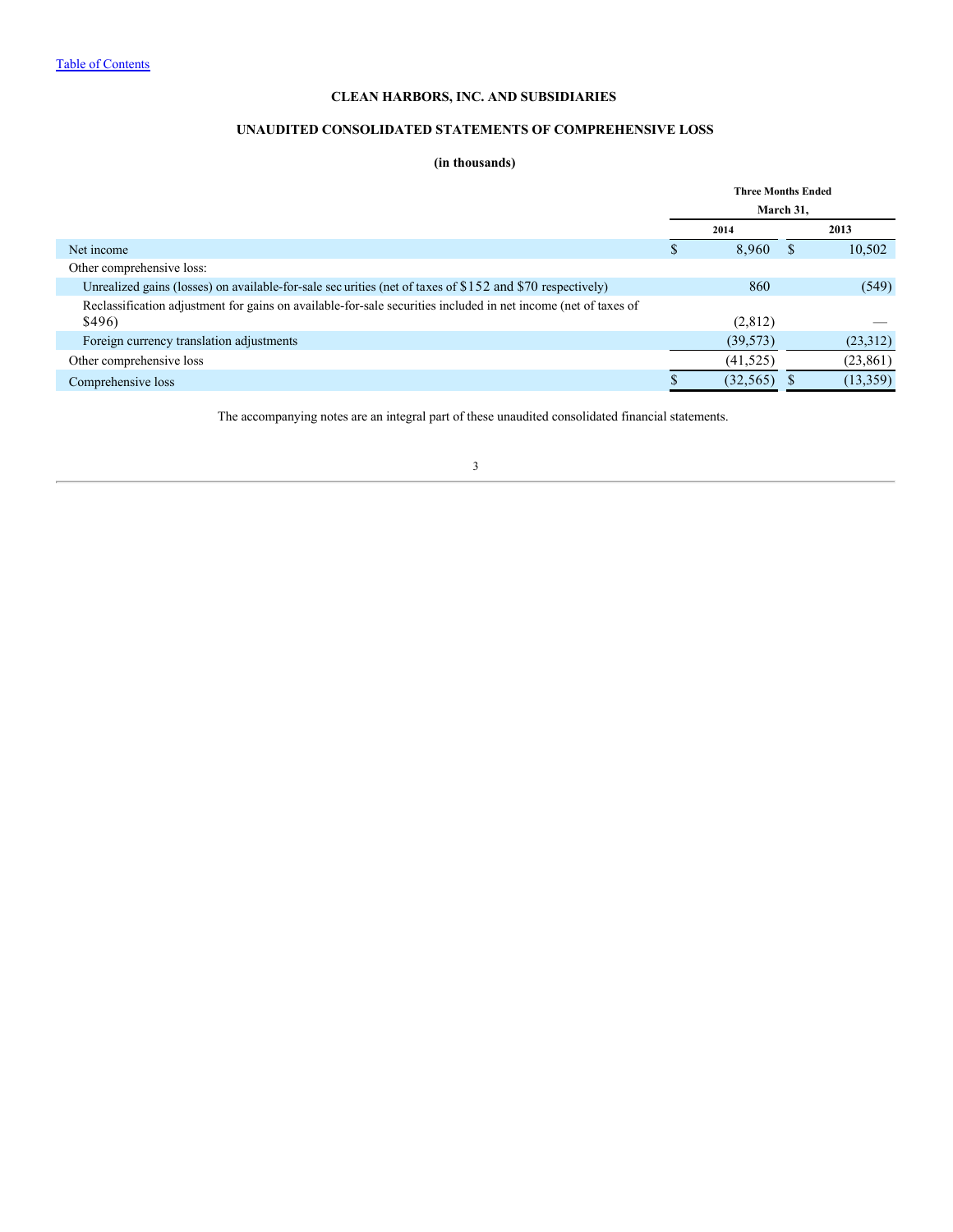# **UNAUDITED CONSOLIDATED STATEMENTS OF COMPREHENSIVE LOSS**

## **(in thousands)**

<span id="page-5-0"></span>

|                                                                                                                | <b>Three Months Ended</b> |           |    |           |
|----------------------------------------------------------------------------------------------------------------|---------------------------|-----------|----|-----------|
|                                                                                                                | March 31.                 |           |    |           |
|                                                                                                                |                           | 2014      |    | 2013      |
| Net income                                                                                                     |                           | 8,960     | S. | 10,502    |
| Other comprehensive loss:                                                                                      |                           |           |    |           |
| Unrealized gains (losses) on available-for-sale securities (net of taxes of $$152$ and $$70$ respectively)     |                           | 860       |    | (549)     |
| Reclassification adjustment for gains on available-for-sale securities included in net income (net of taxes of |                           |           |    |           |
| \$496)                                                                                                         |                           | (2,812)   |    |           |
| Foreign currency translation adjustments                                                                       |                           | (39, 573) |    | (23,312)  |
| Other comprehensive loss                                                                                       |                           | (41, 525) |    | (23, 861) |
| Comprehensive loss                                                                                             |                           | (32, 565) |    | (13, 359) |

The accompanying notes are an integral part of these unaudited consolidated financial statements.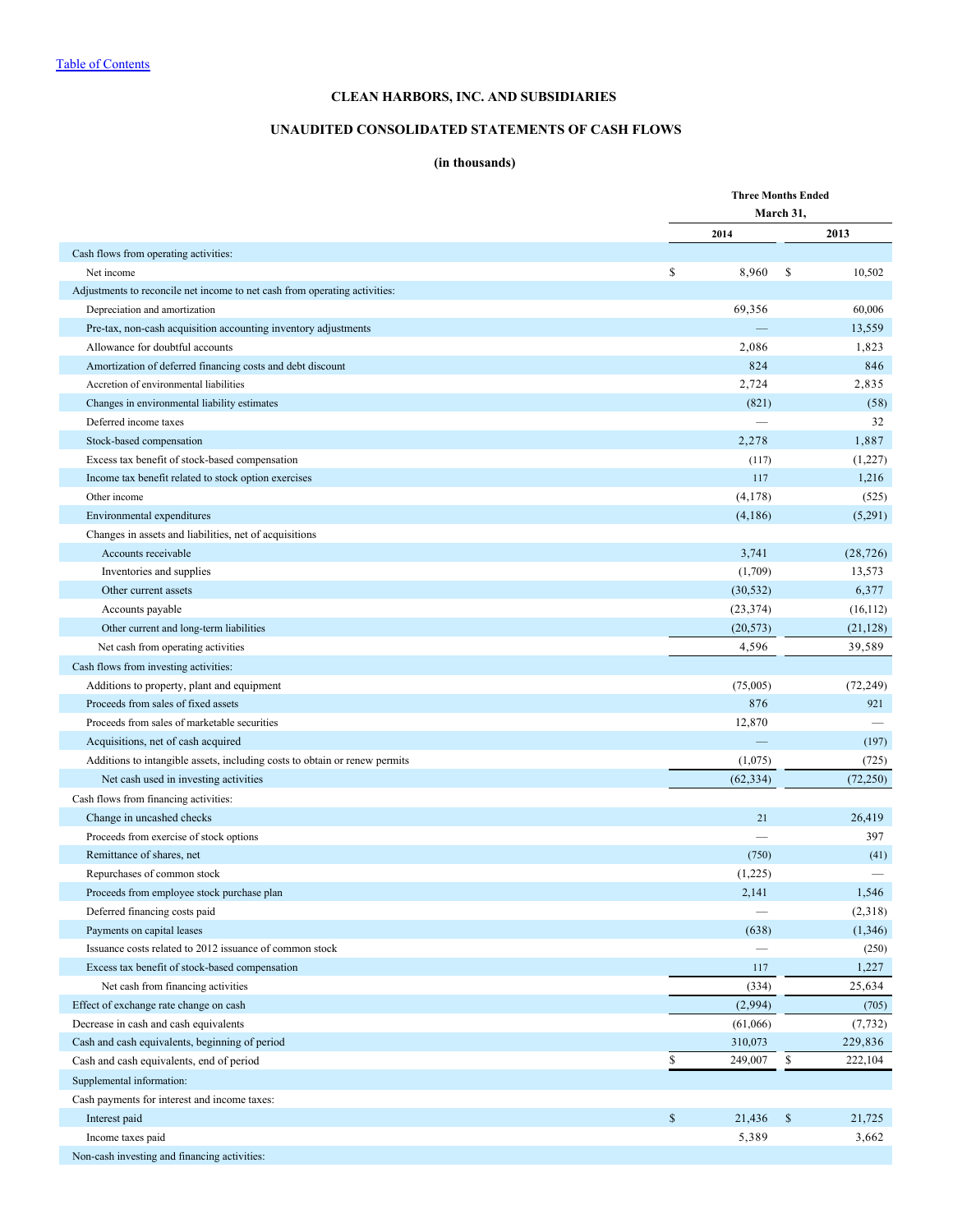# **UNAUDITED CONSOLIDATED STATEMENTS OF CASH FLOWS**

## **(in thousands)**

|                                                                            | <b>Three Months Ended</b>    |           |  |  |
|----------------------------------------------------------------------------|------------------------------|-----------|--|--|
|                                                                            | March 31,                    |           |  |  |
|                                                                            | 2014                         | 2013      |  |  |
| Cash flows from operating activities:                                      |                              |           |  |  |
| Net income                                                                 | \$<br>8,960<br>\$            | 10,502    |  |  |
| Adjustments to reconcile net income to net cash from operating activities: |                              |           |  |  |
| Depreciation and amortization                                              | 69,356                       | 60,006    |  |  |
| Pre-tax, non-cash acquisition accounting inventory adjustments             |                              | 13,559    |  |  |
| Allowance for doubtful accounts                                            | 2,086                        | 1,823     |  |  |
| Amortization of deferred financing costs and debt discount                 | 824                          | 846       |  |  |
| Accretion of environmental liabilities                                     | 2,724                        | 2,835     |  |  |
| Changes in environmental liability estimates                               | (821)                        | (58)      |  |  |
| Deferred income taxes                                                      |                              | 32        |  |  |
| Stock-based compensation                                                   | 2,278                        | 1,887     |  |  |
| Excess tax benefit of stock-based compensation                             | (117)                        | (1,227)   |  |  |
| Income tax benefit related to stock option exercises                       | 117                          | 1,216     |  |  |
| Other income                                                               | (4, 178)                     | (525)     |  |  |
| Environmental expenditures                                                 | (4,186)                      | (5,291)   |  |  |
| Changes in assets and liabilities, net of acquisitions                     |                              |           |  |  |
| Accounts receivable                                                        | 3,741                        | (28, 726) |  |  |
| Inventories and supplies                                                   | (1,709)                      | 13,573    |  |  |
| Other current assets                                                       | (30, 532)                    | 6,377     |  |  |
| Accounts payable                                                           | (23, 374)                    | (16, 112) |  |  |
| Other current and long-term liabilities                                    | (20, 573)                    | (21, 128) |  |  |
| Net cash from operating activities                                         | 4,596                        | 39,589    |  |  |
| Cash flows from investing activities:                                      |                              |           |  |  |
| Additions to property, plant and equipment                                 | (75,005)                     | (72, 249) |  |  |
| Proceeds from sales of fixed assets                                        | 876                          | 921       |  |  |
| Proceeds from sales of marketable securities                               | 12,870                       |           |  |  |
| Acquisitions, net of cash acquired                                         |                              | (197)     |  |  |
| Additions to intangible assets, including costs to obtain or renew permits | (1,075)                      | (725)     |  |  |
| Net cash used in investing activities                                      | (62, 334)                    | (72, 250) |  |  |
| Cash flows from financing activities:                                      |                              |           |  |  |
| Change in uncashed checks                                                  | 21                           | 26,419    |  |  |
| Proceeds from exercise of stock options                                    |                              | 397       |  |  |
| Remittance of shares, net                                                  | (750)                        | (41)      |  |  |
| Repurchases of common stock                                                | (1,225)                      |           |  |  |
| Proceeds from employee stock purchase plan                                 | 2,141                        | 1,546     |  |  |
| Deferred financing costs paid                                              |                              | (2,318)   |  |  |
| Payments on capital leases                                                 | (638)                        | (1, 346)  |  |  |
| Issuance costs related to 2012 issuance of common stock                    |                              | (250)     |  |  |
| Excess tax benefit of stock-based compensation                             | 117                          | 1,227     |  |  |
| Net cash from financing activities                                         | (334)                        | 25,634    |  |  |
| Effect of exchange rate change on cash                                     | (2,994)                      | (705)     |  |  |
| Decrease in cash and cash equivalents                                      | (61,066)                     | (7, 732)  |  |  |
| Cash and cash equivalents, beginning of period                             | 310,073                      | 229,836   |  |  |
| Cash and cash equivalents, end of period                                   | \$<br>\$<br>249,007          | 222,104   |  |  |
| Supplemental information:                                                  |                              |           |  |  |
| Cash payments for interest and income taxes:                               |                              |           |  |  |
| Interest paid                                                              | \$<br>$\mathbb{S}$<br>21,436 | 21,725    |  |  |
| Income taxes paid                                                          | 5,389                        | 3,662     |  |  |
| Non-cash investing and financing activities:                               |                              |           |  |  |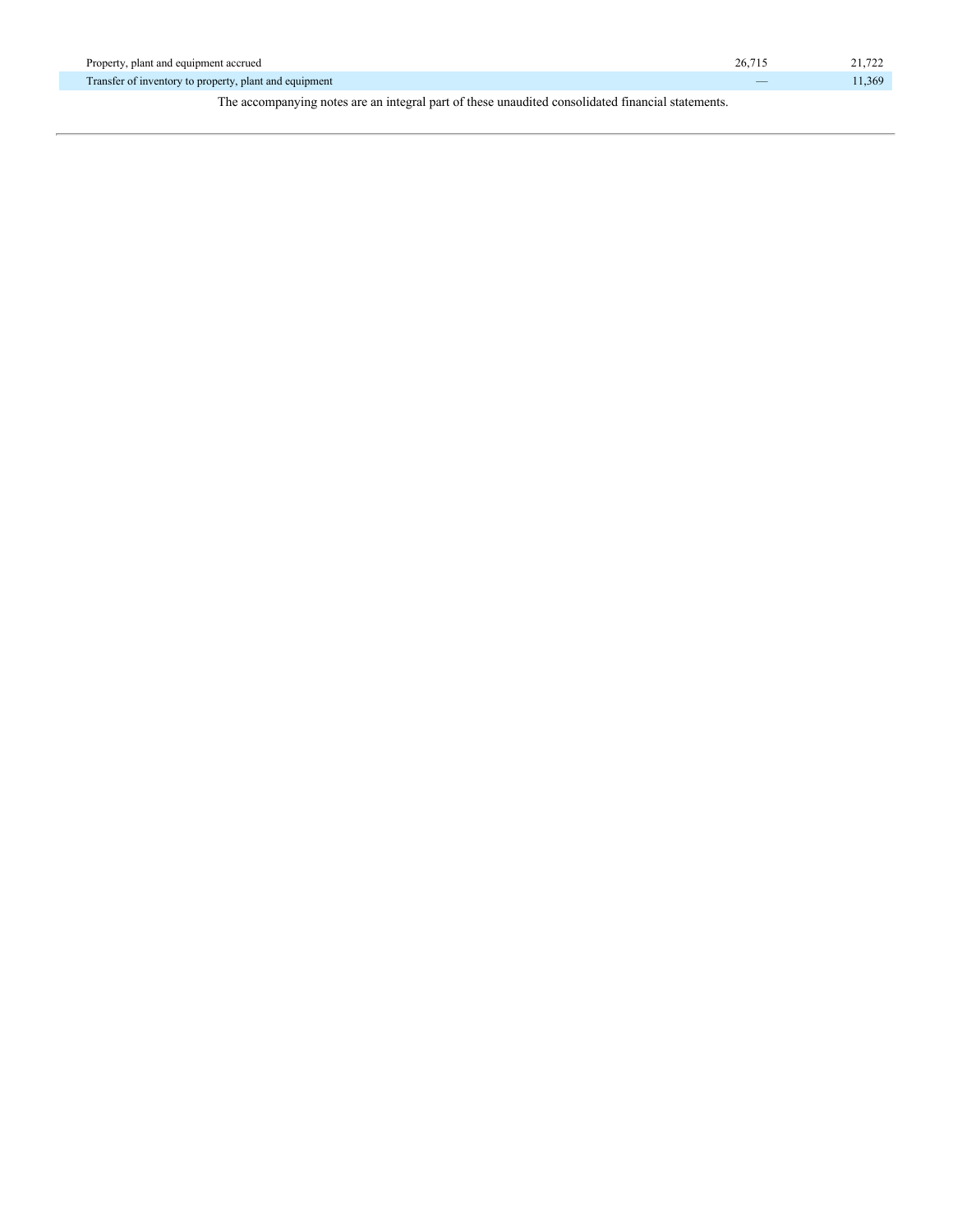| Property, plant and equipment accrued                                                             | 26,715 | 21.722 |
|---------------------------------------------------------------------------------------------------|--------|--------|
| Transfer of inventory to property, plant and equipment                                            |        | 11.369 |
| The accompanying notes are an integral part of these unaudited consolidated financial statements. |        |        |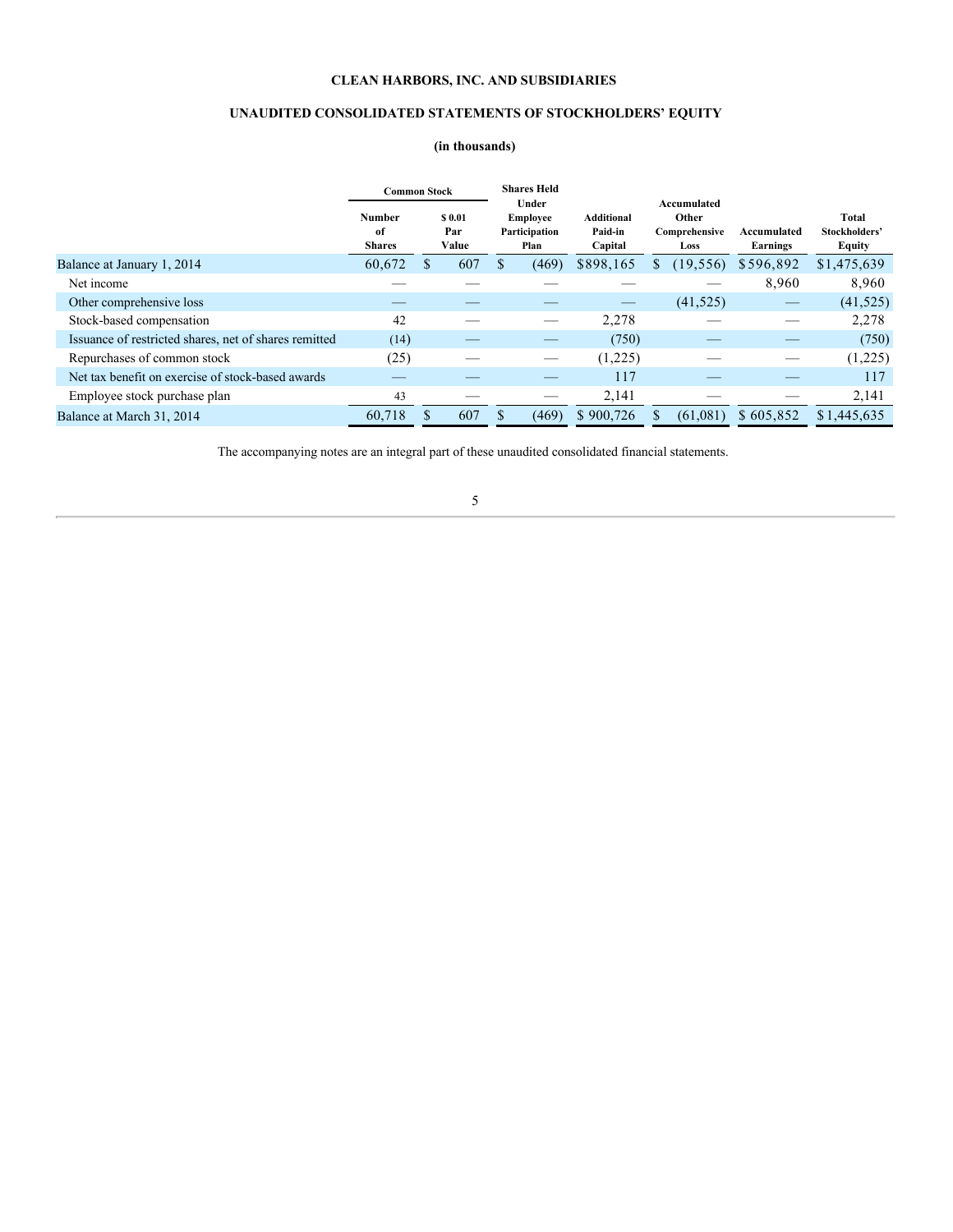# **UNAUDITED CONSOLIDATED STATEMENTS OF STOCKHOLDERS' EQUITY**

# **(in thousands)**

<span id="page-8-0"></span>

|                                                       | <b>Common Stock</b>                  |   |                        |     | <b>Shares Held</b>                                |                                         |   |                                               |                         |                                         |
|-------------------------------------------------------|--------------------------------------|---|------------------------|-----|---------------------------------------------------|-----------------------------------------|---|-----------------------------------------------|-------------------------|-----------------------------------------|
|                                                       | <b>Number</b><br>of<br><b>Shares</b> |   | \$0.01<br>Par<br>Value |     | Under<br><b>Employee</b><br>Participation<br>Plan | <b>Additional</b><br>Paid-in<br>Capital |   | Accumulated<br>Other<br>Comprehensive<br>Loss | Accumulated<br>Earnings | Total<br>Stockholders'<br><b>Equity</b> |
| Balance at January 1, 2014                            | 60,672                               | æ | 607                    | \$. | (469)                                             | \$898,165                               | ж | (19, 556)                                     | \$596,892               | \$1,475,639                             |
| Net income                                            |                                      |   |                        |     |                                                   |                                         |   |                                               | 8,960                   | 8,960                                   |
| Other comprehensive loss                              |                                      |   |                        |     |                                                   |                                         |   | (41,525)                                      |                         | (41, 525)                               |
| Stock-based compensation                              | 42                                   |   |                        |     |                                                   | 2,278                                   |   |                                               |                         | 2,278                                   |
| Issuance of restricted shares, net of shares remitted | (14)                                 |   |                        |     |                                                   | (750)                                   |   |                                               |                         | (750)                                   |
| Repurchases of common stock                           | (25)                                 |   |                        |     |                                                   | (1,225)                                 |   |                                               |                         | (1,225)                                 |
| Net tax benefit on exercise of stock-based awards     |                                      |   |                        |     |                                                   | 117                                     |   |                                               |                         | 117                                     |
| Employee stock purchase plan                          | 43                                   |   |                        |     |                                                   | 2,141                                   |   |                                               |                         | 2,141                                   |
| Balance at March 31, 2014                             | 60,718                               | Ъ | 607                    |     | (469)                                             | \$900,726                               |   | (61,081)                                      | \$605,852               | \$1,445,635                             |

The accompanying notes are an integral part of these unaudited consolidated financial statements.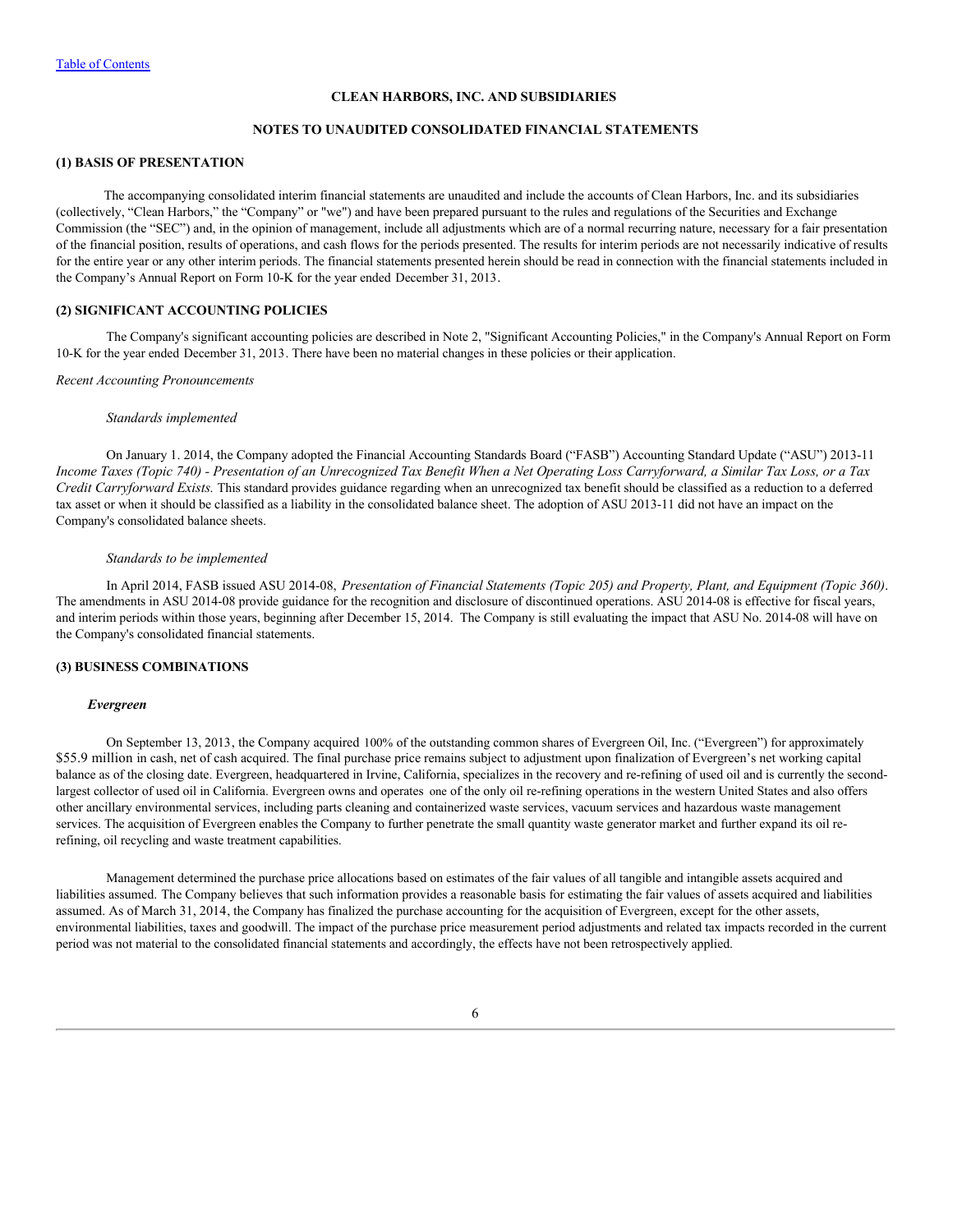## **NOTES TO UNAUDITED CONSOLIDATED FINANCIAL STATEMENTS**

#### **(1) BASIS OF PRESENTATION**

The accompanying consolidated interim financial statements are unaudited and include the accounts of Clean Harbors, Inc. and its subsidiaries (collectively, "Clean Harbors," the "Company" or "we") and have been prepared pursuant to the rules and regulations of the Securities and Exchange Commission (the "SEC") and, in the opinion of management, include all adjustments which are of a normal recurring nature, necessary for a fair presentation of the financial position, results of operations, and cash flows for the periods presented. The results for interim periods are not necessarily indicative of results for the entire year or any other interim periods. The financial statements presented herein should be read in connection with the financial statements included in the Company's Annual Report on Form 10-K for the year ended December 31, 2013.

#### **(2) SIGNIFICANT ACCOUNTING POLICIES**

The Company's significant accounting policies are described in Note 2, "Significant Accounting Policies," in the Company's Annual Report on Form 10-K for the year ended December 31, 2013. There have been no material changes in these policies or their application.

#### *Recent Accounting Pronouncements*

#### *Standards implemented*

On January 1. 2014, the Company adopted the Financial Accounting Standards Board ("FASB") Accounting Standard Update ("ASU") 2013-11 *Income Taxes (Topic 740) - Presentation of an Unrecognized Tax Benefit When a Net Operating Loss Carryforward, a Similar Tax Loss, or a Tax Credit Carryforward Exists.* This standard provides guidance regarding when an unrecognized tax benefit should be classified as a reduction to a deferred tax asset or when it should be classified as a liability in the consolidated balance sheet. The adoption of ASU 2013-11 did not have an impact on the Company's consolidated balance sheets.

#### *Standards to be implemented*

In April 2014, FASB issued ASU 2014-08, *Presentation of Financial Statements (Topic 205) and Property, Plant, and Equipment (Topic 360)*. The amendments in ASU 2014-08 provide guidance for the recognition and disclosure of discontinued operations. ASU 2014-08 is effective for fiscal years, and interim periods within those years, beginning after December 15, 2014. The Company is still evaluating the impact that ASU No. 2014-08 will have on the Company's consolidated financial statements.

#### **(3) BUSINESS COMBINATIONS**

#### *Evergreen*

On September 13, 2013, the Company acquired 100% of the outstanding common shares of Evergreen Oil, Inc. ("Evergreen") for approximately \$55.9 million in cash, net of cash acquired. The final purchase price remains subject to adjustment upon finalization of Evergreen's net working capital balance as of the closing date. Evergreen, headquartered in Irvine, California, specializes in the recovery and re-refining of used oil and is currently the secondlargest collector of used oil in California. Evergreen owns and operates one of the only oil re-refining operations in the western United States and also offers other ancillary environmental services, including parts cleaning and containerized waste services, vacuum services and hazardous waste management services. The acquisition of Evergreen enables the Company to further penetrate the small quantity waste generator market and further expand its oil rerefining, oil recycling and waste treatment capabilities.

Management determined the purchase price allocations based on estimates of the fair values of all tangible and intangible assets acquired and liabilities assumed. The Company believes that such information provides a reasonable basis for estimating the fair values of assets acquired and liabilities assumed. As of March 31, 2014, the Company has finalized the purchase accounting for the acquisition of Evergreen, except for the other assets, environmental liabilities, taxes and goodwill. The impact of the purchase price measurement period adjustments and related tax impacts recorded in the current period was not material to the consolidated financial statements and accordingly, the effects have not been retrospectively applied.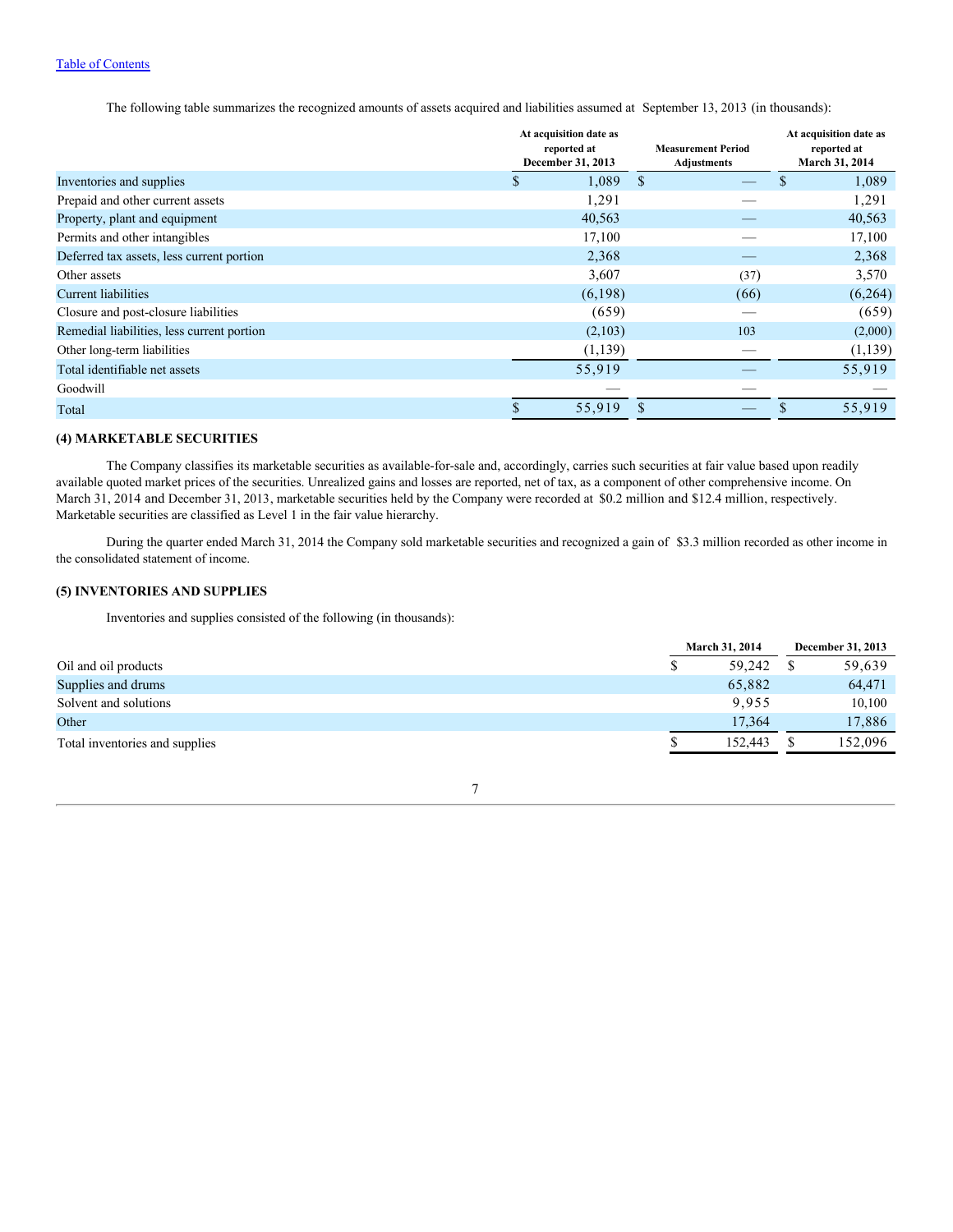The following table summarizes the recognized amounts of assets acquired and liabilities assumed at September 13, 2013 (in thousands):

|                                            | At acquisition date as<br>reported at<br>December 31, 2013 | <b>Measurement Period</b><br><b>Adjustments</b> | At acquisition date as<br>reported at<br>March 31, 2014 |  |
|--------------------------------------------|------------------------------------------------------------|-------------------------------------------------|---------------------------------------------------------|--|
| Inventories and supplies                   | 1,089<br>\$.                                               | <sup>S</sup>                                    | 1,089                                                   |  |
| Prepaid and other current assets           | 1,291                                                      |                                                 | 1,291                                                   |  |
| Property, plant and equipment              | 40,563                                                     |                                                 | 40,563                                                  |  |
| Permits and other intangibles              | 17,100                                                     |                                                 | 17,100                                                  |  |
| Deferred tax assets, less current portion  | 2,368                                                      |                                                 | 2,368                                                   |  |
| Other assets                               | 3,607                                                      | (37)                                            | 3,570                                                   |  |
| Current liabilities                        | (6,198)                                                    | (66)                                            | (6,264)                                                 |  |
| Closure and post-closure liabilities       | (659)                                                      |                                                 | (659)                                                   |  |
| Remedial liabilities, less current portion | (2,103)                                                    | 103                                             | (2,000)                                                 |  |
| Other long-term liabilities                | (1,139)                                                    |                                                 | (1,139)                                                 |  |
| Total identifiable net assets              | 55,919                                                     |                                                 | 55,919                                                  |  |
| Goodwill                                   |                                                            |                                                 |                                                         |  |
| Total                                      | 55,919                                                     |                                                 | 55,919                                                  |  |

## **(4) MARKETABLE SECURITIES**

The Company classifies its marketable securities as available-for-sale and, accordingly, carries such securities at fair value based upon readily available quoted market prices of the securities. Unrealized gains and losses are reported, net of tax, as a component of other comprehensive income. On March 31, 2014 and December 31, 2013, marketable securities held by the Company were recorded at \$0.2 million and \$12.4 million, respectively. Marketable securities are classified as Level 1 in the fair value hierarchy.

During the quarter ended March 31, 2014 the Company sold marketable securities and recognized a gain of \$3.3 million recorded as other income in the consolidated statement of income.

## **(5) INVENTORIES AND SUPPLIES**

Inventories and supplies consisted of the following (in thousands):

|                                | March 31, 2014 |         | December 31, 2013 |  |
|--------------------------------|----------------|---------|-------------------|--|
| Oil and oil products           |                | 59,242  | 59,639            |  |
| Supplies and drums             |                | 65,882  | 64,471            |  |
| Solvent and solutions          |                | 9.955   | 10,100            |  |
| Other                          |                | 17.364  | 17,886            |  |
| Total inventories and supplies |                | 152.443 | 152.096           |  |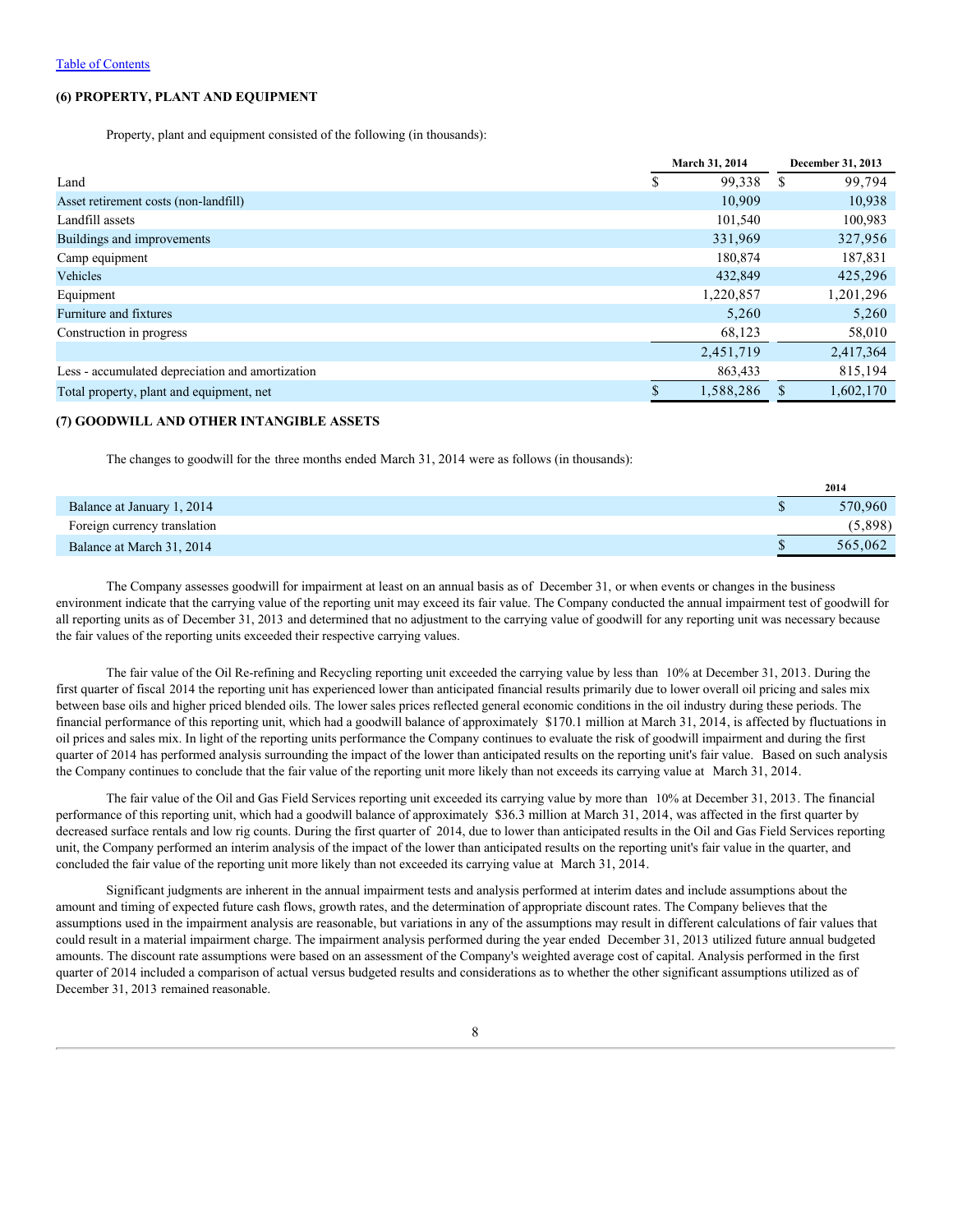## **(6) PROPERTY, PLANT AND EQUIPMENT**

Property, plant and equipment consisted of the following (in thousands):

|                                                  |   | March 31, 2014 |    | December 31, 2013 |
|--------------------------------------------------|---|----------------|----|-------------------|
| Land                                             | S | 99,338         | -S | 99,794            |
| Asset retirement costs (non-landfill)            |   | 10,909         |    | 10,938            |
| Landfill assets                                  |   | 101,540        |    | 100,983           |
| Buildings and improvements                       |   | 331,969        |    | 327,956           |
| Camp equipment                                   |   | 180,874        |    | 187,831           |
| Vehicles                                         |   | 432,849        |    | 425,296           |
| Equipment                                        |   | 1,220,857      |    | 1,201,296         |
| Furniture and fixtures                           |   | 5,260          |    | 5,260             |
| Construction in progress                         |   | 68,123         |    | 58,010            |
|                                                  |   | 2,451,719      |    | 2,417,364         |
| Less - accumulated depreciation and amortization |   | 863,433        |    | 815,194           |
| Total property, plant and equipment, net         |   | 1,588,286      |    | 1,602,170         |

### **(7) GOODWILL AND OTHER INTANGIBLE ASSETS**

The changes to goodwill for the three months ended March 31, 2014 were as follows (in thousands):

|                              | 2014    |
|------------------------------|---------|
| Balance at January 1, 2014   | 570,960 |
| Foreign currency translation | (5,898) |
| Balance at March 31, 2014    | 565,062 |

The Company assesses goodwill for impairment at least on an annual basis as of December 31, or when events or changes in the business environment indicate that the carrying value of the reporting unit may exceed its fair value. The Company conducted the annual impairment test of goodwill for all reporting units as of December 31, 2013 and determined that no adjustment to the carrying value of goodwill for any reporting unit was necessary because the fair values of the reporting units exceeded their respective carrying values.

The fair value of the Oil Re-refining and Recycling reporting unit exceeded the carrying value by less than 10% at December 31, 2013. During the first quarter of fiscal 2014 the reporting unit has experienced lower than anticipated financial results primarily due to lower overall oil pricing and sales mix between base oils and higher priced blended oils. The lower sales prices reflected general economic conditions in the oil industry during these periods. The financial performance of this reporting unit, which had a goodwill balance of approximately \$170.1 million at March 31, 2014, is affected by fluctuations in oil prices and sales mix. In light of the reporting units performance the Company continues to evaluate the risk of goodwill impairment and during the first quarter of 2014 has performed analysis surrounding the impact of the lower than anticipated results on the reporting unit's fair value. Based on such analysis the Company continues to conclude that the fair value of the reporting unit more likely than not exceeds its carrying value at March 31, 2014.

The fair value of the Oil and Gas Field Services reporting unit exceeded its carrying value by more than 10% at December 31, 2013. The financial performance of this reporting unit, which had a goodwill balance of approximately \$36.3 million at March 31, 2014, was affected in the first quarter by decreased surface rentals and low rig counts. During the first quarter of 2014, due to lower than anticipated results in the Oil and Gas Field Services reporting unit, the Company performed an interim analysis of the impact of the lower than anticipated results on the reporting unit's fair value in the quarter, and concluded the fair value of the reporting unit more likely than not exceeded its carrying value at March 31, 2014.

Significant judgments are inherent in the annual impairment tests and analysis performed at interim dates and include assumptions about the amount and timing of expected future cash flows, growth rates, and the determination of appropriate discount rates. The Company believes that the assumptions used in the impairment analysis are reasonable, but variations in any of the assumptions may result in different calculations of fair values that could result in a material impairment charge. The impairment analysis performed during the year ended December 31, 2013 utilized future annual budgeted amounts. The discount rate assumptions were based on an assessment of the Company's weighted average cost of capital. Analysis performed in the first quarter of 2014 included a comparison of actual versus budgeted results and considerations as to whether the other significant assumptions utilized as of December 31, 2013 remained reasonable.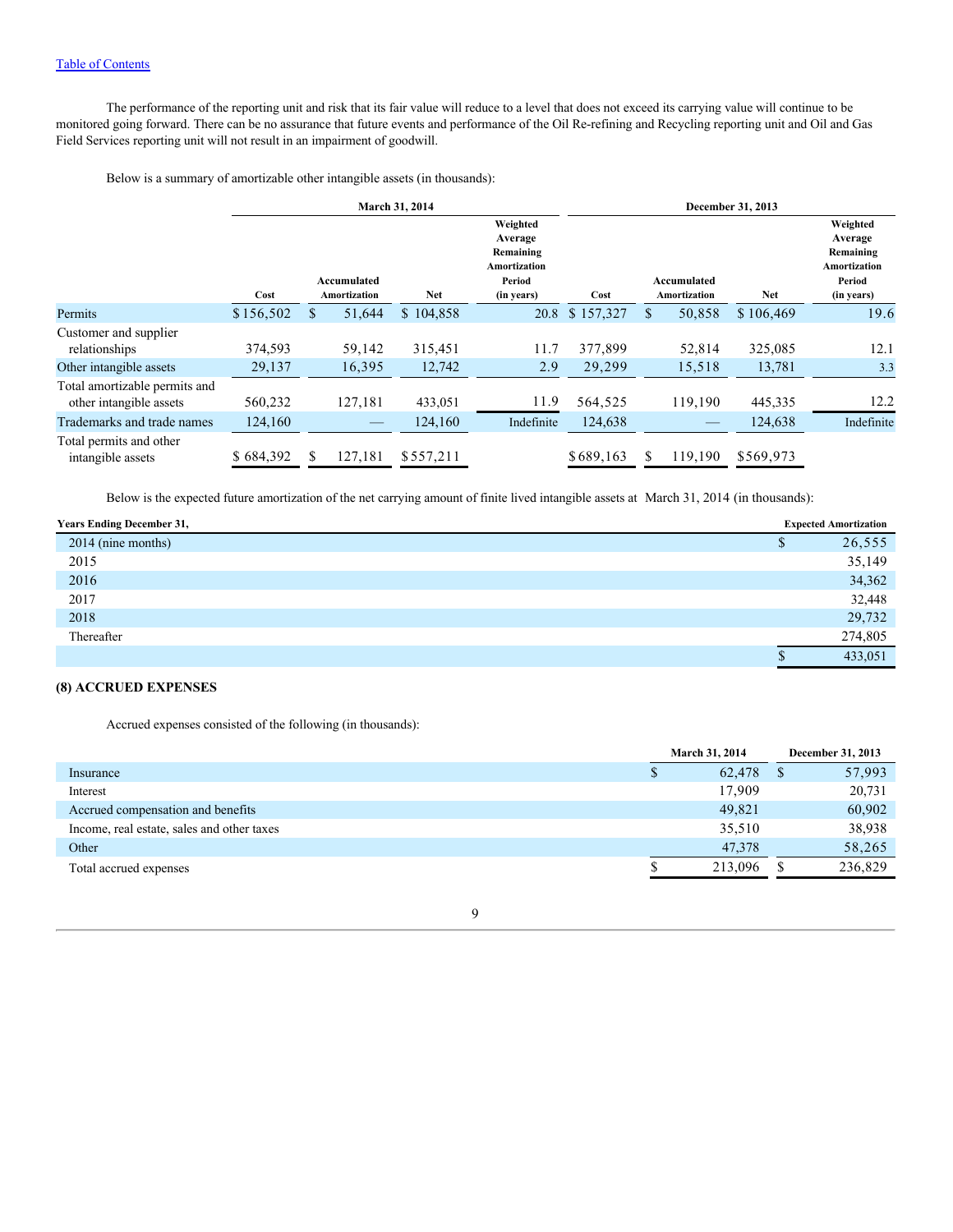The performance of the reporting unit and risk that its fair value will reduce to a level that does not exceed its carrying value will continue to be monitored going forward. There can be no assurance that future events and performance of the Oil Re-refining and Recycling reporting unit and Oil and Gas Field Services reporting unit will not result in an impairment of goodwill.

Below is a summary of amortizable other intangible assets (in thousands):

|                                                          |           |                             | March 31, 2014 |                                                                          | December 31, 2013 |                                                  |         |           |                                                                                 |  |  |
|----------------------------------------------------------|-----------|-----------------------------|----------------|--------------------------------------------------------------------------|-------------------|--------------------------------------------------|---------|-----------|---------------------------------------------------------------------------------|--|--|
|                                                          | Cost      | Accumulated<br>Amortization | <b>Net</b>     | Weighted<br>Average<br>Remaining<br>Amortization<br>Period<br>(in years) | Cost              | Accumulated<br><b>Net</b><br><b>Amortization</b> |         |           | Weighted<br>Average<br>Remaining<br><b>Amortization</b><br>Period<br>(in years) |  |  |
| Permits                                                  | \$156,502 | 51,644                      | \$104,858      | 20.8                                                                     | \$157,327         | S                                                | 50,858  | \$106,469 | 19.6                                                                            |  |  |
| Customer and supplier<br>relationships                   | 374,593   | 59,142                      | 315,451        | 11.7                                                                     | 377,899           |                                                  | 52,814  | 325,085   | 12.1                                                                            |  |  |
| Other intangible assets                                  | 29,137    | 16,395                      | 12,742         | 2.9                                                                      | 29,299            |                                                  | 15,518  | 13,781    | 3.3                                                                             |  |  |
| Total amortizable permits and<br>other intangible assets | 560,232   | 127,181                     | 433,051        | 11.9                                                                     | 564,525           |                                                  | 119,190 | 445,335   | 12.2                                                                            |  |  |
| Trademarks and trade names                               | 124,160   |                             | 124,160        | Indefinite                                                               | 124,638           |                                                  |         | 124,638   | Indefinite                                                                      |  |  |
| Total permits and other<br>intangible assets             | \$684,392 | 127,181                     | \$557,211      |                                                                          | \$689,163         |                                                  | 119,190 | \$569,973 |                                                                                 |  |  |

Below is the expected future amortization of the net carrying amount of finite lived intangible assets at March 31, 2014 (in thousands):

| <b>Years Ending December 31,</b> |               | <b>Expected Amortization</b> |
|----------------------------------|---------------|------------------------------|
| 2014 (nine months)               | $\mathcal{D}$ | 26,555                       |
| 2015                             |               | 35,149                       |
| 2016                             |               | 34,362                       |
| 2017                             |               | 32,448                       |
| 2018                             |               | 29,732                       |
| Thereafter                       |               | 274,805                      |
|                                  | Φ             | 433,051                      |

## **(8) ACCRUED EXPENSES**

Accrued expenses consisted of the following (in thousands):

|                                            | <b>March 31, 2014</b> |   | December 31, 2013 |
|--------------------------------------------|-----------------------|---|-------------------|
| Insurance                                  | 62,478                | S | 57,993            |
| Interest                                   | 17,909                |   | 20,731            |
| Accrued compensation and benefits          | 49,821                |   | 60,902            |
| Income, real estate, sales and other taxes | 35,510                |   | 38,938            |
| Other                                      | 47,378                |   | 58,265            |
| Total accrued expenses                     | 213,096               |   | 236,829           |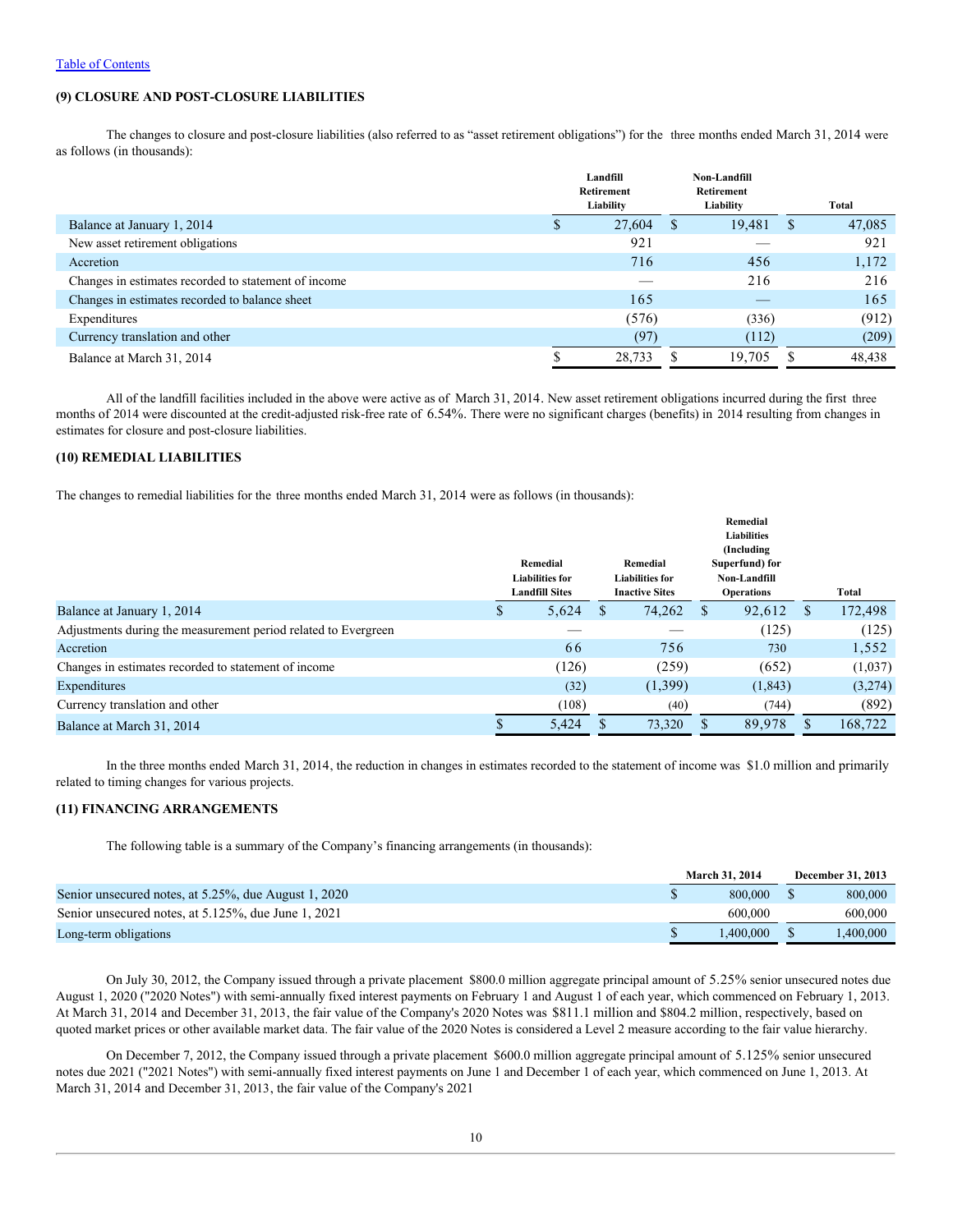## **(9) CLOSURE AND POST-CLOSURE LIABILITIES**

The changes to closure and post-closure liabilities (also referred to as "asset retirement obligations") for the three months ended March 31, 2014 were as follows (in thousands):

|                                                      |   | Landfill<br><b>Retirement</b><br>Liability |              | Non-Landfill<br>Retirement<br>Liability |              | Total  |
|------------------------------------------------------|---|--------------------------------------------|--------------|-----------------------------------------|--------------|--------|
| Balance at January 1, 2014                           | S | 27,604                                     | <sup>S</sup> | 19,481                                  | <sup>S</sup> | 47,085 |
| New asset retirement obligations                     |   | 921                                        |              |                                         |              | 921    |
| Accretion                                            |   | 716                                        |              | 456                                     |              | 1,172  |
| Changes in estimates recorded to statement of income |   |                                            |              | 216                                     |              | 216    |
| Changes in estimates recorded to balance sheet       |   | 165                                        |              |                                         |              | 165    |
| Expenditures                                         |   | (576)                                      |              | (336)                                   |              | (912)  |
| Currency translation and other                       |   | (97)                                       |              | (112)                                   |              | (209)  |
| Balance at March 31, 2014                            |   | 28,733                                     |              | 19,705                                  |              | 48,438 |

All of the landfill facilities included in the above were active as of March 31, 2014. New asset retirement obligations incurred during the first three months of 2014 were discounted at the credit-adjusted risk-free rate of 6.54%. There were no significant charges (benefits) in 2014 resulting from changes in estimates for closure and post-closure liabilities.

## **(10) REMEDIAL LIABILITIES**

The changes to remedial liabilities for the three months ended March 31, 2014 were as follows (in thousands):

|                                                                | Remedial<br><b>Liabilities for</b><br><b>Landfill Sites</b> |       |    | Remedial<br><b>Liabilities for</b><br><b>Inactive Sites</b> |    | Remedial<br><b>Liabilities</b><br>(Including)<br>Superfund) for<br>Non-Landfill<br><b>Operations</b> |    | Total   |
|----------------------------------------------------------------|-------------------------------------------------------------|-------|----|-------------------------------------------------------------|----|------------------------------------------------------------------------------------------------------|----|---------|
| Balance at January 1, 2014                                     | Ф                                                           | 5,624 | -S | 74,262                                                      | -S | 92,612                                                                                               | S. | 172,498 |
| Adjustments during the measurement period related to Evergreen |                                                             |       |    |                                                             |    | (125)                                                                                                |    | (125)   |
| Accretion                                                      |                                                             | 66    |    | 756                                                         |    | 730                                                                                                  |    | 1,552   |
| Changes in estimates recorded to statement of income           |                                                             | (126) |    | (259)                                                       |    | (652)                                                                                                |    | (1,037) |
| Expenditures                                                   |                                                             | (32)  |    | (1,399)                                                     |    | (1, 843)                                                                                             |    | (3,274) |
| Currency translation and other                                 |                                                             | (108) |    | (40)                                                        |    | (744)                                                                                                |    | (892)   |
| Balance at March 31, 2014                                      |                                                             | 5,424 |    | 73,320                                                      |    | 89,978                                                                                               |    | 168,722 |

In the three months ended March 31, 2014, the reduction in changes in estimates recorded to the statement of income was \$1.0 million and primarily related to timing changes for various projects.

#### **(11) FINANCING ARRANGEMENTS**

The following table is a summary of the Company's financing arrangements (in thousands):

|                                                      | <b>March 31, 2014</b> | <b>December 31, 2013</b> |          |  |
|------------------------------------------------------|-----------------------|--------------------------|----------|--|
| Senior unsecured notes, at 5.25%, due August 1, 2020 | 800,000               |                          | 800,000  |  |
| Senior unsecured notes, at 5.125%, due June 1, 2021  | 600.000               |                          | 600,000  |  |
| Long-term obligations                                | .400.000              |                          | .400.000 |  |

On July 30, 2012, the Company issued through a private placement \$800.0 million aggregate principal amount of 5.25% senior unsecured notes due August 1, 2020 ("2020 Notes") with semi-annually fixed interest payments on February 1 and August 1 of each year, which commenced on February 1, 2013. At March 31, 2014 and December 31, 2013, the fair value of the Company's 2020 Notes was \$811.1 million and \$804.2 million, respectively, based on quoted market prices or other available market data. The fair value of the 2020 Notes is considered a Level 2 measure according to the fair value hierarchy.

On December 7, 2012, the Company issued through a private placement \$600.0 million aggregate principal amount of 5.125% senior unsecured notes due 2021 ("2021 Notes") with semi-annually fixed interest payments on June 1 and December 1 of each year, which commenced on June 1, 2013. At March 31, 2014 and December 31, 2013, the fair value of the Company's 2021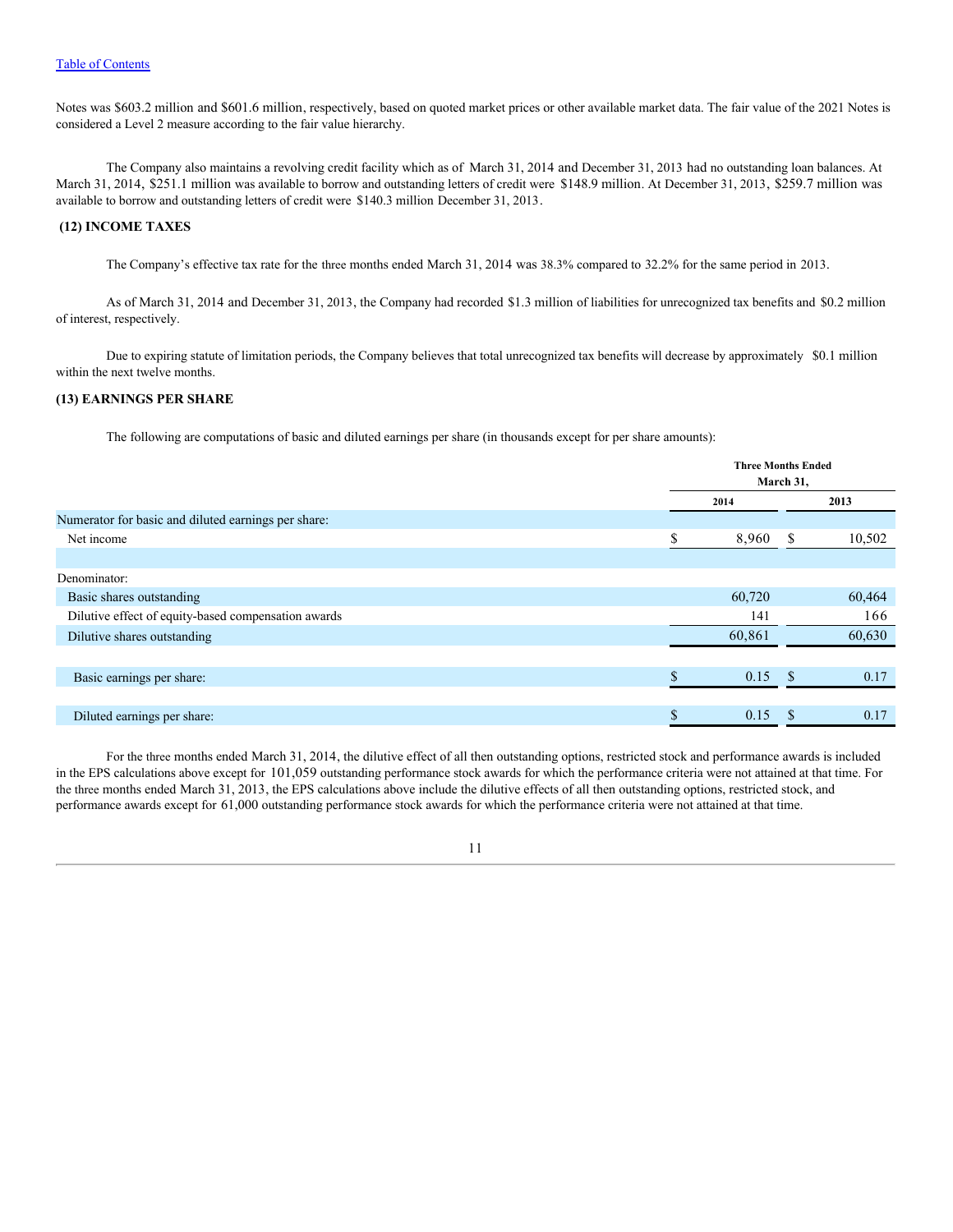Notes was \$603.2 million and \$601.6 million, respectively, based on quoted market prices or other available market data. The fair value of the 2021 Notes is considered a Level 2 measure according to the fair value hierarchy.

The Company also maintains a revolving credit facility which as of March 31, 2014 and December 31, 2013 had no outstanding loan balances. At March 31, 2014, \$251.1 million was available to borrow and outstanding letters of credit were \$148.9 million. At December 31, 2013, \$259.7 million was available to borrow and outstanding letters of credit were \$140.3 million December 31, 2013.

#### **(12) INCOME TAXES**

The Company's effective tax rate for the three months ended March 31, 2014 was 38.3% compared to 32.2% for the same period in 2013.

As of March 31, 2014 and December 31, 2013, the Company had recorded \$1.3 million of liabilities for unrecognized tax benefits and \$0.2 million of interest, respectively.

Due to expiring statute of limitation periods, the Company believes that total unrecognized tax benefits will decrease by approximately \$0.1 million within the next twelve months.

## **(13) EARNINGS PER SHARE**

The following are computations of basic and diluted earnings per share (in thousands except for per share amounts):

|                                                     |            | <b>Three Months Ended</b><br>March 31, |        |  |  |  |  |  |  |  |  |  |
|-----------------------------------------------------|------------|----------------------------------------|--------|--|--|--|--|--|--|--|--|--|
|                                                     | 2014       |                                        | 2013   |  |  |  |  |  |  |  |  |  |
| Numerator for basic and diluted earnings per share: |            |                                        |        |  |  |  |  |  |  |  |  |  |
| Net income                                          | 8,960<br>S | S                                      | 10,502 |  |  |  |  |  |  |  |  |  |
|                                                     |            |                                        |        |  |  |  |  |  |  |  |  |  |
| Denominator:                                        |            |                                        |        |  |  |  |  |  |  |  |  |  |
| Basic shares outstanding                            | 60,720     |                                        | 60,464 |  |  |  |  |  |  |  |  |  |
| Dilutive effect of equity-based compensation awards |            | 141                                    | 166    |  |  |  |  |  |  |  |  |  |
| Dilutive shares outstanding                         | 60,861     |                                        | 60,630 |  |  |  |  |  |  |  |  |  |
|                                                     |            |                                        |        |  |  |  |  |  |  |  |  |  |
| Basic earnings per share:                           |            | $\mathbb{S}$<br>0.15                   | 0.17   |  |  |  |  |  |  |  |  |  |
|                                                     |            |                                        |        |  |  |  |  |  |  |  |  |  |
| Diluted earnings per share:                         | S          | $\mathbf{s}$<br>0.15                   | 0.17   |  |  |  |  |  |  |  |  |  |
|                                                     |            |                                        |        |  |  |  |  |  |  |  |  |  |

For the three months ended March 31, 2014, the dilutive effect of all then outstanding options, restricted stock and performance awards is included in the EPS calculations above except for 101,059 outstanding performance stock awards for which the performance criteria were not attained at that time. For the three months ended March 31, 2013, the EPS calculations above include the dilutive effects of all then outstanding options, restricted stock, and performance awards except for 61,000 outstanding performance stock awards for which the performance criteria were not attained at that time.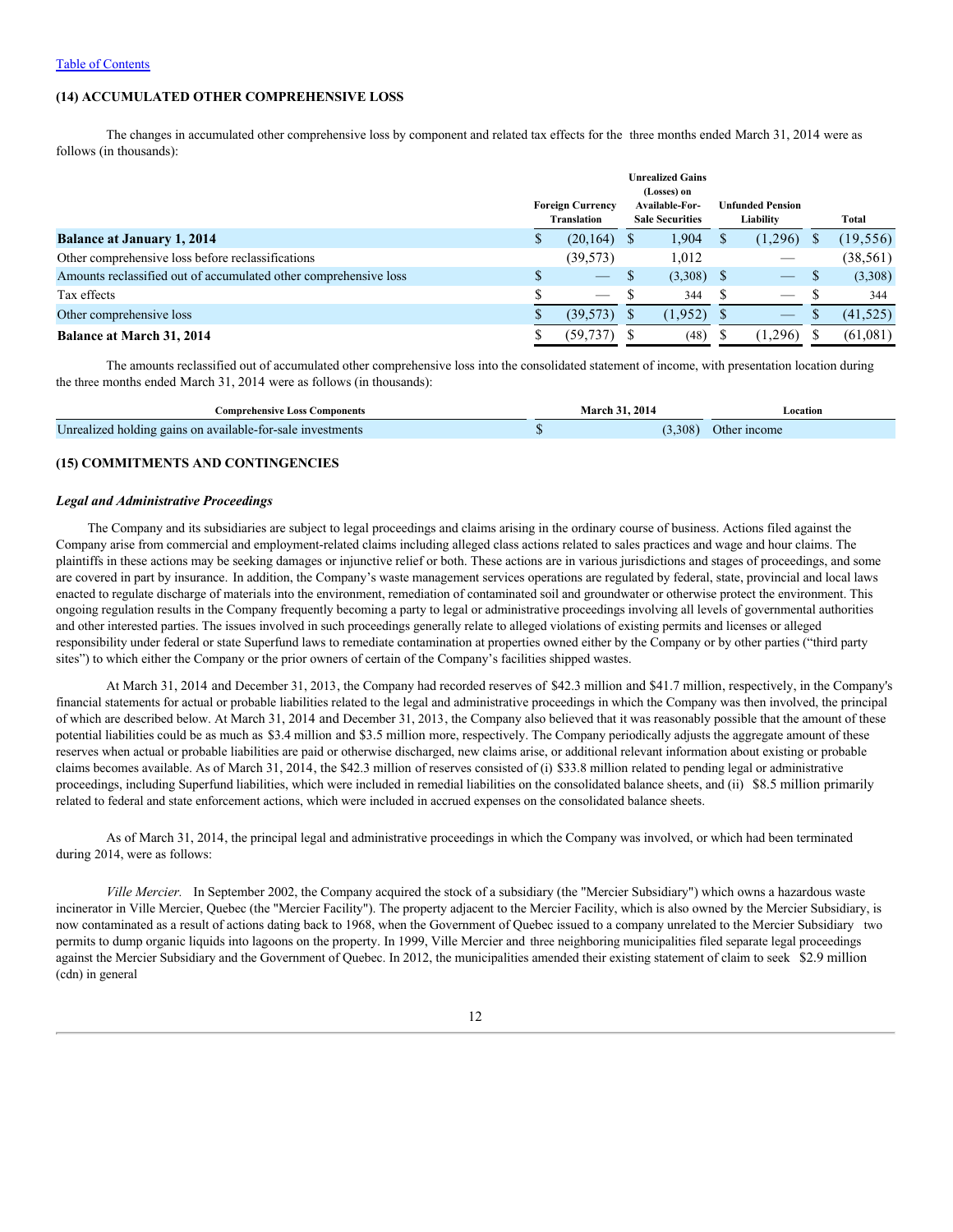## **(14) ACCUMULATED OTHER COMPREHENSIVE LOSS**

The changes in accumulated other comprehensive loss by component and related tax effects for the three months ended March 31, 2014 were as follows (in thousands):

|                                                                  |                                |   | <b>Unrealized Gains</b> |              |                          |           |
|------------------------------------------------------------------|--------------------------------|---|-------------------------|--------------|--------------------------|-----------|
|                                                                  |                                |   | (Losses) on             |              |                          |           |
|                                                                  | <b>Foreign Currency</b>        |   | <b>Available-For-</b>   |              | <b>Unfunded Pension</b>  |           |
|                                                                  | Translation                    |   | <b>Sale Securities</b>  |              | Liability                | Total     |
| <b>Balance at January 1, 2014</b>                                | (20, 164)                      | S | 1,904                   |              | (1,296)                  | (19, 556) |
| Other comprehensive loss before reclassifications                | (39, 573)                      |   | 1,012                   |              |                          | (38, 561) |
| Amounts reclassified out of accumulated other comprehensive loss | $\hspace{0.05cm}$              |   | (3,308)                 | -S           |                          | (3,308)   |
| Tax effects                                                      | $\overbrace{\hspace{25mm}}^{}$ |   | 344                     |              | $\overline{\phantom{a}}$ | 344       |
| Other comprehensive loss                                         | (39, 573)                      |   | (1, 952)                | <sup>S</sup> | $\overline{\phantom{m}}$ | (41, 525) |
| Balance at March 31, 2014                                        | (59, 737)                      |   | (48)                    |              | (1,296)                  | (61,081)  |

The amounts reclassified out of accumulated other comprehensive loss into the consolidated statement of income, with presentation location during the three months ended March 31, 2014 were as follows (in thousands):

| Comprehensive Loss Components                              | 2014<br>March       | Location     |
|------------------------------------------------------------|---------------------|--------------|
| Unrealized holding gains on available-for-sale investments | .3.308 <sup>o</sup> | Other income |

#### **(15) COMMITMENTS AND CONTINGENCIES**

#### *Legal and Administrative Proceedings*

The Company and its subsidiaries are subject to legal proceedings and claims arising in the ordinary course of business. Actions filed against the Company arise from commercial and employment-related claims including alleged class actions related to sales practices and wage and hour claims. The plaintiffs in these actions may be seeking damages or injunctive relief or both. These actions are in various jurisdictions and stages of proceedings, and some are covered in part by insurance. In addition, the Company's waste management services operations are regulated by federal, state, provincial and local laws enacted to regulate discharge of materials into the environment, remediation of contaminated soil and groundwater or otherwise protect the environment. This ongoing regulation results in the Company frequently becoming a party to legal or administrative proceedings involving all levels of governmental authorities and other interested parties. The issues involved in such proceedings generally relate to alleged violations of existing permits and licenses or alleged responsibility under federal or state Superfund laws to remediate contamination at properties owned either by the Company or by other parties ("third party sites") to which either the Company or the prior owners of certain of the Company's facilities shipped wastes.

At March 31, 2014 and December 31, 2013, the Company had recorded reserves of \$42.3 million and \$41.7 million, respectively, in the Company's financial statements for actual or probable liabilities related to the legal and administrative proceedings in which the Company was then involved, the principal of which are described below. At March 31, 2014 and December 31, 2013, the Company also believed that it was reasonably possible that the amount of these potential liabilities could be as much as \$3.4 million and \$3.5 million more, respectively. The Company periodically adjusts the aggregate amount of these reserves when actual or probable liabilities are paid or otherwise discharged, new claims arise, or additional relevant information about existing or probable claims becomes available. As of March 31, 2014, the \$42.3 million of reserves consisted of (i) \$33.8 million related to pending legal or administrative proceedings, including Superfund liabilities, which were included in remedial liabilities on the consolidated balance sheets, and (ii) \$8.5 million primarily related to federal and state enforcement actions, which were included in accrued expenses on the consolidated balance sheets.

As of March 31, 2014, the principal legal and administrative proceedings in which the Company was involved, or which had been terminated during 2014, were as follows:

*Ville Mercier.* In September 2002, the Company acquired the stock of a subsidiary (the "Mercier Subsidiary") which owns a hazardous waste incinerator in Ville Mercier, Quebec (the "Mercier Facility"). The property adjacent to the Mercier Facility, which is also owned by the Mercier Subsidiary, is now contaminated as a result of actions dating back to 1968, when the Government of Quebec issued to a company unrelated to the Mercier Subsidiary two permits to dump organic liquids into lagoons on the property. In 1999, Ville Mercier and three neighboring municipalities filed separate legal proceedings against the Mercier Subsidiary and the Government of Quebec. In 2012, the municipalities amended their existing statement of claim to seek \$2.9 million (cdn) in general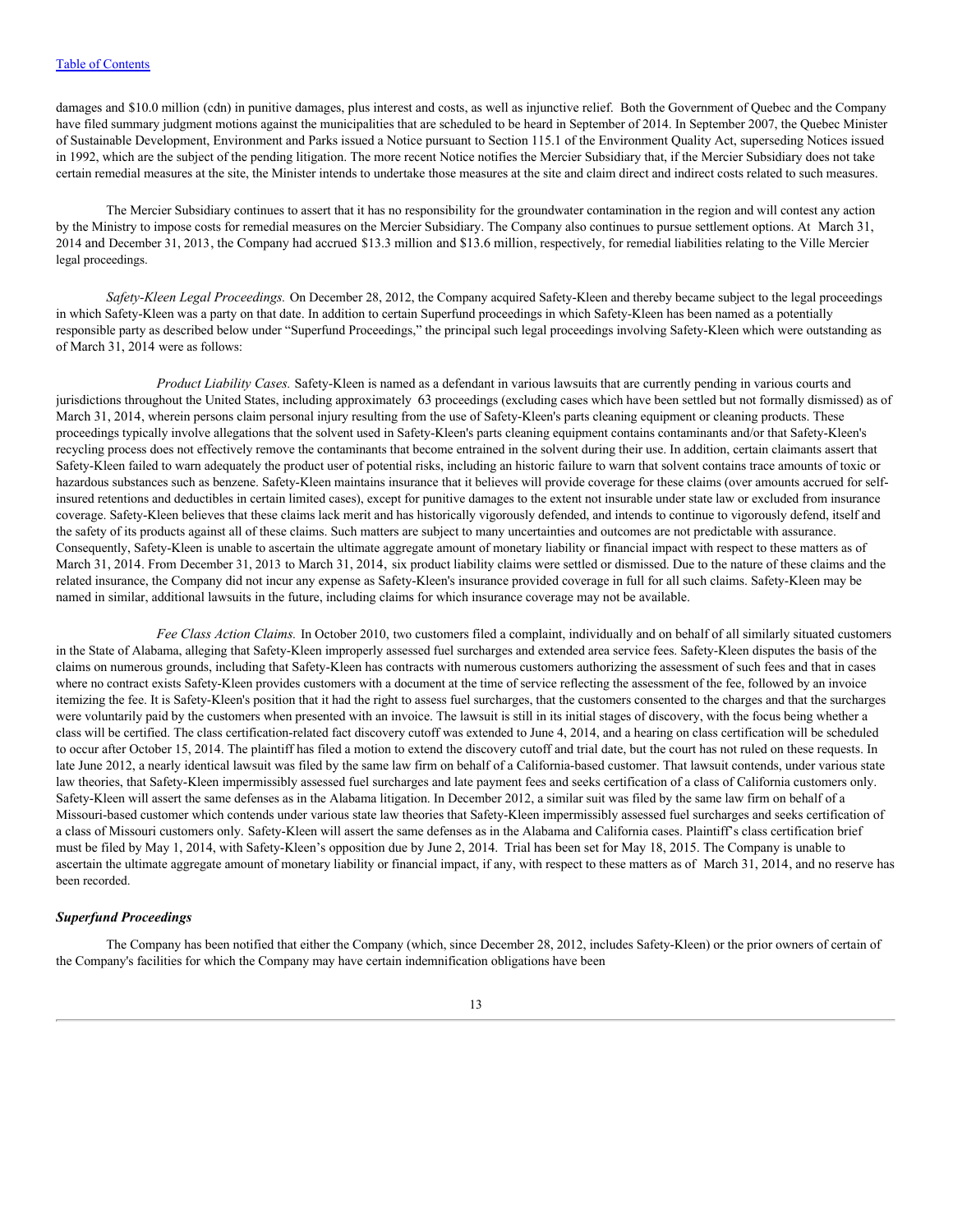damages and \$10.0 million (cdn) in punitive damages, plus interest and costs, as well as injunctive relief. Both the Government of Quebec and the Company have filed summary judgment motions against the municipalities that are scheduled to be heard in September of 2014. In September 2007, the Quebec Minister of Sustainable Development, Environment and Parks issued a Notice pursuant to Section 115.1 of the Environment Quality Act, superseding Notices issued in 1992, which are the subject of the pending litigation. The more recent Notice notifies the Mercier Subsidiary that, if the Mercier Subsidiary does not take certain remedial measures at the site, the Minister intends to undertake those measures at the site and claim direct and indirect costs related to such measures.

The Mercier Subsidiary continues to assert that it has no responsibility for the groundwater contamination in the region and will contest any action by the Ministry to impose costs for remedial measures on the Mercier Subsidiary. The Company also continues to pursue settlement options. At March 31, 2014 and December 31, 2013, the Company had accrued \$13.3 million and \$13.6 million, respectively, for remedial liabilities relating to the Ville Mercier legal proceedings.

*Safety-Kleen Legal Proceedings.* On December 28, 2012, the Company acquired Safety-Kleen and thereby became subject to the legal proceedings in which Safety-Kleen was a party on that date. In addition to certain Superfund proceedings in which Safety-Kleen has been named as a potentially responsible party as described below under "Superfund Proceedings," the principal such legal proceedings involving Safety-Kleen which were outstanding as of March 31, 2014 were as follows:

*Product Liability Cases.* Safety-Kleen is named as a defendant in various lawsuits that are currently pending in various courts and jurisdictions throughout the United States, including approximately 63 proceedings (excluding cases which have been settled but not formally dismissed) as of March 31, 2014, wherein persons claim personal injury resulting from the use of Safety-Kleen's parts cleaning equipment or cleaning products. These proceedings typically involve allegations that the solvent used in Safety-Kleen's parts cleaning equipment contains contaminants and/or that Safety-Kleen's recycling process does not effectively remove the contaminants that become entrained in the solvent during their use. In addition, certain claimants assert that Safety-Kleen failed to warn adequately the product user of potential risks, including an historic failure to warn that solvent contains trace amounts of toxic or hazardous substances such as benzene. Safety-Kleen maintains insurance that it believes will provide coverage for these claims (over amounts accrued for selfinsured retentions and deductibles in certain limited cases), except for punitive damages to the extent not insurable under state law or excluded from insurance coverage. Safety-Kleen believes that these claims lack merit and has historically vigorously defended, and intends to continue to vigorously defend, itself and the safety of its products against all of these claims. Such matters are subject to many uncertainties and outcomes are not predictable with assurance. Consequently, Safety-Kleen is unable to ascertain the ultimate aggregate amount of monetary liability or financial impact with respect to these matters as of March 31, 2014. From December 31, 2013 to March 31, 2014, six product liability claims were settled or dismissed. Due to the nature of these claims and the related insurance, the Company did not incur any expense as Safety-Kleen's insurance provided coverage in full for all such claims. Safety-Kleen may be named in similar, additional lawsuits in the future, including claims for which insurance coverage may not be available.

*Fee Class Action Claims.* In October 2010, two customers filed a complaint, individually and on behalf of all similarly situated customers in the State of Alabama, alleging that Safety-Kleen improperly assessed fuel surcharges and extended area service fees. Safety-Kleen disputes the basis of the claims on numerous grounds, including that Safety-Kleen has contracts with numerous customers authorizing the assessment of such fees and that in cases where no contract exists Safety-Kleen provides customers with a document at the time of service reflecting the assessment of the fee, followed by an invoice itemizing the fee. It is Safety-Kleen's position that it had the right to assess fuel surcharges, that the customers consented to the charges and that the surcharges were voluntarily paid by the customers when presented with an invoice. The lawsuit is still in its initial stages of discovery, with the focus being whether a class will be certified. The class certification-related fact discovery cutoff was extended to June 4, 2014, and a hearing on class certification will be scheduled to occur after October 15, 2014. The plaintiff has filed a motion to extend the discovery cutoff and trial date, but the court has not ruled on these requests. In late June 2012, a nearly identical lawsuit was filed by the same law firm on behalf of a California-based customer. That lawsuit contends, under various state law theories, that Safety-Kleen impermissibly assessed fuel surcharges and late payment fees and seeks certification of a class of California customers only. Safety-Kleen will assert the same defenses as in the Alabama litigation. In December 2012, a similar suit was filed by the same law firm on behalf of a Missouri-based customer which contends under various state law theories that Safety-Kleen impermissibly assessed fuel surcharges and seeks certification of a class of Missouri customers only. Safety-Kleen will assert the same defenses as in the Alabama and California cases. Plaintiff's class certification brief must be filed by May 1, 2014, with Safety-Kleen's opposition due by June 2, 2014. Trial has been set for May 18, 2015. The Company is unable to ascertain the ultimate aggregate amount of monetary liability or financial impact, if any, with respect to these matters as of March 31, 2014, and no reserve has been recorded.

#### *Superfund Proceedings*

The Company has been notified that either the Company (which, since December 28, 2012, includes Safety-Kleen) or the prior owners of certain of the Company's facilities for which the Company may have certain indemnification obligations have been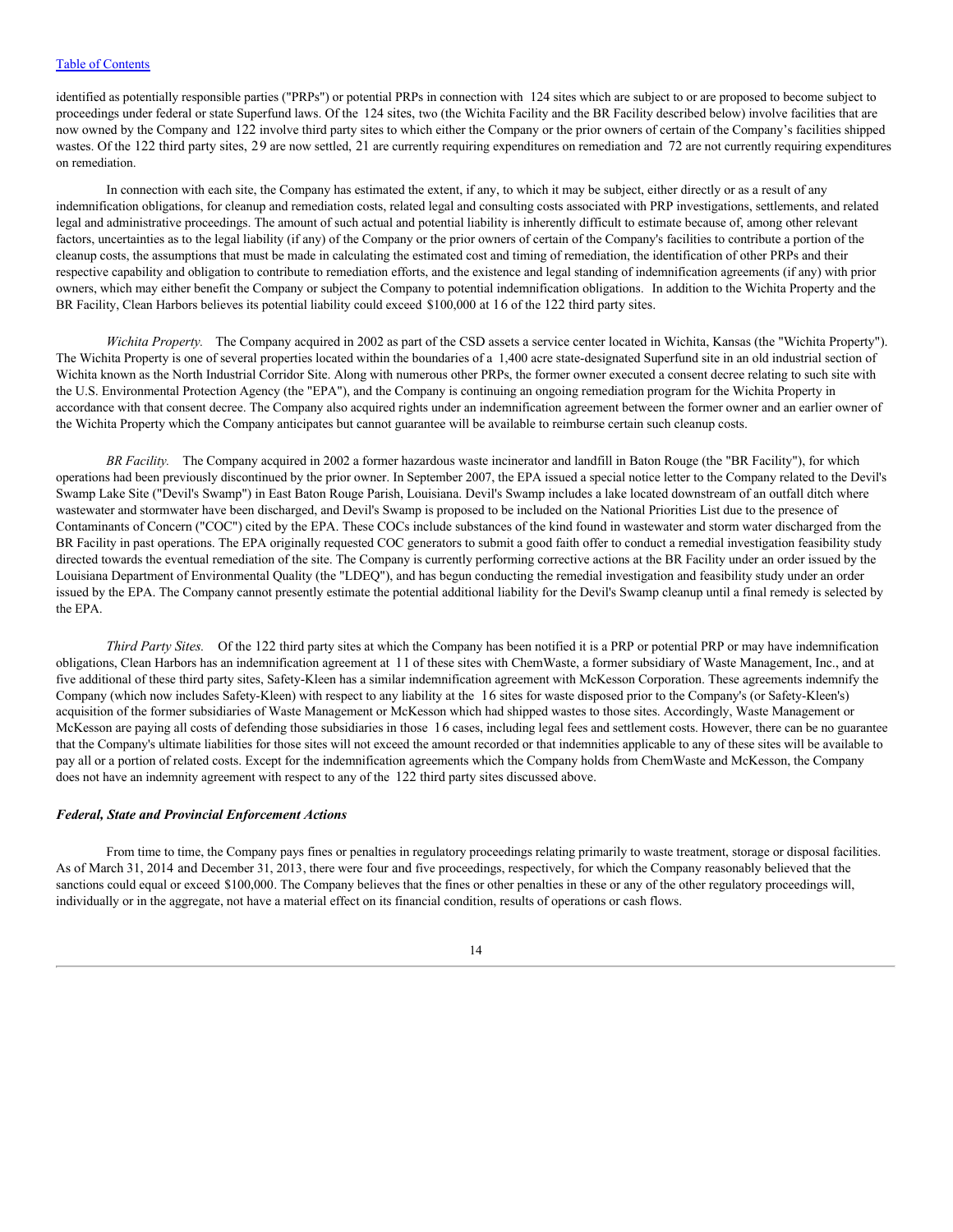identified as potentially responsible parties ("PRPs") or potential PRPs in connection with 124 sites which are subject to or are proposed to become subject to proceedings under federal or state Superfund laws. Of the 124 sites, two (the Wichita Facility and the BR Facility described below) involve facilities that are now owned by the Company and 122 involve third party sites to which either the Company or the prior owners of certain of the Company's facilities shipped wastes. Of the 122 third party sites, 29 are now settled, 21 are currently requiring expenditures on remediation and 72 are not currently requiring expenditures on remediation.

In connection with each site, the Company has estimated the extent, if any, to which it may be subject, either directly or as a result of any indemnification obligations, for cleanup and remediation costs, related legal and consulting costs associated with PRP investigations, settlements, and related legal and administrative proceedings. The amount of such actual and potential liability is inherently difficult to estimate because of, among other relevant factors, uncertainties as to the legal liability (if any) of the Company or the prior owners of certain of the Company's facilities to contribute a portion of the cleanup costs, the assumptions that must be made in calculating the estimated cost and timing of remediation, the identification of other PRPs and their respective capability and obligation to contribute to remediation efforts, and the existence and legal standing of indemnification agreements (if any) with prior owners, which may either benefit the Company or subject the Company to potential indemnification obligations. In addition to the Wichita Property and the BR Facility, Clean Harbors believes its potential liability could exceed \$100,000 at 16 of the 122 third party sites.

*Wichita Property.* The Company acquired in 2002 as part of the CSD assets a service center located in Wichita, Kansas (the "Wichita Property"). The Wichita Property is one of several properties located within the boundaries of a 1,400 acre state-designated Superfund site in an old industrial section of Wichita known as the North Industrial Corridor Site. Along with numerous other PRPs, the former owner executed a consent decree relating to such site with the U.S. Environmental Protection Agency (the "EPA"), and the Company is continuing an ongoing remediation program for the Wichita Property in accordance with that consent decree. The Company also acquired rights under an indemnification agreement between the former owner and an earlier owner of the Wichita Property which the Company anticipates but cannot guarantee will be available to reimburse certain such cleanup costs.

*BR Facility.* The Company acquired in 2002 a former hazardous waste incinerator and landfill in Baton Rouge (the "BR Facility"), for which operations had been previously discontinued by the prior owner. In September 2007, the EPA issued a special notice letter to the Company related to the Devil's Swamp Lake Site ("Devil's Swamp") in East Baton Rouge Parish, Louisiana. Devil's Swamp includes a lake located downstream of an outfall ditch where wastewater and stormwater have been discharged, and Devil's Swamp is proposed to be included on the National Priorities List due to the presence of Contaminants of Concern ("COC") cited by the EPA. These COCs include substances of the kind found in wastewater and storm water discharged from the BR Facility in past operations. The EPA originally requested COC generators to submit a good faith offer to conduct a remedial investigation feasibility study directed towards the eventual remediation of the site. The Company is currently performing corrective actions at the BR Facility under an order issued by the Louisiana Department of Environmental Quality (the "LDEQ"), and has begun conducting the remedial investigation and feasibility study under an order issued by the EPA. The Company cannot presently estimate the potential additional liability for the Devil's Swamp cleanup until a final remedy is selected by the EPA.

*Third Party Sites.* Of the 122 third party sites at which the Company has been notified it is a PRP or potential PRP or may have indemnification obligations, Clean Harbors has an indemnification agreement at 11 of these sites with ChemWaste, a former subsidiary of Waste Management, Inc., and at five additional of these third party sites, Safety-Kleen has a similar indemnification agreement with McKesson Corporation. These agreements indemnify the Company (which now includes Safety-Kleen) with respect to any liability at the 16 sites for waste disposed prior to the Company's (or Safety-Kleen's) acquisition of the former subsidiaries of Waste Management or McKesson which had shipped wastes to those sites. Accordingly, Waste Management or McKesson are paying all costs of defending those subsidiaries in those 16 cases, including legal fees and settlement costs. However, there can be no guarantee that the Company's ultimate liabilities for those sites will not exceed the amount recorded or that indemnities applicable to any of these sites will be available to pay all or a portion of related costs. Except for the indemnification agreements which the Company holds from ChemWaste and McKesson, the Company does not have an indemnity agreement with respect to any of the 122 third party sites discussed above.

#### *Federal, State and Provincial Enforcement Actions*

From time to time, the Company pays fines or penalties in regulatory proceedings relating primarily to waste treatment, storage or disposal facilities. As of March 31, 2014 and December 31, 2013, there were four and five proceedings, respectively, for which the Company reasonably believed that the sanctions could equal or exceed \$100,000. The Company believes that the fines or other penalties in these or any of the other regulatory proceedings will, individually or in the aggregate, not have a material effect on its financial condition, results of operations or cash flows.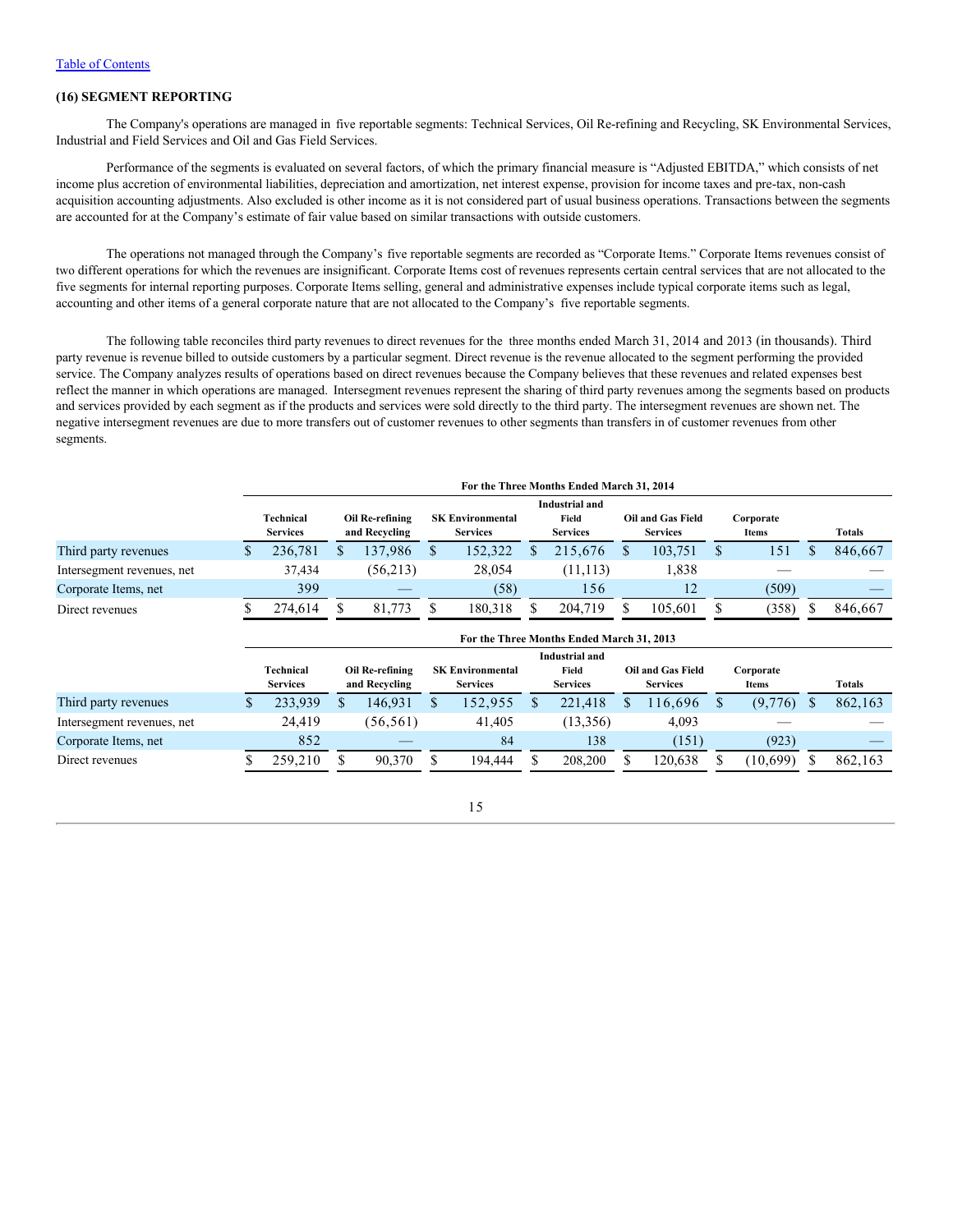#### **(16) SEGMENT REPORTING**

The Company's operations are managed in five reportable segments: Technical Services, Oil Re-refining and Recycling, SK Environmental Services, Industrial and Field Services and Oil and Gas Field Services.

Performance of the segments is evaluated on several factors, of which the primary financial measure is "Adjusted EBITDA," which consists of net income plus accretion of environmental liabilities, depreciation and amortization, net interest expense, provision for income taxes and pre-tax, non-cash acquisition accounting adjustments. Also excluded is other income as it is not considered part of usual business operations. Transactions between the segments are accounted for at the Company's estimate of fair value based on similar transactions with outside customers.

The operations not managed through the Company's five reportable segments are recorded as "Corporate Items." Corporate Items revenues consist of two different operations for which the revenues are insignificant. Corporate Items cost of revenues represents certain central services that are not allocated to the five segments for internal reporting purposes. Corporate Items selling, general and administrative expenses include typical corporate items such as legal, accounting and other items of a general corporate nature that are not allocated to the Company's five reportable segments.

The following table reconciles third party revenues to direct revenues for the three months ended March 31, 2014 and 2013 (in thousands). Third party revenue is revenue billed to outside customers by a particular segment. Direct revenue is the revenue allocated to the segment performing the provided service. The Company analyzes results of operations based on direct revenues because the Company believes that these revenues and related expenses best reflect the manner in which operations are managed. Intersegment revenues represent the sharing of third party revenues among the segments based on products and services provided by each segment as if the products and services were sold directly to the third party. The intersegment revenues are shown net. The negative intersegment revenues are due to more transfers out of customer revenues to other segments than transfers in of customer revenues from other segments.

|                            |    |                              |                                  |           |                                            |                                            |                                                   | For the Three Months Ended March 31, 2014         |                                             |                                             |    |                    |  |         |
|----------------------------|----|------------------------------|----------------------------------|-----------|--------------------------------------------|--------------------------------------------|---------------------------------------------------|---------------------------------------------------|---------------------------------------------|---------------------------------------------|----|--------------------|--|---------|
|                            |    | Technical<br><b>Services</b> | Oil Re-refining<br>and Recycling |           | <b>SK Environmental</b><br><b>Services</b> |                                            | <b>Industrial and</b><br>Field<br><b>Services</b> |                                                   | <b>Oil and Gas Field</b><br><b>Services</b> |                                             |    | Corporate<br>Items |  | Totals  |
| Third party revenues       | S  | 236,781                      | \$                               | 137,986   | \$                                         | 152,322                                    |                                                   | 215,676                                           | \$                                          | 103,751                                     | S  | 151                |  | 846,667 |
| Intersegment revenues, net |    | 37,434                       |                                  | (56,213)  |                                            | 28,054                                     |                                                   | (11, 113)                                         |                                             | 1,838                                       |    |                    |  |         |
| Corporate Items, net       |    | 399                          |                                  |           |                                            | (58)                                       |                                                   | 156                                               |                                             | 12                                          |    | (509)              |  |         |
| Direct revenues            |    | 274,614                      |                                  | 81,773    |                                            | 180,318                                    |                                                   | 204,719                                           |                                             | 105,601                                     |    | (358)              |  | 846,667 |
|                            |    |                              |                                  |           |                                            |                                            |                                                   | For the Three Months Ended March 31, 2013         |                                             |                                             |    |                    |  |         |
|                            |    | Technical<br><b>Services</b> | Oil Re-refining<br>and Recycling |           |                                            | <b>SK Environmental</b><br><b>Services</b> |                                                   | <b>Industrial and</b><br>Field<br><b>Services</b> |                                             | <b>Oil and Gas Field</b><br><b>Services</b> |    | Corporate<br>Items |  | Totals  |
| Third party revenues       | \$ | 233,939                      | \$                               | 146,931   | \$                                         | 152,955                                    | S.                                                | 221,418                                           | \$.                                         | 116,696                                     | \$ | (9,776)            |  | 862,163 |
| Intersegment revenues, net |    | 24,419                       |                                  | (56, 561) |                                            | 41,405                                     |                                                   | (13,356)                                          |                                             | 4,093                                       |    |                    |  |         |
| Corporate Items, net       |    | 852                          |                                  |           |                                            | 84                                         |                                                   | 138                                               |                                             | (151)                                       |    | (923)              |  |         |
| Direct revenues            |    | 259,210                      |                                  | 90,370    |                                            | 194,444                                    |                                                   | 208,200                                           |                                             | 120,638                                     |    | (10,699)           |  | 862,163 |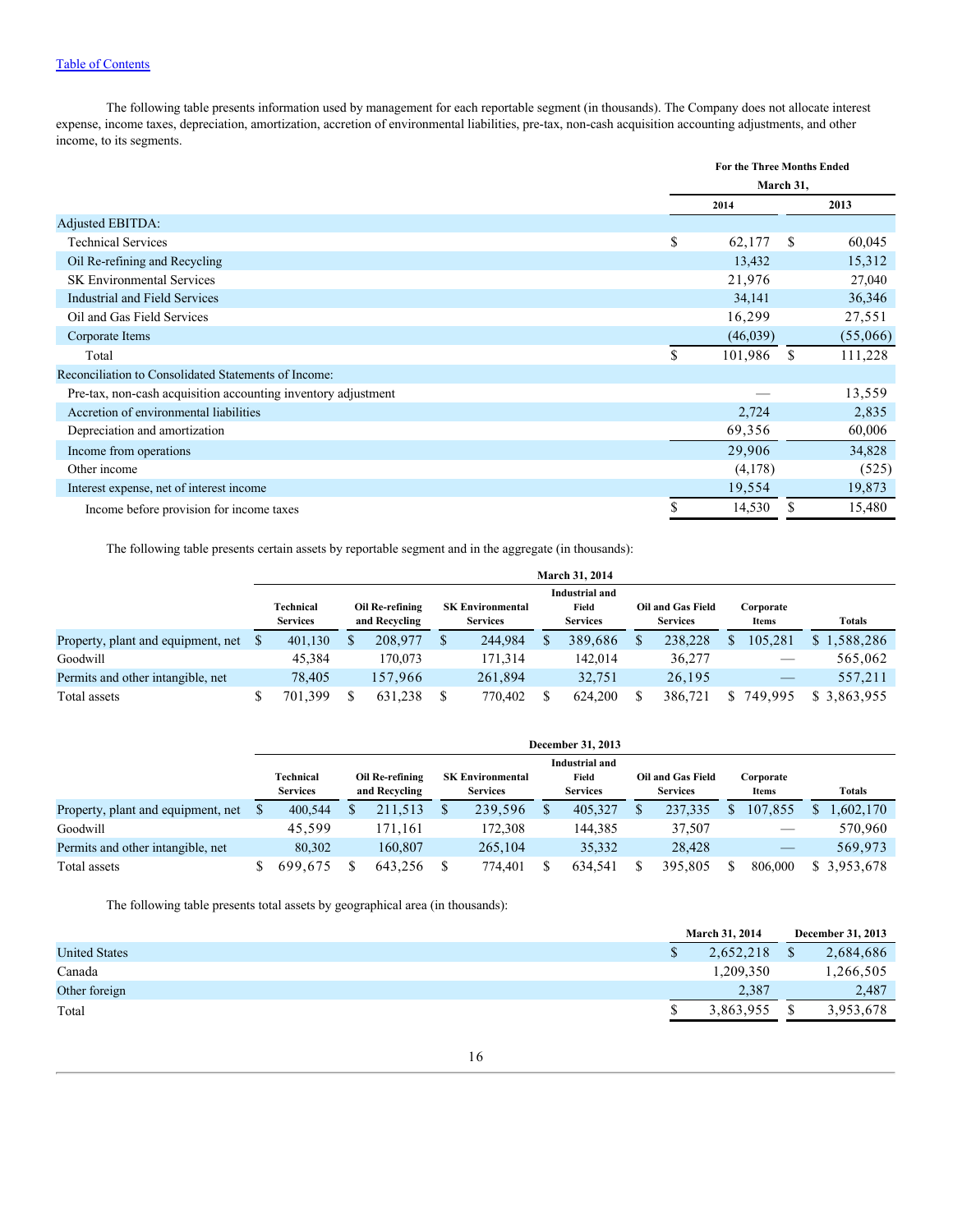## [Table of Contents](#page-1-0)

The following table presents information used by management for each reportable segment (in thousands). The Company does not allocate interest expense, income taxes, depreciation, amortization, accretion of environmental liabilities, pre-tax, non-cash acquisition accounting adjustments, and other income, to its segments.

|                                                               |    | <b>For the Three Months Ended</b> |    |          |  |  |  |
|---------------------------------------------------------------|----|-----------------------------------|----|----------|--|--|--|
|                                                               |    | March 31,                         |    |          |  |  |  |
|                                                               |    | 2014                              |    | 2013     |  |  |  |
| Adjusted EBITDA:                                              |    |                                   |    |          |  |  |  |
| <b>Technical Services</b>                                     | \$ | 62,177                            | S. | 60,045   |  |  |  |
| Oil Re-refining and Recycling                                 |    | 13,432                            |    | 15,312   |  |  |  |
| <b>SK Environmental Services</b>                              |    | 21,976                            |    | 27,040   |  |  |  |
| Industrial and Field Services                                 |    | 34,141                            |    | 36,346   |  |  |  |
| Oil and Gas Field Services                                    |    | 16,299                            |    | 27,551   |  |  |  |
| Corporate Items                                               |    | (46,039)                          |    | (55,066) |  |  |  |
| Total                                                         | \$ | 101,986                           | S. | 111,228  |  |  |  |
| Reconciliation to Consolidated Statements of Income:          |    |                                   |    |          |  |  |  |
| Pre-tax, non-cash acquisition accounting inventory adjustment |    |                                   |    | 13,559   |  |  |  |
| Accretion of environmental liabilities                        |    | 2,724                             |    | 2,835    |  |  |  |
| Depreciation and amortization                                 |    | 69,356                            |    | 60,006   |  |  |  |
| Income from operations                                        |    | 29,906                            |    | 34,828   |  |  |  |
| Other income                                                  |    | (4,178)                           |    | (525)    |  |  |  |
| Interest expense, net of interest income                      |    | 19,554                            |    | 19,873   |  |  |  |
| Income before provision for income taxes                      | S  | 14,530                            | S  | 15,480   |  |  |  |

The following table presents certain assets by reportable segment and in the aggregate (in thousands):

|                                    |   |                              |                                                                                                                              |         |  |         |  | <b>March 31, 2014</b> |  |         |  |                           |               |
|------------------------------------|---|------------------------------|------------------------------------------------------------------------------------------------------------------------------|---------|--|---------|--|-----------------------|--|---------|--|---------------------------|---------------|
|                                    |   | Technical<br><b>Services</b> | Industrial and<br>Oil Re-refining<br><b>SK Environmental</b><br>Field<br>and Recycling<br><b>Services</b><br><b>Services</b> |         |  |         |  |                       |  |         |  | Corporate<br><b>Items</b> | <b>Totals</b> |
| Property, plant and equipment, net | S | 401,130                      | \$.                                                                                                                          | 208,977 |  | 244,984 |  | 389,686               |  | 238.228 |  | 105.281                   | 1,588,286     |
| Goodwill                           |   | 45.384                       |                                                                                                                              | 170,073 |  | 171.314 |  | 142,014               |  | 36,277  |  |                           | 565,062       |
| Permits and other intangible, net  |   | 78,405                       |                                                                                                                              | 157,966 |  | 261,894 |  | 32,751                |  | 26.195  |  |                           | 557,211       |
| Total assets                       |   | 701,399                      |                                                                                                                              | 631.238 |  | 770,402 |  | 624,200               |  | 386,721 |  | 749.995                   | \$ 3,863,955  |

|                                    | December 31, 2013            |  |                                                                                |  |         |                                                   |         |  |                                      |  |                           |  |               |
|------------------------------------|------------------------------|--|--------------------------------------------------------------------------------|--|---------|---------------------------------------------------|---------|--|--------------------------------------|--|---------------------------|--|---------------|
|                                    | Technical<br><b>Services</b> |  | Oil Re-refining<br><b>SK Environmental</b><br>and Recycling<br><b>Services</b> |  |         | <b>Industrial and</b><br>Field<br><b>Services</b> |         |  | Oil and Gas Field<br><b>Services</b> |  | Corporate<br><b>Items</b> |  | <b>Totals</b> |
| Property, plant and equipment, net | 400.544                      |  | 211.513                                                                        |  | 239,596 |                                                   | 405,327 |  | 237,335                              |  | 107,855                   |  | .602,170      |
| Goodwill                           | 45.599                       |  | 171.161                                                                        |  | 172.308 |                                                   | 144.385 |  | 37,507                               |  |                           |  | 570,960       |
| Permits and other intangible, net  | 80,302                       |  | 160,807                                                                        |  | 265,104 |                                                   | 35.332  |  | 28,428                               |  |                           |  | 569,973       |
| Total assets                       | 699.675                      |  | 643.256                                                                        |  | 774.401 |                                                   | 634.541 |  | 395.805                              |  | 806,000                   |  | \$ 3.953,678  |

The following table presents total assets by geographical area (in thousands):

|                      | March 31, 2014 | December 31, 2013 |
|----------------------|----------------|-------------------|
| <b>United States</b> | 2,652,218      | 2,684,686         |
| Canada               | 1,209,350      | 1,266,505         |
| Other foreign        | 2.387          | 2,487             |
| Total                | 3,863,955      | 3,953,678         |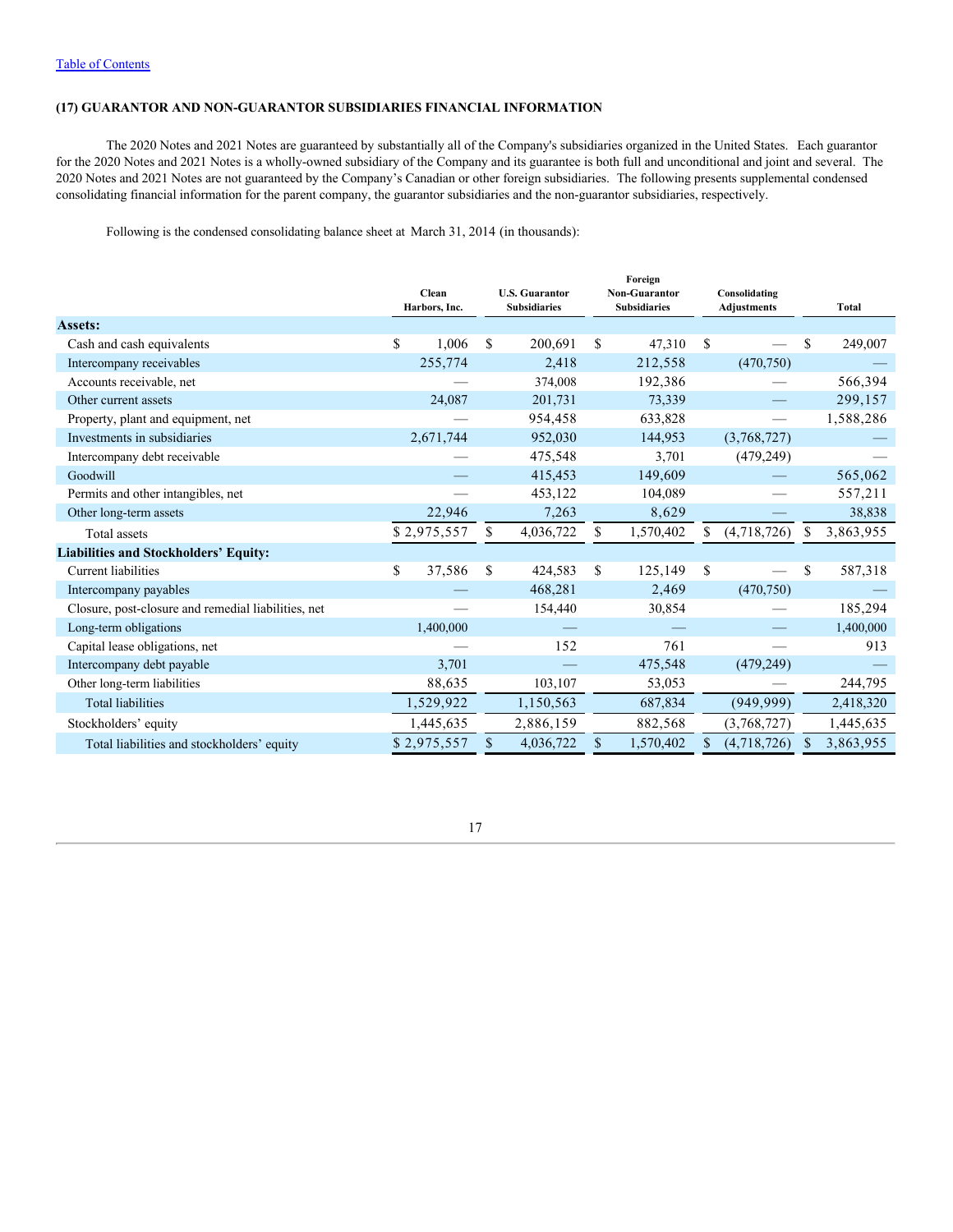## **(17) GUARANTOR AND NON-GUARANTOR SUBSIDIARIES FINANCIAL INFORMATION**

The 2020 Notes and 2021 Notes are guaranteed by substantially all of the Company's subsidiaries organized in the United States. Each guarantor for the 2020 Notes and 2021 Notes is a wholly-owned subsidiary of the Company and its guarantee is both full and unconditional and joint and several. The 2020 Notes and 2021 Notes are not guaranteed by the Company's Canadian or other foreign subsidiaries. The following presents supplemental condensed consolidating financial information for the parent company, the guarantor subsidiaries and the non-guarantor subsidiaries, respectively.

Following is the condensed consolidating balance sheet at March 31, 2014 (in thousands):

|    | Clean     | <b>U.S. Guarantor</b>                                                              |           |                     | Non-Guarantor<br><b>Subsidiaries</b> |               | Consolidating   |                    | Total     |
|----|-----------|------------------------------------------------------------------------------------|-----------|---------------------|--------------------------------------|---------------|-----------------|--------------------|-----------|
|    |           |                                                                                    |           |                     |                                      |               |                 |                    |           |
| \$ | 1,006     | \$.                                                                                | 200,691   | \$                  | 47,310                               | <sup>\$</sup> |                 | \$                 | 249,007   |
|    | 255,774   |                                                                                    | 2,418     |                     | 212,558                              |               | (470, 750)      |                    |           |
|    |           |                                                                                    | 374,008   |                     | 192,386                              |               |                 |                    | 566,394   |
|    | 24,087    |                                                                                    | 201,731   |                     | 73,339                               |               |                 |                    | 299,157   |
|    |           |                                                                                    | 954,458   |                     | 633,828                              |               | $\qquad \qquad$ |                    | 1,588,286 |
|    |           |                                                                                    | 952,030   |                     | 144,953                              |               | (3,768,727)     |                    |           |
|    |           |                                                                                    | 475,548   |                     | 3,701                                |               | (479, 249)      |                    |           |
|    |           |                                                                                    | 415,453   |                     | 149,609                              |               |                 |                    | 565,062   |
|    |           |                                                                                    | 453,122   |                     | 104,089                              |               |                 |                    | 557,211   |
|    | 22,946    |                                                                                    | 7,263     |                     | 8,629                                |               |                 |                    | 38,838    |
|    |           | S.                                                                                 | 4,036,722 | \$                  | 1,570,402                            | S.            | (4,718,726)     | S.                 | 3,863,955 |
|    |           |                                                                                    |           |                     |                                      |               |                 |                    |           |
| S  | 37,586    | S                                                                                  | 424,583   | \$                  | 125,149                              | <sup>\$</sup> |                 | S.                 | 587,318   |
|    |           |                                                                                    | 468,281   |                     | 2,469                                |               | (470, 750)      |                    |           |
|    |           |                                                                                    | 154,440   |                     | 30,854                               |               |                 |                    | 185,294   |
|    | 1,400,000 |                                                                                    |           |                     |                                      |               |                 |                    | 1,400,000 |
|    |           |                                                                                    | 152       |                     | 761                                  |               |                 |                    | 913       |
|    | 3,701     |                                                                                    |           |                     | 475,548                              |               | (479, 249)      |                    |           |
|    | 88,635    |                                                                                    | 103,107   |                     | 53,053                               |               |                 |                    | 244,795   |
|    |           |                                                                                    | 1,150,563 |                     | 687,834                              |               | (949, 999)      |                    | 2,418,320 |
|    |           |                                                                                    | 2,886,159 |                     | 882,568                              |               | (3,768,727)     |                    | 1,445,635 |
|    |           | \$                                                                                 | 4,036,722 | \$                  | 1,570,402                            |               | (4,718,726)     |                    | 3,863,955 |
|    |           | Harbors, Inc.<br>2,671,744<br>\$2,975,557<br>1,529,922<br>1,445,635<br>\$2,975,557 |           | <b>Subsidiaries</b> |                                      | Foreign       |                 | <b>Adjustments</b> |           |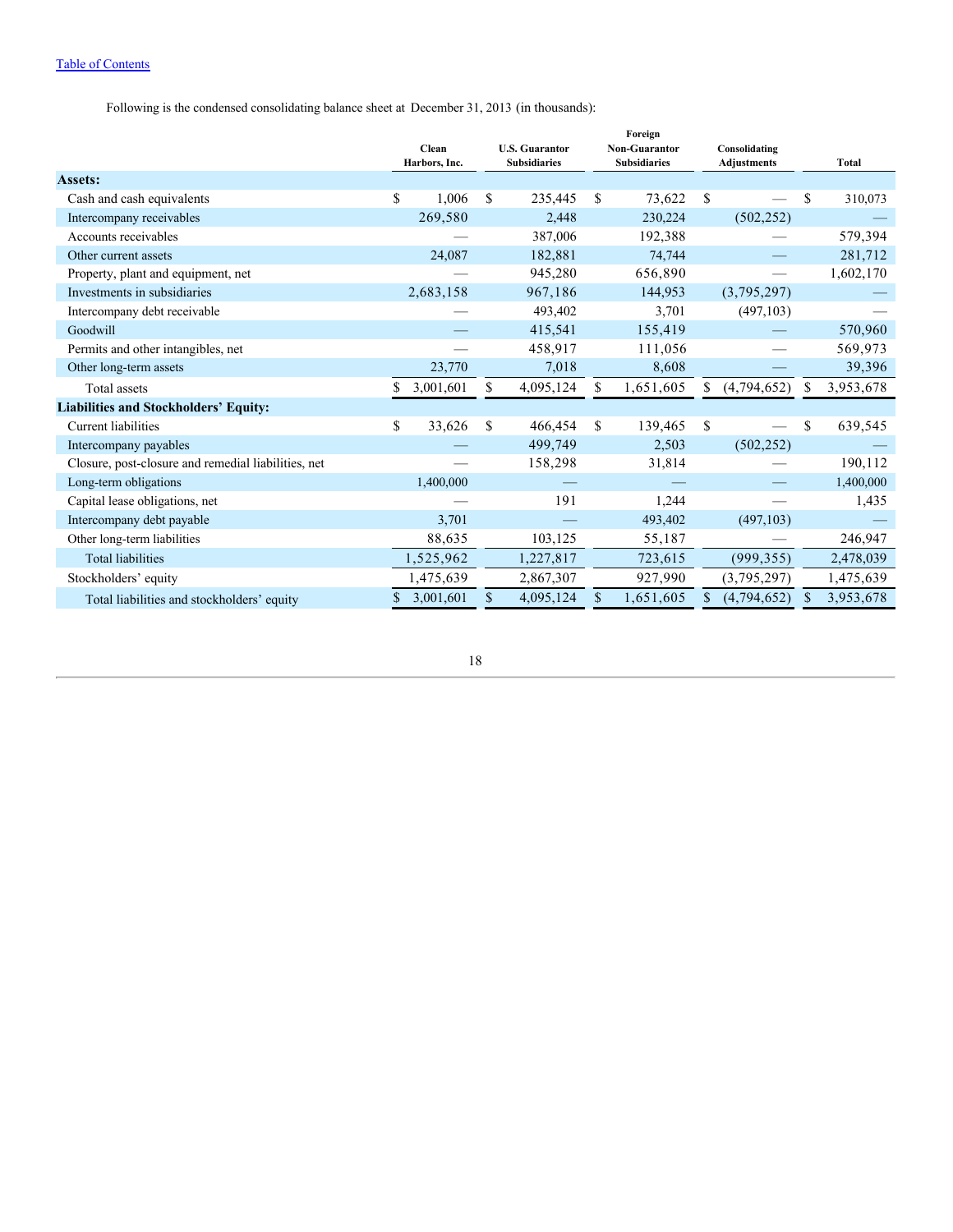Following is the condensed consolidating balance sheet at December 31, 2013 (in thousands):

|                                                     |    |                        |               |                                              |    | Foreign                                     |               |                                     |    |           |
|-----------------------------------------------------|----|------------------------|---------------|----------------------------------------------|----|---------------------------------------------|---------------|-------------------------------------|----|-----------|
|                                                     |    | Clean<br>Harbors, Inc. |               | <b>U.S. Guarantor</b><br><b>Subsidiaries</b> |    | <b>Non-Guarantor</b><br><b>Subsidiaries</b> |               | Consolidating<br><b>Adjustments</b> |    | Total     |
| Assets:                                             |    |                        |               |                                              |    |                                             |               |                                     |    |           |
| Cash and cash equivalents                           | \$ | 1,006                  | <sup>\$</sup> | 235,445                                      | \$ | 73,622                                      | <sup>\$</sup> |                                     | \$ | 310,073   |
| Intercompany receivables                            |    | 269,580                |               | 2,448                                        |    | 230,224                                     |               | (502, 252)                          |    |           |
| Accounts receivables                                |    |                        |               | 387,006                                      |    | 192,388                                     |               |                                     |    | 579,394   |
| Other current assets                                |    | 24,087                 |               | 182,881                                      |    | 74,744                                      |               |                                     |    | 281,712   |
| Property, plant and equipment, net                  |    |                        |               | 945,280                                      |    | 656,890                                     |               | $\overbrace{\phantom{aaaaa}}$       |    | 1,602,170 |
| Investments in subsidiaries                         |    | 2,683,158              |               | 967,186                                      |    | 144,953                                     |               | (3,795,297)                         |    |           |
| Intercompany debt receivable                        |    |                        |               | 493,402                                      |    | 3,701                                       |               | (497, 103)                          |    |           |
| Goodwill                                            |    |                        |               | 415,541                                      |    | 155,419                                     |               |                                     |    | 570,960   |
| Permits and other intangibles, net                  |    |                        |               | 458,917                                      |    | 111,056                                     |               |                                     |    | 569,973   |
| Other long-term assets                              |    | 23,770                 |               | 7,018                                        |    | 8,608                                       |               |                                     |    | 39,396    |
| Total assets                                        | S  | 3,001,601              | \$            | 4,095,124                                    | S. | 1,651,605                                   | S.            | (4,794,652)                         | S. | 3,953,678 |
| <b>Liabilities and Stockholders' Equity:</b>        |    |                        |               |                                              |    |                                             |               |                                     |    |           |
| Current liabilities                                 | \$ | 33,626                 | \$            | 466,454                                      | \$ | 139,465                                     | <sup>\$</sup> |                                     | \$ | 639,545   |
| Intercompany payables                               |    |                        |               | 499,749                                      |    | 2,503                                       |               | (502, 252)                          |    |           |
| Closure, post-closure and remedial liabilities, net |    |                        |               | 158,298                                      |    | 31,814                                      |               |                                     |    | 190,112   |
| Long-term obligations                               |    | 1,400,000              |               |                                              |    |                                             |               |                                     |    | 1,400,000 |
| Capital lease obligations, net                      |    |                        |               | 191                                          |    | 1,244                                       |               |                                     |    | 1,435     |
| Intercompany debt payable                           |    | 3,701                  |               |                                              |    | 493,402                                     |               | (497, 103)                          |    |           |
| Other long-term liabilities                         |    | 88,635                 |               | 103,125                                      |    | 55,187                                      |               |                                     |    | 246,947   |
| <b>Total liabilities</b>                            |    | 1,525,962              |               | 1,227,817                                    |    | 723,615                                     |               | (999, 355)                          |    | 2,478,039 |
| Stockholders' equity                                |    | 1,475,639              |               | 2,867,307                                    |    | 927,990                                     |               | (3,795,297)                         |    | 1,475,639 |
| Total liabilities and stockholders' equity          |    | 3,001,601              | \$            | 4,095,124                                    | S  | 1,651,605                                   | \$            | (4,794,652)                         | \$ | 3,953,678 |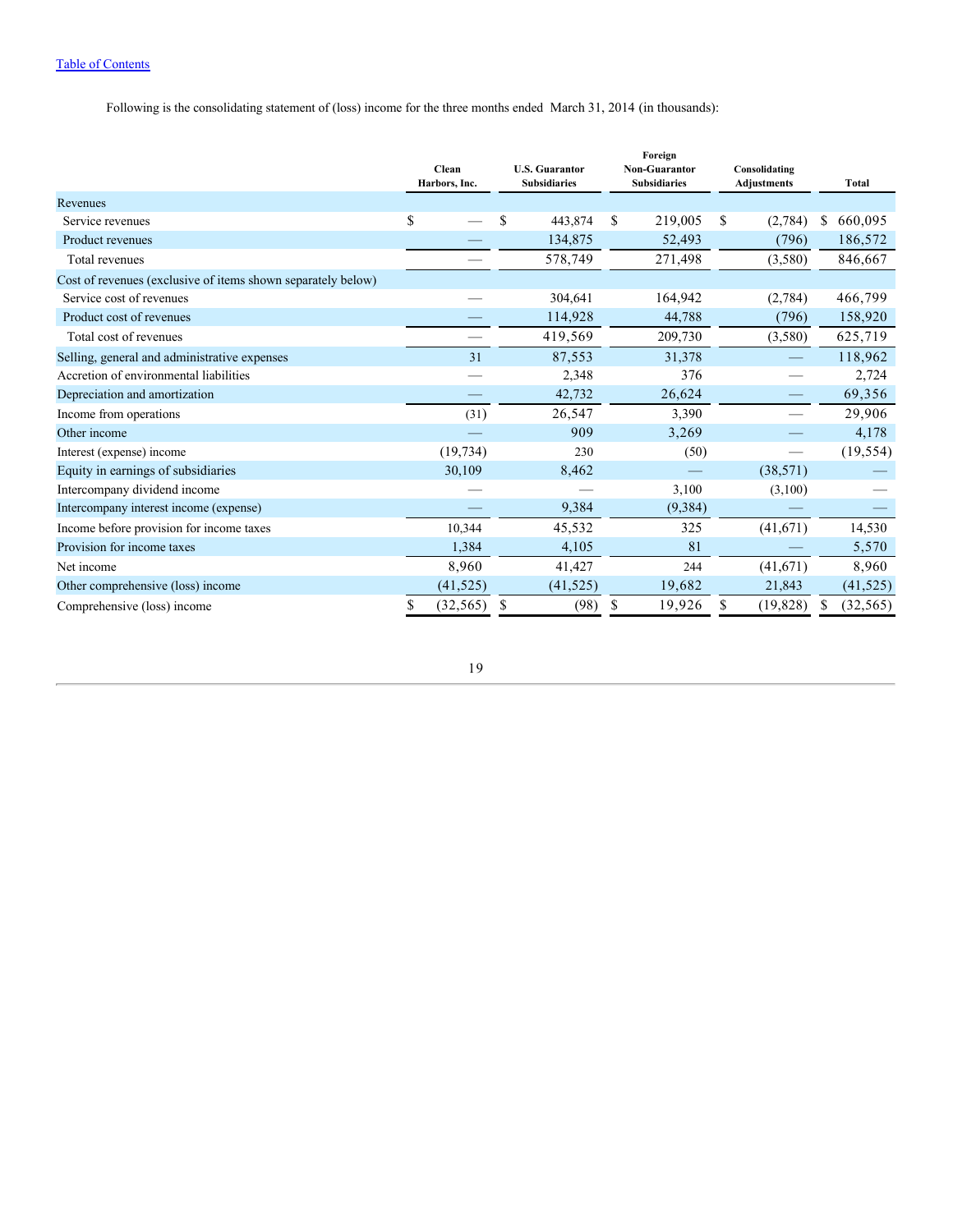Following is the consolidating statement of (loss) income for the three months ended March 31, 2014 (in thousands):

|                                                              | Clean<br><b>U.S. Guarantor</b> |               | <b>Subsidiaries</b> |           | Foreign<br><b>Non-Guarantor</b><br><b>Subsidiaries</b> | Consolidating<br><b>Adjustments</b> |    |                                 | <b>Total</b> |           |
|--------------------------------------------------------------|--------------------------------|---------------|---------------------|-----------|--------------------------------------------------------|-------------------------------------|----|---------------------------------|--------------|-----------|
|                                                              |                                | Harbors, Inc. |                     |           |                                                        |                                     |    |                                 |              |           |
| Revenues                                                     |                                |               |                     |           |                                                        |                                     |    |                                 |              |           |
| Service revenues                                             | \$                             |               | S                   | 443,874   | \$.                                                    | 219,005                             | S  | (2,784)                         | S.           | 660,095   |
| Product revenues                                             |                                |               |                     | 134,875   |                                                        | 52,493                              |    | (796)                           |              | 186,572   |
| Total revenues                                               |                                |               |                     | 578,749   |                                                        | 271,498                             |    | (3,580)                         |              | 846,667   |
| Cost of revenues (exclusive of items shown separately below) |                                |               |                     |           |                                                        |                                     |    |                                 |              |           |
| Service cost of revenues                                     |                                |               |                     | 304,641   |                                                        | 164,942                             |    | (2,784)                         |              | 466,799   |
| Product cost of revenues                                     |                                |               |                     | 114,928   |                                                        | 44,788                              |    | (796)                           |              | 158,920   |
| Total cost of revenues                                       |                                |               |                     | 419,569   |                                                        | 209,730                             |    | (3,580)                         |              | 625,719   |
| Selling, general and administrative expenses                 |                                | 31            |                     | 87,553    |                                                        | 31,378                              |    |                                 |              | 118,962   |
| Accretion of environmental liabilities                       |                                |               |                     | 2,348     |                                                        | 376                                 |    |                                 |              | 2,724     |
| Depreciation and amortization                                |                                |               |                     | 42,732    |                                                        | 26,624                              |    |                                 |              | 69,356    |
| Income from operations                                       |                                | (31)          |                     | 26,547    |                                                        | 3,390                               |    |                                 |              | 29,906    |
| Other income                                                 |                                |               |                     | 909       |                                                        | 3,269                               |    |                                 |              | 4,178     |
| Interest (expense) income                                    |                                | (19, 734)     |                     | 230       |                                                        | (50)                                |    | $\hspace{0.1mm}-\hspace{0.1mm}$ |              | (19, 554) |
| Equity in earnings of subsidiaries                           |                                | 30,109        |                     | 8,462     |                                                        |                                     |    | (38, 571)                       |              |           |
| Intercompany dividend income                                 |                                |               |                     |           |                                                        | 3,100                               |    | (3,100)                         |              |           |
| Intercompany interest income (expense)                       |                                |               |                     | 9,384     |                                                        | (9, 384)                            |    |                                 |              |           |
| Income before provision for income taxes                     |                                | 10,344        |                     | 45,532    |                                                        | 325                                 |    | (41,671)                        |              | 14,530    |
| Provision for income taxes                                   |                                | 1,384         |                     | 4,105     |                                                        | 81                                  |    |                                 |              | 5,570     |
| Net income                                                   |                                | 8,960         |                     | 41,427    |                                                        | 244                                 |    | (41,671)                        |              | 8,960     |
| Other comprehensive (loss) income                            |                                | (41, 525)     |                     | (41, 525) |                                                        | 19,682                              |    | 21,843                          |              | (41, 525) |
| Comprehensive (loss) income                                  |                                | (32, 565)     | \$                  | (98)      | \$                                                     | 19,926                              | \$ | (19, 828)                       | \$           | (32, 565) |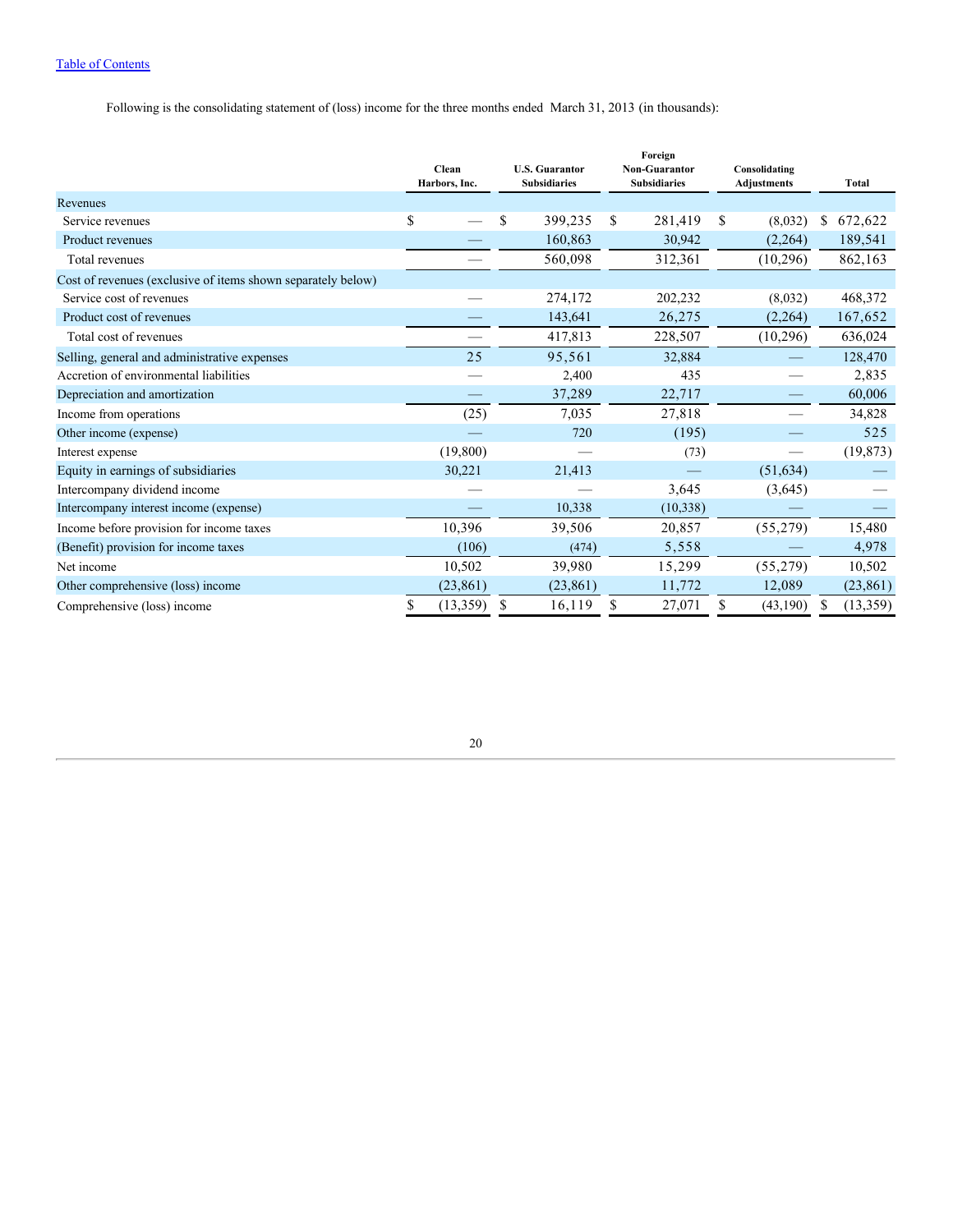Following is the consolidating statement of (loss) income for the three months ended March 31, 2013 (in thousands):

|                                                              | Clean<br>Harbors, Inc. | <b>U.S. Guarantor</b><br><b>Subsidiaries</b> |    | Foreign<br><b>Non-Guarantor</b><br><b>Subsidiaries</b> | Consolidating<br><b>Adjustments</b> |                 |    | <b>Total</b> |
|--------------------------------------------------------------|------------------------|----------------------------------------------|----|--------------------------------------------------------|-------------------------------------|-----------------|----|--------------|
| Revenues                                                     |                        |                                              |    |                                                        |                                     |                 |    |              |
| Service revenues                                             | \$                     | 399,235                                      | S  | 281,419                                                | \$                                  | (8,032)         | S. | 672,622      |
| Product revenues                                             |                        | 160,863                                      |    | 30,942                                                 |                                     | (2,264)         |    | 189,541      |
| Total revenues                                               |                        | 560,098                                      |    | 312,361                                                |                                     | (10, 296)       |    | 862,163      |
| Cost of revenues (exclusive of items shown separately below) |                        |                                              |    |                                                        |                                     |                 |    |              |
| Service cost of revenues                                     |                        | 274,172                                      |    | 202,232                                                |                                     | (8,032)         |    | 468,372      |
| Product cost of revenues                                     |                        | 143,641                                      |    | 26,275                                                 |                                     | (2,264)         |    | 167,652      |
| Total cost of revenues                                       |                        | 417,813                                      |    | 228,507                                                |                                     | (10, 296)       |    | 636,024      |
| Selling, general and administrative expenses                 | 25                     | 95,561                                       |    | 32,884                                                 |                                     |                 |    | 128,470      |
| Accretion of environmental liabilities                       |                        | 2,400                                        |    | 435                                                    |                                     |                 |    | 2,835        |
| Depreciation and amortization                                |                        | 37,289                                       |    | 22,717                                                 |                                     |                 |    | 60,006       |
| Income from operations                                       | (25)                   | 7,035                                        |    | 27,818                                                 |                                     |                 |    | 34,828       |
| Other income (expense)                                       |                        | 720                                          |    | (195)                                                  |                                     |                 |    | 525          |
| Interest expense                                             | (19, 800)              |                                              |    | (73)                                                   |                                     | $\qquad \qquad$ |    | (19, 873)    |
| Equity in earnings of subsidiaries                           | 30,221                 | 21,413                                       |    |                                                        |                                     | (51, 634)       |    |              |
| Intercompany dividend income                                 |                        |                                              |    | 3,645                                                  |                                     | (3,645)         |    |              |
| Intercompany interest income (expense)                       |                        | 10,338                                       |    | (10, 338)                                              |                                     |                 |    |              |
| Income before provision for income taxes                     | 10,396                 | 39,506                                       |    | 20,857                                                 |                                     | (55, 279)       |    | 15,480       |
| (Benefit) provision for income taxes                         | (106)                  | (474)                                        |    | 5,558                                                  |                                     |                 |    | 4,978        |
| Net income                                                   | 10,502                 | 39,980                                       |    | 15,299                                                 |                                     | (55,279)        |    | 10,502       |
| Other comprehensive (loss) income                            | (23, 861)              | (23, 861)                                    |    | 11,772                                                 |                                     | 12,089          |    | (23, 861)    |
| Comprehensive (loss) income                                  | \$<br>(13, 359)        | \$<br>16,119                                 | \$ | 27,071                                                 | \$                                  | (43,190)        | S. | (13,359)     |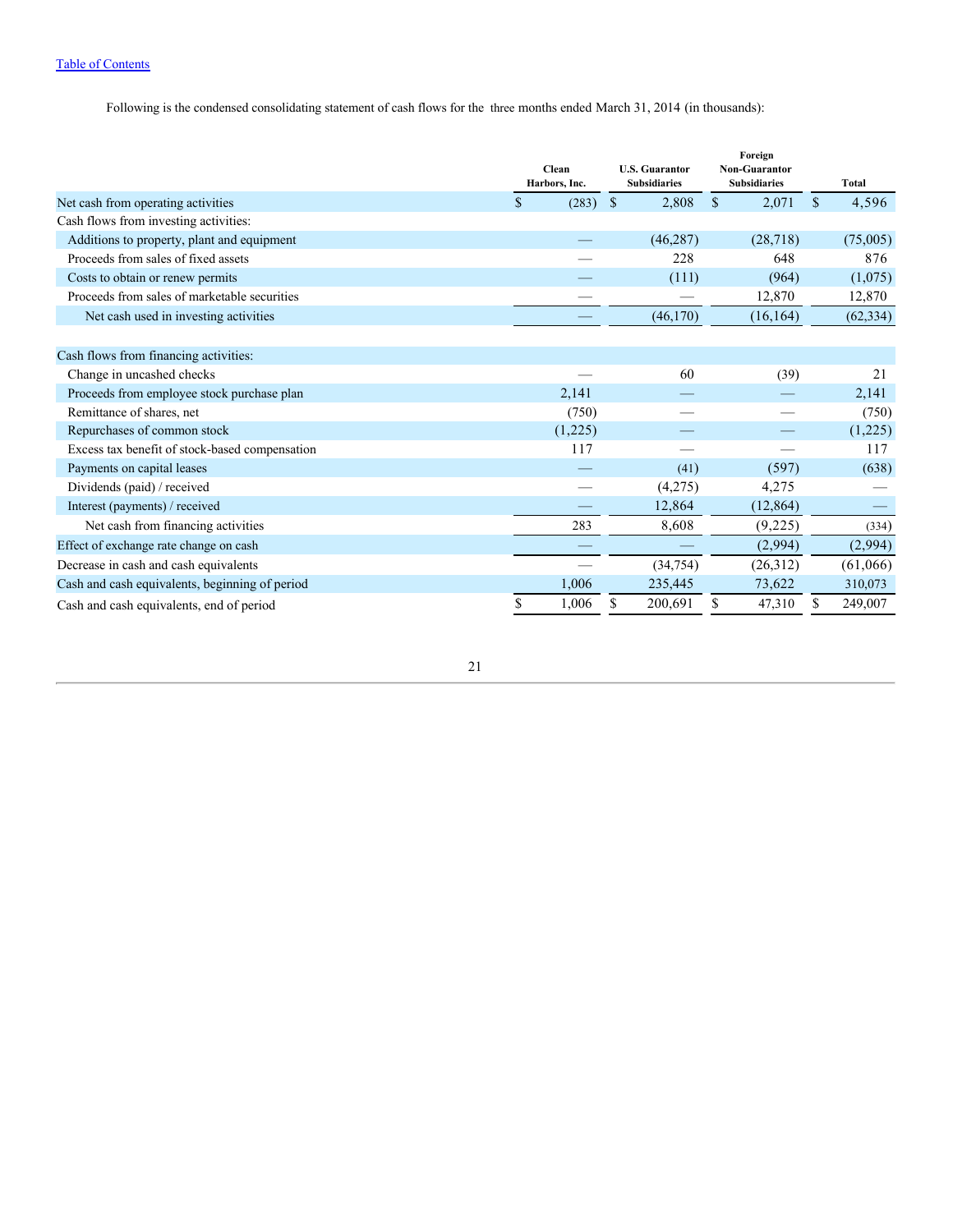# [Table of Contents](#page-1-0)

Following is the condensed consolidating statement of cash flows for the three months ended March 31, 2014 (in thousands):

|                                                | Clean<br>Harbors, Inc. |              | <b>U.S. Guarantor</b><br><b>Subsidiaries</b> |               | Foreign<br><b>Non-Guarantor</b><br><b>Subsidiaries</b> |              | <b>Total</b> |
|------------------------------------------------|------------------------|--------------|----------------------------------------------|---------------|--------------------------------------------------------|--------------|--------------|
| Net cash from operating activities             | \$<br>(283)            | <sup>S</sup> | 2,808                                        | <sup>\$</sup> | 2,071                                                  | $\mathbb{S}$ | 4,596        |
| Cash flows from investing activities:          |                        |              |                                              |               |                                                        |              |              |
| Additions to property, plant and equipment     |                        |              | (46, 287)                                    |               | (28, 718)                                              |              | (75,005)     |
| Proceeds from sales of fixed assets            |                        |              | 228                                          |               | 648                                                    |              | 876          |
| Costs to obtain or renew permits               |                        |              | (111)                                        |               | (964)                                                  |              | (1,075)      |
| Proceeds from sales of marketable securities   |                        |              |                                              |               | 12,870                                                 |              | 12,870       |
| Net cash used in investing activities          |                        |              | (46, 170)                                    |               | (16, 164)                                              |              | (62, 334)    |
|                                                |                        |              |                                              |               |                                                        |              |              |
| Cash flows from financing activities:          |                        |              |                                              |               |                                                        |              |              |
| Change in uncashed checks                      |                        |              | 60                                           |               | (39)                                                   |              | 21           |
| Proceeds from employee stock purchase plan     | 2,141                  |              |                                              |               |                                                        |              | 2,141        |
| Remittance of shares, net                      | (750)                  |              |                                              |               |                                                        |              | (750)        |
| Repurchases of common stock                    | (1,225)                |              |                                              |               |                                                        |              | (1,225)      |
| Excess tax benefit of stock-based compensation | 117                    |              |                                              |               |                                                        |              | 117          |
| Payments on capital leases                     |                        |              | (41)                                         |               | (597)                                                  |              | (638)        |
| Dividends (paid) / received                    |                        |              | (4,275)                                      |               | 4,275                                                  |              |              |
| Interest (payments) / received                 |                        |              | 12,864                                       |               | (12, 864)                                              |              |              |
| Net cash from financing activities             | 283                    |              | 8,608                                        |               | (9,225)                                                |              | (334)        |
| Effect of exchange rate change on cash         |                        |              |                                              |               | (2,994)                                                |              | (2,994)      |
| Decrease in cash and cash equivalents          |                        |              | (34, 754)                                    |               | (26,312)                                               |              | (61,066)     |
| Cash and cash equivalents, beginning of period | 1.006                  |              | 235,445                                      |               | 73,622                                                 |              | 310,073      |
| Cash and cash equivalents, end of period       | \$<br>1,006            | \$           | 200,691                                      | \$            | 47,310                                                 | S            | 249,007      |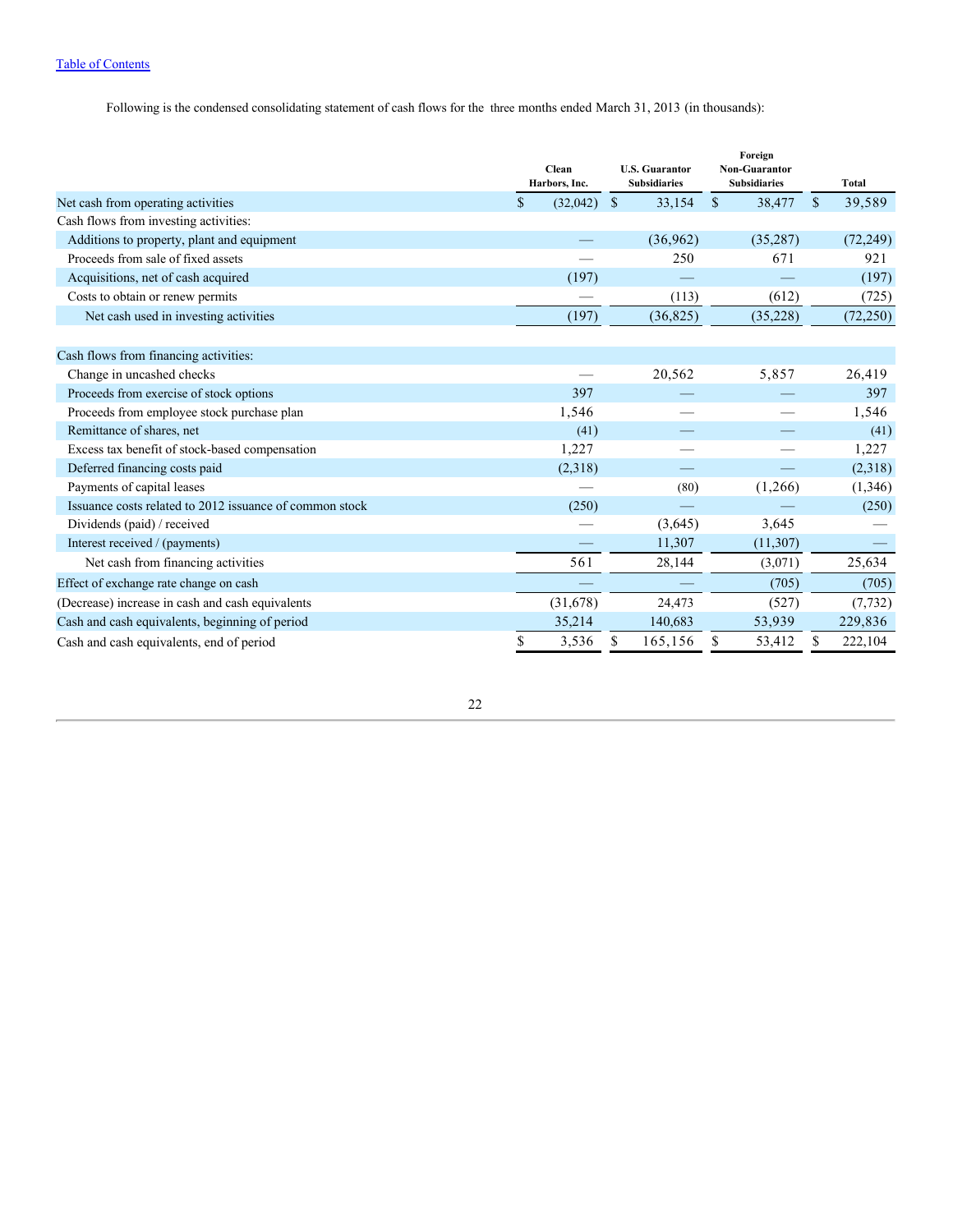# <span id="page-25-0"></span>[Table of Contents](#page-1-0)

Following is the condensed consolidating statement of cash flows for the three months ended March 31, 2013 (in thousands):

|                                                         |               | Clean<br>Harbors, Inc. |                    | <b>U.S. Guarantor</b><br><b>Subsidiaries</b> |                    | Foreign<br><b>Non-Guarantor</b><br><b>Subsidiaries</b> | <b>Total</b>  |
|---------------------------------------------------------|---------------|------------------------|--------------------|----------------------------------------------|--------------------|--------------------------------------------------------|---------------|
| Net cash from operating activities                      | <sup>\$</sup> | (32,042)               | $\mathbf{\hat{s}}$ | 33,154                                       | $\mathbf{\hat{s}}$ | 38,477                                                 | \$<br>39,589  |
| Cash flows from investing activities:                   |               |                        |                    |                                              |                    |                                                        |               |
| Additions to property, plant and equipment              |               |                        |                    | (36,962)                                     |                    | (35, 287)                                              | (72, 249)     |
| Proceeds from sale of fixed assets                      |               |                        |                    | 250                                          |                    | 671                                                    | 921           |
| Acquisitions, net of cash acquired                      |               | (197)                  |                    |                                              |                    |                                                        | (197)         |
| Costs to obtain or renew permits                        |               |                        |                    | (113)                                        |                    | (612)                                                  | (725)         |
| Net cash used in investing activities                   |               | (197)                  |                    | (36, 825)                                    |                    | (35,228)                                               | (72, 250)     |
| Cash flows from financing activities:                   |               |                        |                    |                                              |                    |                                                        |               |
| Change in uncashed checks                               |               |                        |                    | 20,562                                       |                    | 5,857                                                  | 26,419        |
| Proceeds from exercise of stock options                 |               | 397                    |                    |                                              |                    |                                                        | 397           |
| Proceeds from employee stock purchase plan              |               | 1,546                  |                    |                                              |                    |                                                        | 1,546         |
| Remittance of shares, net                               |               | (41)                   |                    |                                              |                    |                                                        | (41)          |
| Excess tax benefit of stock-based compensation          |               | 1,227                  |                    |                                              |                    |                                                        | 1,227         |
| Deferred financing costs paid                           |               | (2,318)                |                    |                                              |                    |                                                        | (2,318)       |
| Payments of capital leases                              |               |                        |                    | (80)                                         |                    | (1,266)                                                | (1,346)       |
| Issuance costs related to 2012 issuance of common stock |               | (250)                  |                    |                                              |                    |                                                        | (250)         |
| Dividends (paid) / received                             |               |                        |                    | (3,645)                                      |                    | 3,645                                                  |               |
| Interest received / (payments)                          |               |                        |                    | 11,307                                       |                    | (11, 307)                                              |               |
| Net cash from financing activities                      |               | 561                    |                    | 28,144                                       |                    | (3,071)                                                | 25,634        |
| Effect of exchange rate change on cash                  |               |                        |                    |                                              |                    | (705)                                                  | (705)         |
| (Decrease) increase in cash and cash equivalents        |               | (31,678)               |                    | 24,473                                       |                    | (527)                                                  | (7, 732)      |
| Cash and cash equivalents, beginning of period          |               | 35,214                 |                    | 140,683                                      |                    | 53,939                                                 | 229,836       |
| Cash and cash equivalents, end of period                | \$            | 3,536                  | \$                 | 165,156                                      | \$                 | 53,412                                                 | \$<br>222,104 |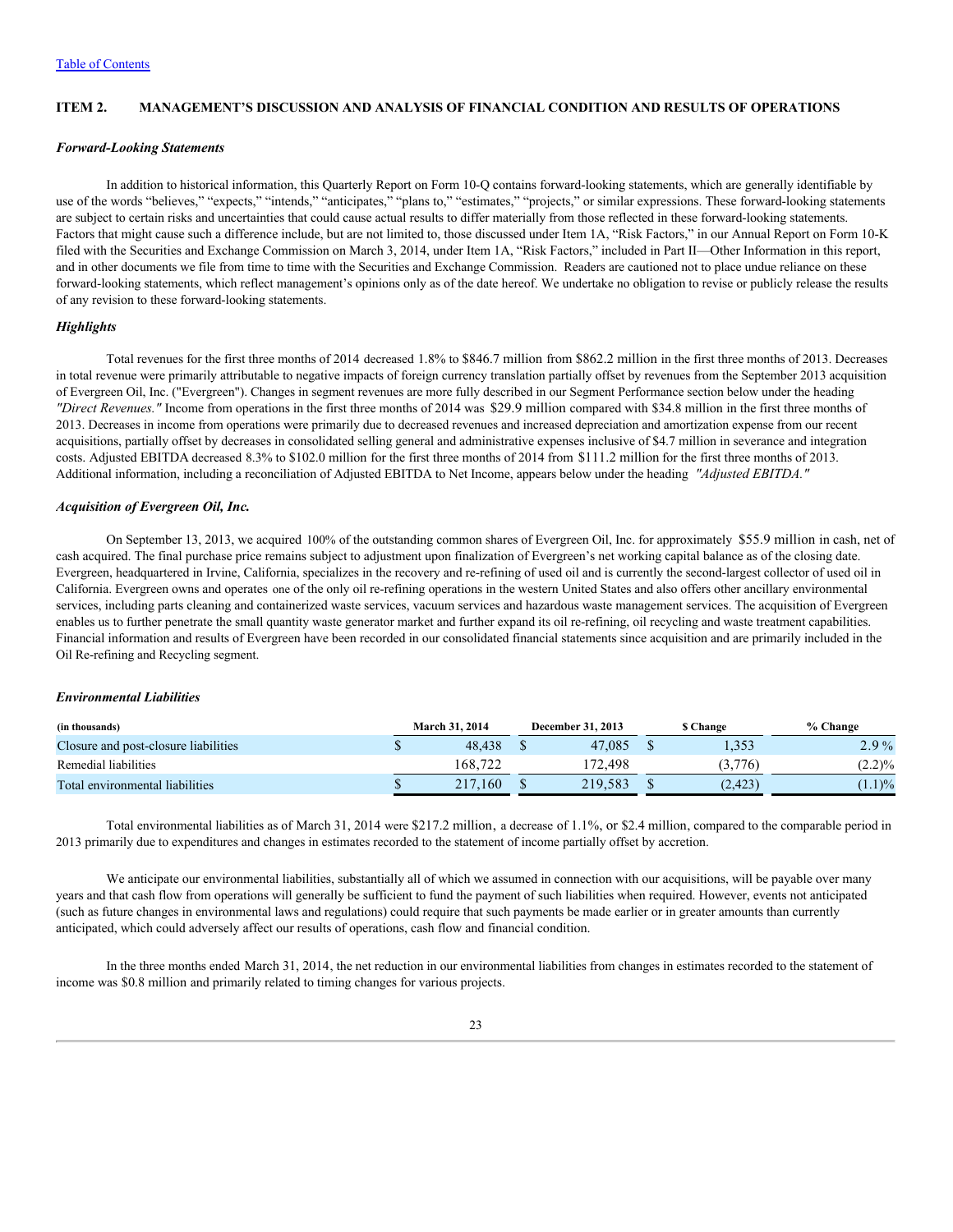## **ITEM 2. MANAGEMENT'S DISCUSSION AND ANALYSIS OF FINANCIAL CONDITION AND RESULTS OF OPERATIONS**

#### *Forward-Looking Statements*

In addition to historical information, this Quarterly Report on Form 10-Q contains forward-looking statements, which are generally identifiable by use of the words "believes," "expects," "intends," "anticipates," "plans to," "estimates," "projects," or similar expressions. These forward-looking statements are subject to certain risks and uncertainties that could cause actual results to differ materially from those reflected in these forward-looking statements. Factors that might cause such a difference include, but are not limited to, those discussed under Item 1A, "Risk Factors," in our Annual Report on Form 10-K filed with the Securities and Exchange Commission on March 3, 2014, under Item 1A, "Risk Factors," included in Part II—Other Information in this report, and in other documents we file from time to time with the Securities and Exchange Commission. Readers are cautioned not to place undue reliance on these forward-looking statements, which reflect management's opinions only as of the date hereof. We undertake no obligation to revise or publicly release the results of any revision to these forward-looking statements.

#### *Highlights*

Total revenues for the first three months of 2014 decreased 1.8% to \$846.7 million from \$862.2 million in the first three months of 2013. Decreases in total revenue were primarily attributable to negative impacts of foreign currency translation partially offset by revenues from the September 2013 acquisition of Evergreen Oil, Inc. ("Evergreen"). Changes in segment revenues are more fully described in our Segment Performance section below under the heading *"Direct Revenues."* Income from operations in the first three months of 2014 was \$29.9 million compared with \$34.8 million in the first three months of 2013. Decreases in income from operations were primarily due to decreased revenues and increased depreciation and amortization expense from our recent acquisitions, partially offset by decreases in consolidated selling general and administrative expenses inclusive of \$4.7 million in severance and integration costs. Adjusted EBITDA decreased 8.3% to \$102.0 million for the first three months of 2014 from \$111.2 million for the first three months of 2013. Additional information, including a reconciliation of Adjusted EBITDA to Net Income, appears below under the heading *"Adjusted EBITDA."*

## *Acquisition of Evergreen Oil, Inc.*

On September 13, 2013, we acquired 100% of the outstanding common shares of Evergreen Oil, Inc. for approximately \$55.9 million in cash, net of cash acquired. The final purchase price remains subject to adjustment upon finalization of Evergreen's net working capital balance as of the closing date. Evergreen, headquartered in Irvine, California, specializes in the recovery and re-refining of used oil and is currently the second-largest collector of used oil in California. Evergreen owns and operates one of the only oil re-refining operations in the western United States and also offers other ancillary environmental services, including parts cleaning and containerized waste services, vacuum services and hazardous waste management services. The acquisition of Evergreen enables us to further penetrate the small quantity waste generator market and further expand its oil re-refining, oil recycling and waste treatment capabilities. Financial information and results of Evergreen have been recorded in our consolidated financial statements since acquisition and are primarily included in the Oil Re-refining and Recycling segment.

#### *Environmental Liabilities*

| (in thousands)                       | <b>March 31, 2014</b> | <b>December 31, 2013</b> | <b>S Change</b> | % Change  |
|--------------------------------------|-----------------------|--------------------------|-----------------|-----------|
| Closure and post-closure liabilities | 48.438                | 47.085                   | 1.353           | 2.9%      |
| Remedial liabilities                 | 168.722               | 172.498                  | (3,776)         | $(2.2)\%$ |
| Total environmental liabilities      | 217,160               | 219.583                  | (2.423)         | $(1.1)\%$ |

Total environmental liabilities as of March 31, 2014 were \$217.2 million, a decrease of 1.1%, or \$2.4 million, compared to the comparable period in 2013 primarily due to expenditures and changes in estimates recorded to the statement of income partially offset by accretion.

We anticipate our environmental liabilities, substantially all of which we assumed in connection with our acquisitions, will be payable over many years and that cash flow from operations will generally be sufficient to fund the payment of such liabilities when required. However, events not anticipated (such as future changes in environmental laws and regulations) could require that such payments be made earlier or in greater amounts than currently anticipated, which could adversely affect our results of operations, cash flow and financial condition.

In the three months ended March 31, 2014, the net reduction in our environmental liabilities from changes in estimates recorded to the statement of income was \$0.8 million and primarily related to timing changes for various projects.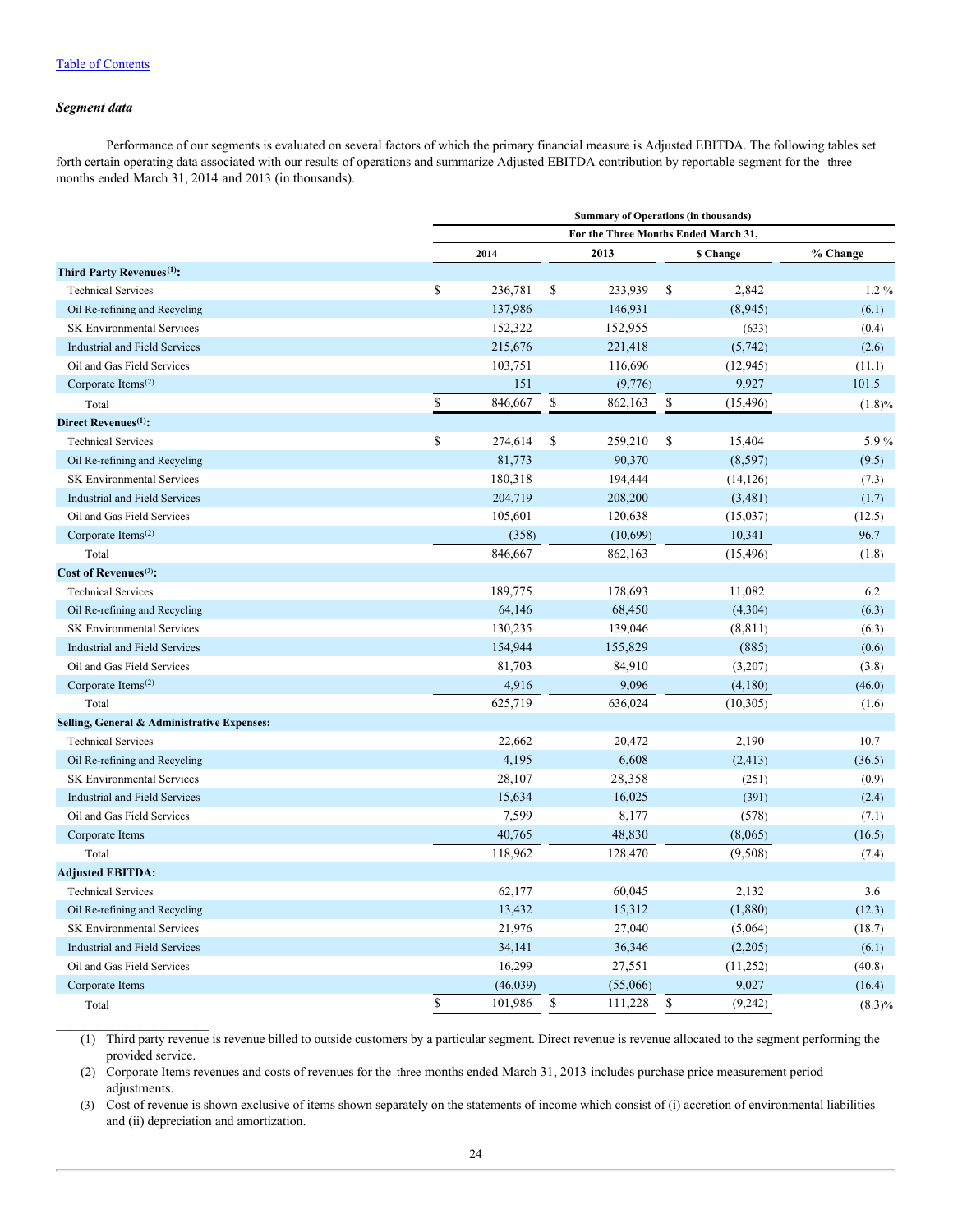## *Segment data*

Performance of our segments is evaluated on several factors of which the primary financial measure is Adjusted EBITDA. The following tables set forth certain operating data associated with our results of operations and summarize Adjusted EBITDA contribution by reportable segment for the three months ended March 31, 2014 and 2013 (in thousands).

|                                             |                                                                       |          |               | <b>Summary of Operations (in thousands)</b><br>For the Three Months Ended March 31, |               |           |           |
|---------------------------------------------|-----------------------------------------------------------------------|----------|---------------|-------------------------------------------------------------------------------------|---------------|-----------|-----------|
|                                             |                                                                       | 2014     |               | 2013                                                                                |               | \$ Change | % Change  |
| Third Party Revenues <sup>(1)</sup> :       |                                                                       |          |               |                                                                                     |               |           |           |
| <b>Technical Services</b>                   | \$                                                                    | 236,781  | <sup>\$</sup> | 233,939                                                                             | <sup>\$</sup> | 2,842     | $1.2\%$   |
| Oil Re-refining and Recycling               |                                                                       | 137,986  |               | 146,931                                                                             |               | (8,945)   | (6.1)     |
| <b>SK Environmental Services</b>            |                                                                       | 152,322  |               | 152,955                                                                             |               | (633)     | (0.4)     |
| <b>Industrial and Field Services</b>        |                                                                       | 215,676  |               | 221,418                                                                             |               | (5,742)   | (2.6)     |
| Oil and Gas Field Services                  |                                                                       | 103,751  |               | 116,696                                                                             |               | (12, 945) | (11.1)    |
| Corporate Items <sup>(2)</sup>              |                                                                       | 151      |               | (9,776)                                                                             |               | 9.927     | 101.5     |
| Total                                       | $\mathbb{S}% _{t}\left( t\right) \equiv\mathbb{S}_{t}\left( t\right)$ | 846,667  | \$            | 862,163                                                                             | \$            | (15, 496) | $(1.8)\%$ |
| Direct Revenues <sup>(1)</sup> :            |                                                                       |          |               |                                                                                     |               |           |           |
| <b>Technical Services</b>                   | \$                                                                    | 274,614  | \$            | 259,210                                                                             | S             | 15,404    | 5.9%      |
| Oil Re-refining and Recycling               |                                                                       | 81,773   |               | 90,370                                                                              |               | (8,597)   | (9.5)     |
| SK Environmental Services                   |                                                                       | 180,318  |               | 194,444                                                                             |               | (14, 126) | (7.3)     |
| <b>Industrial and Field Services</b>        |                                                                       | 204,719  |               | 208,200                                                                             |               | (3,481)   | (1.7)     |
| Oil and Gas Field Services                  |                                                                       | 105,601  |               | 120,638                                                                             |               | (15,037)  | (12.5)    |
| Corporate Items <sup>(2)</sup>              |                                                                       | (358)    |               | (10,699)                                                                            |               | 10,341    | 96.7      |
| Total                                       |                                                                       | 846,667  |               | 862,163                                                                             |               | (15, 496) | (1.8)     |
| Cost of Revenues <sup>(3)</sup> :           |                                                                       |          |               |                                                                                     |               |           |           |
| <b>Technical Services</b>                   |                                                                       | 189,775  |               | 178,693                                                                             |               | 11,082    | 6.2       |
| Oil Re-refining and Recycling               |                                                                       | 64,146   |               | 68,450                                                                              |               | (4,304)   | (6.3)     |
| <b>SK Environmental Services</b>            |                                                                       | 130,235  |               | 139,046                                                                             |               | (8, 811)  | (6.3)     |
| <b>Industrial and Field Services</b>        |                                                                       | 154,944  |               | 155,829                                                                             |               | (885)     | (0.6)     |
| Oil and Gas Field Services                  |                                                                       | 81,703   |               | 84,910                                                                              |               | (3,207)   | (3.8)     |
| Corporate Items <sup>(2)</sup>              |                                                                       | 4,916    |               | 9,096                                                                               |               | (4,180)   | (46.0)    |
| Total                                       |                                                                       | 625,719  |               | 636,024                                                                             |               | (10,305)  | (1.6)     |
| Selling, General & Administrative Expenses: |                                                                       |          |               |                                                                                     |               |           |           |
| <b>Technical Services</b>                   |                                                                       | 22,662   |               | 20,472                                                                              |               | 2,190     | 10.7      |
| Oil Re-refining and Recycling               |                                                                       | 4,195    |               | 6,608                                                                               |               | (2, 413)  | (36.5)    |
| <b>SK Environmental Services</b>            |                                                                       | 28,107   |               | 28,358                                                                              |               | (251)     | (0.9)     |
| <b>Industrial and Field Services</b>        |                                                                       | 15,634   |               | 16,025                                                                              |               | (391)     | (2.4)     |
| Oil and Gas Field Services                  |                                                                       | 7,599    |               | 8,177                                                                               |               | (578)     | (7.1)     |
| Corporate Items                             |                                                                       | 40,765   |               | 48,830                                                                              |               | (8,065)   | (16.5)    |
| Total                                       |                                                                       | 118,962  |               | 128,470                                                                             |               | (9,508)   | (7.4)     |
| <b>Adjusted EBITDA:</b>                     |                                                                       |          |               |                                                                                     |               |           |           |
| <b>Technical Services</b>                   |                                                                       | 62,177   |               | 60,045                                                                              |               | 2,132     | 3.6       |
| Oil Re-refining and Recycling               |                                                                       | 13,432   |               | 15,312                                                                              |               | (1,880)   | (12.3)    |
| <b>SK Environmental Services</b>            |                                                                       | 21,976   |               | 27,040                                                                              |               | (5,064)   | (18.7)    |
| <b>Industrial and Field Services</b>        |                                                                       | 34,141   |               | 36,346                                                                              |               | (2,205)   | (6.1)     |
| Oil and Gas Field Services                  |                                                                       | 16,299   |               | 27,551                                                                              |               | (11,252)  | (40.8)    |
| Corporate Items                             |                                                                       | (46,039) |               | (55,066)                                                                            |               | 9,027     | (16.4)    |
| Total                                       | $\mathbb{S}% _{t}\left( t\right) \equiv\mathbb{S}_{t}\left( t\right)$ | 101,986  | $\mathbb{S}$  | 111,228                                                                             | $\mathbb{S}$  | (9,242)   | $(8.3)\%$ |

(1) Third party revenue is revenue billed to outside customers by a particular segment. Direct revenue is revenue allocated to the segment performing the provided service.

(2) Corporate Items revenues and costs of revenues for the three months ended March 31, 2013 includes purchase price measurement period adjustments.

(3) Cost of revenue is shown exclusive of items shown separately on the statements of income which consist of (i) accretion of environmental liabilities and (ii) depreciation and amortization.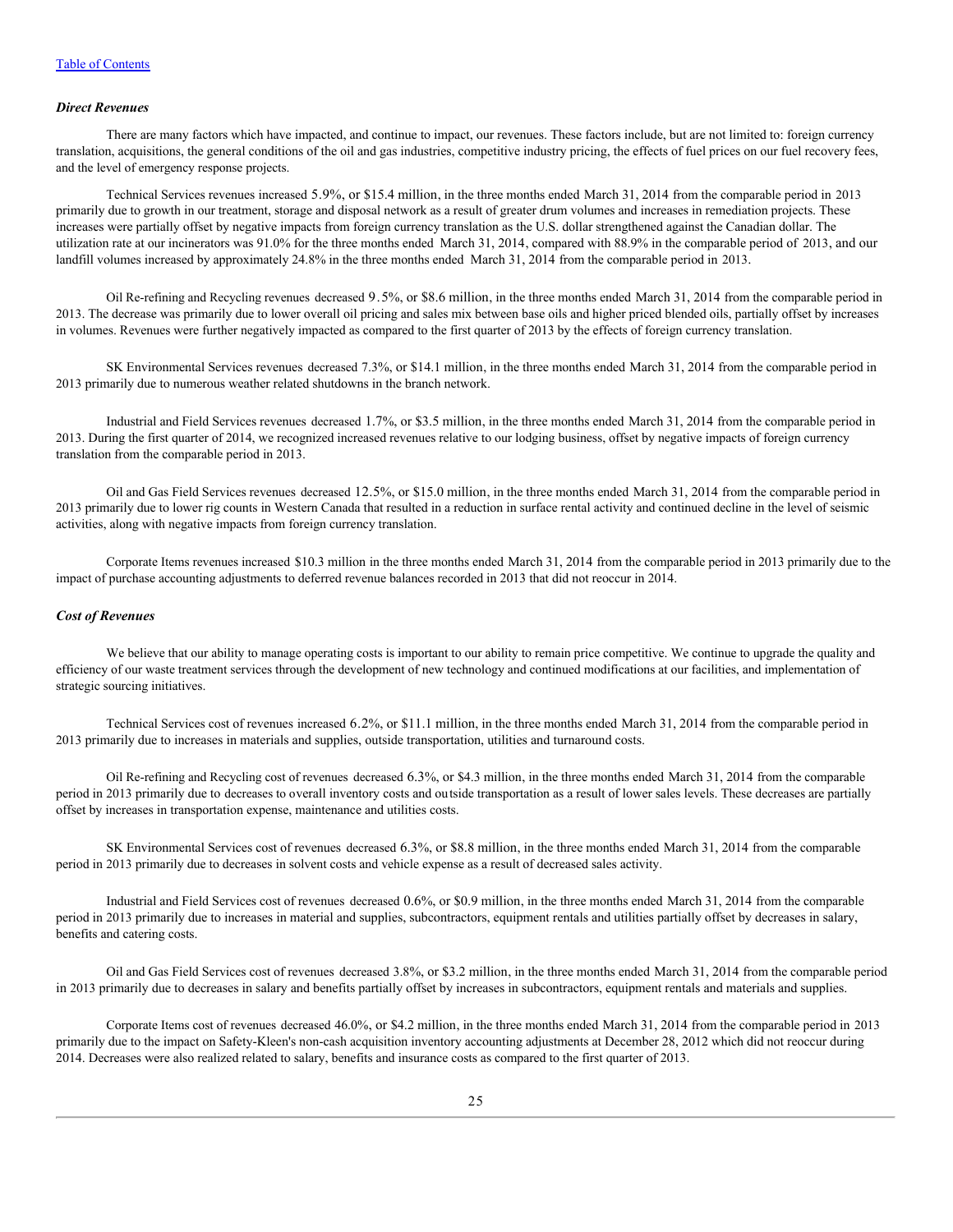#### *Direct Revenues*

There are many factors which have impacted, and continue to impact, our revenues. These factors include, but are not limited to: foreign currency translation, acquisitions, the general conditions of the oil and gas industries, competitive industry pricing, the effects of fuel prices on our fuel recovery fees, and the level of emergency response projects.

Technical Services revenues increased 5.9%, or \$15.4 million, in the three months ended March 31, 2014 from the comparable period in 2013 primarily due to growth in our treatment, storage and disposal network as a result of greater drum volumes and increases in remediation projects. These increases were partially offset by negative impacts from foreign currency translation as the U.S. dollar strengthened against the Canadian dollar. The utilization rate at our incinerators was 91.0% for the three months ended March 31, 2014, compared with 88.9% in the comparable period of 2013, and our landfill volumes increased by approximately 24.8% in the three months ended March 31, 2014 from the comparable period in 2013.

Oil Re-refining and Recycling revenues decreased 9.5%, or \$8.6 million, in the three months ended March 31, 2014 from the comparable period in 2013. The decrease was primarily due to lower overall oil pricing and sales mix between base oils and higher priced blended oils, partially offset by increases in volumes. Revenues were further negatively impacted as compared to the first quarter of 2013 by the effects of foreign currency translation.

SK Environmental Services revenues decreased 7.3%, or \$14.1 million, in the three months ended March 31, 2014 from the comparable period in 2013 primarily due to numerous weather related shutdowns in the branch network.

Industrial and Field Services revenues decreased 1.7%, or \$3.5 million, in the three months ended March 31, 2014 from the comparable period in 2013. During the first quarter of 2014, we recognized increased revenues relative to our lodging business, offset by negative impacts of foreign currency translation from the comparable period in 2013.

Oil and Gas Field Services revenues decreased 12.5%, or \$15.0 million, in the three months ended March 31, 2014 from the comparable period in 2013 primarily due to lower rig counts in Western Canada that resulted in a reduction in surface rental activity and continued decline in the level of seismic activities, along with negative impacts from foreign currency translation.

Corporate Items revenues increased \$10.3 million in the three months ended March 31, 2014 from the comparable period in 2013 primarily due to the impact of purchase accounting adjustments to deferred revenue balances recorded in 2013 that did not reoccur in 2014.

## *Cost of Revenues*

We believe that our ability to manage operating costs is important to our ability to remain price competitive. We continue to upgrade the quality and efficiency of our waste treatment services through the development of new technology and continued modifications at our facilities, and implementation of strategic sourcing initiatives.

Technical Services cost of revenues increased 6.2%, or \$11.1 million, in the three months ended March 31, 2014 from the comparable period in 2013 primarily due to increases in materials and supplies, outside transportation, utilities and turnaround costs.

Oil Re-refining and Recycling cost of revenues decreased 6.3%, or \$4.3 million, in the three months ended March 31, 2014 from the comparable period in 2013 primarily due to decreases to overall inventory costs and outside transportation as a result of lower sales levels. These decreases are partially offset by increases in transportation expense, maintenance and utilities costs.

SK Environmental Services cost of revenues decreased 6.3%, or \$8.8 million, in the three months ended March 31, 2014 from the comparable period in 2013 primarily due to decreases in solvent costs and vehicle expense as a result of decreased sales activity.

Industrial and Field Services cost of revenues decreased 0.6%, or \$0.9 million, in the three months ended March 31, 2014 from the comparable period in 2013 primarily due to increases in material and supplies, subcontractors, equipment rentals and utilities partially offset by decreases in salary, benefits and catering costs.

Oil and Gas Field Services cost of revenues decreased 3.8%, or \$3.2 million, in the three months ended March 31, 2014 from the comparable period in 2013 primarily due to decreases in salary and benefits partially offset by increases in subcontractors, equipment rentals and materials and supplies.

Corporate Items cost of revenues decreased 46.0%, or \$4.2 million, in the three months ended March 31, 2014 from the comparable period in 2013 primarily due to the impact on Safety-Kleen's non-cash acquisition inventory accounting adjustments at December 28, 2012 which did not reoccur during 2014. Decreases were also realized related to salary, benefits and insurance costs as compared to the first quarter of 2013.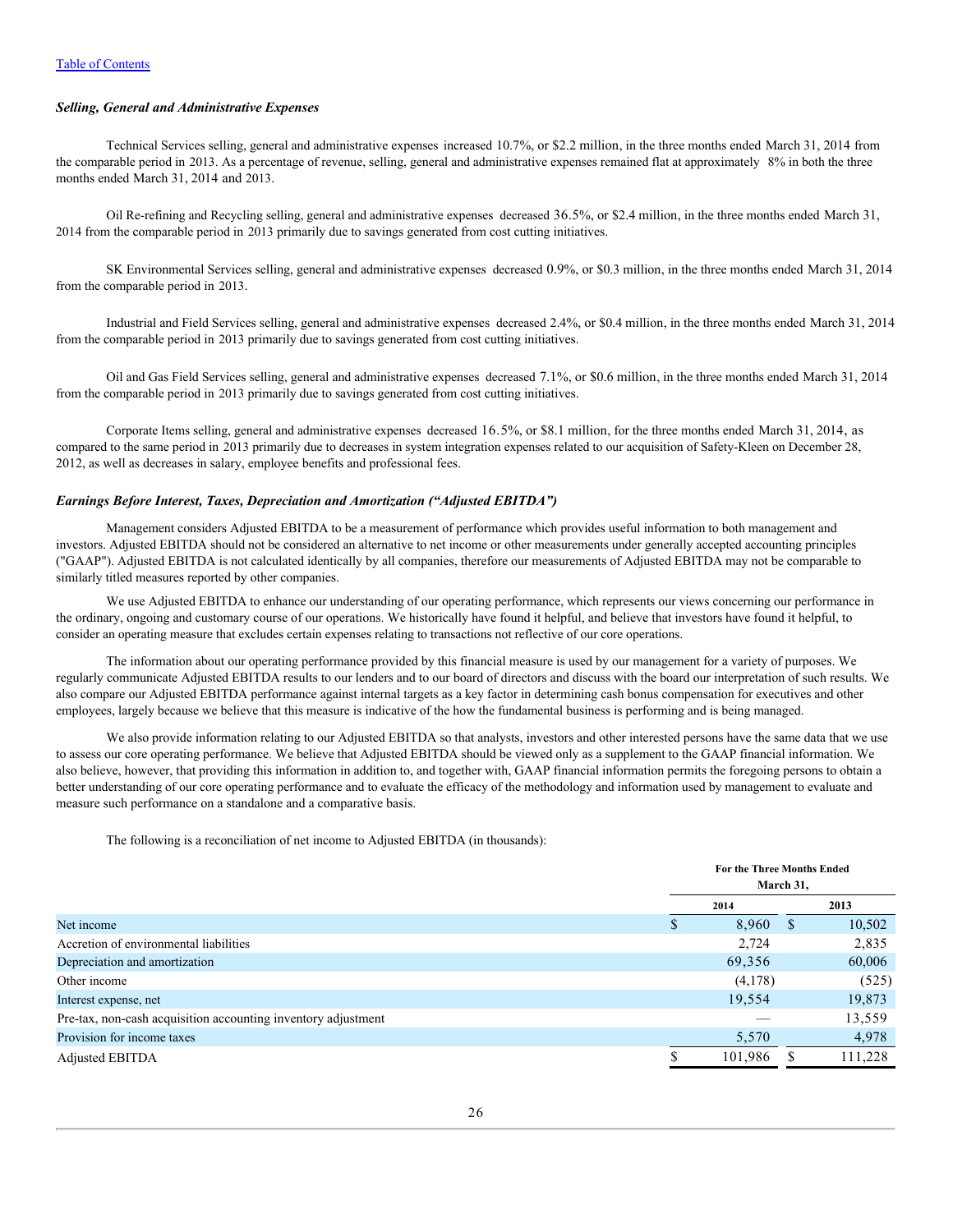#### *Selling, General and Administrative Expenses*

Technical Services selling, general and administrative expenses increased 10.7%, or \$2.2 million, in the three months ended March 31, 2014 from the comparable period in 2013. As a percentage of revenue, selling, general and administrative expenses remained flat at approximately 8% in both the three months ended March 31, 2014 and 2013.

Oil Re-refining and Recycling selling, general and administrative expenses decreased 36.5%, or \$2.4 million, in the three months ended March 31, 2014 from the comparable period in 2013 primarily due to savings generated from cost cutting initiatives.

SK Environmental Services selling, general and administrative expenses decreased 0.9%, or \$0.3 million, in the three months ended March 31, 2014 from the comparable period in 2013.

Industrial and Field Services selling, general and administrative expenses decreased 2.4%, or \$0.4 million, in the three months ended March 31, 2014 from the comparable period in 2013 primarily due to savings generated from cost cutting initiatives.

Oil and Gas Field Services selling, general and administrative expenses decreased 7.1%, or \$0.6 million, in the three months ended March 31, 2014 from the comparable period in 2013 primarily due to savings generated from cost cutting initiatives.

Corporate Items selling, general and administrative expenses decreased 16.5%, or \$8.1 million, for the three months ended March 31, 2014, as compared to the same period in 2013 primarily due to decreases in system integration expenses related to our acquisition of Safety-Kleen on December 28, 2012, as well as decreases in salary, employee benefits and professional fees.

#### *Earnings Before Interest, Taxes, Depreciation and Amortization ("Adjusted EBITDA")*

Management considers Adjusted EBITDA to be a measurement of performance which provides useful information to both management and investors. Adjusted EBITDA should not be considered an alternative to net income or other measurements under generally accepted accounting principles ("GAAP"). Adjusted EBITDA is not calculated identically by all companies, therefore our measurements of Adjusted EBITDA may not be comparable to similarly titled measures reported by other companies.

We use Adjusted EBITDA to enhance our understanding of our operating performance, which represents our views concerning our performance in the ordinary, ongoing and customary course of our operations. We historically have found it helpful, and believe that investors have found it helpful, to consider an operating measure that excludes certain expenses relating to transactions not reflective of our core operations.

The information about our operating performance provided by this financial measure is used by our management for a variety of purposes. We regularly communicate Adjusted EBITDA results to our lenders and to our board of directors and discuss with the board our interpretation of such results. We also compare our Adjusted EBITDA performance against internal targets as a key factor in determining cash bonus compensation for executives and other employees, largely because we believe that this measure is indicative of the how the fundamental business is performing and is being managed.

We also provide information relating to our Adjusted EBITDA so that analysts, investors and other interested persons have the same data that we use to assess our core operating performance. We believe that Adjusted EBITDA should be viewed only as a supplement to the GAAP financial information. We also believe, however, that providing this information in addition to, and together with, GAAP financial information permits the foregoing persons to obtain a better understanding of our core operating performance and to evaluate the efficacy of the methodology and information used by management to evaluate and measure such performance on a standalone and a comparative basis.

The following is a reconciliation of net income to Adjusted EBITDA (in thousands):

|                                                               | <b>For the Three Months Ended</b> | March 31,    |         |
|---------------------------------------------------------------|-----------------------------------|--------------|---------|
|                                                               | 2014                              |              | 2013    |
| Net income                                                    | 8,960                             | <sup>S</sup> | 10,502  |
| Accretion of environmental liabilities                        | 2,724                             |              | 2,835   |
| Depreciation and amortization                                 | 69,356                            |              | 60,006  |
| Other income                                                  | (4,178)                           |              | (525)   |
| Interest expense, net                                         | 19,554                            |              | 19,873  |
| Pre-tax, non-cash acquisition accounting inventory adjustment |                                   |              | 13,559  |
| Provision for income taxes                                    | 5,570                             |              | 4,978   |
| <b>Adjusted EBITDA</b>                                        | 101,986                           |              | 111,228 |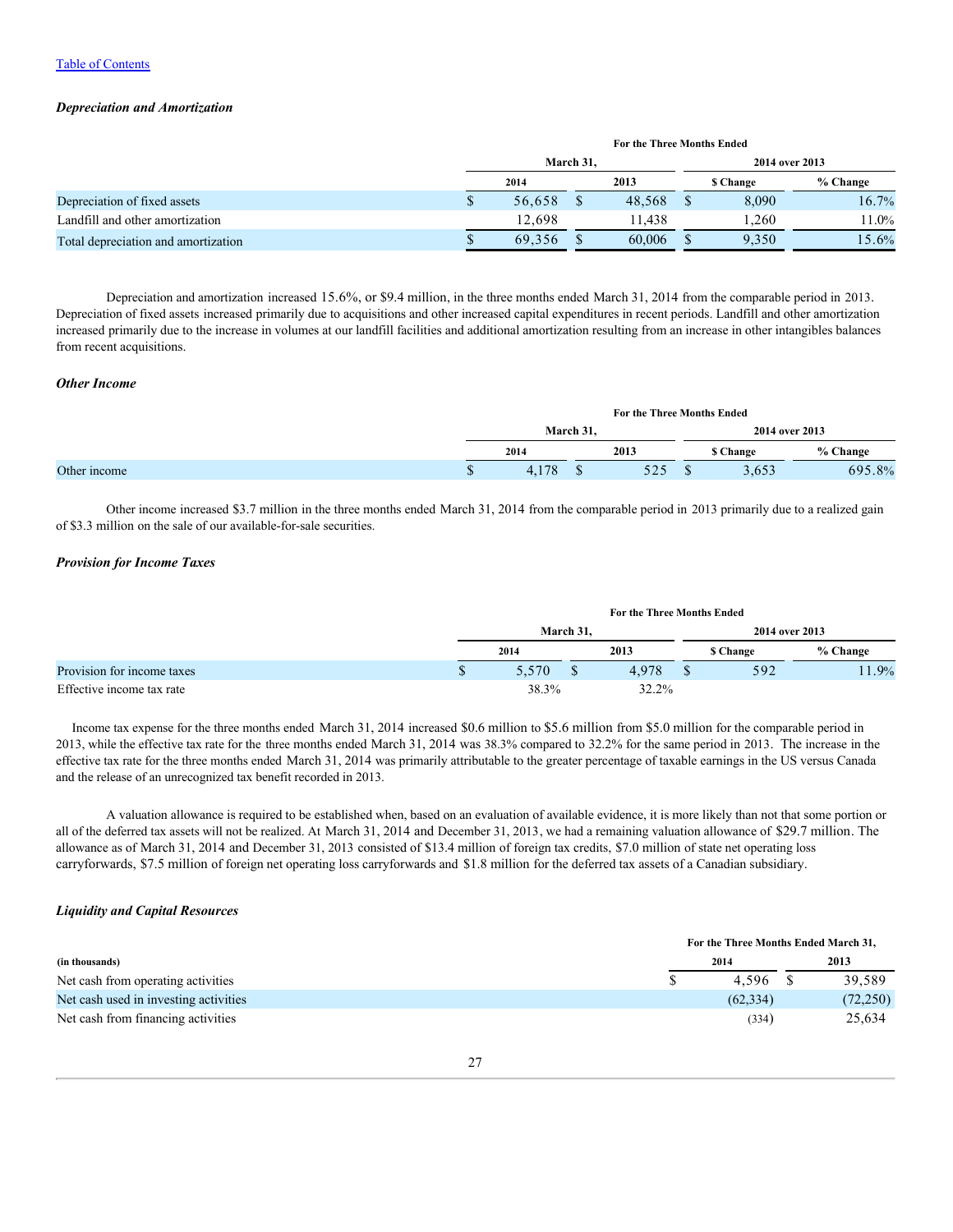#### *Depreciation and Amortization*

|                                     |        |           | <b>For the Three Months Ended</b> |                |           |            |  |
|-------------------------------------|--------|-----------|-----------------------------------|----------------|-----------|------------|--|
|                                     |        | March 31. |                                   | 2014 over 2013 |           |            |  |
|                                     | 2014   |           | 2013                              |                | \$ Change | $%$ Change |  |
| Depreciation of fixed assets        | 56,658 |           | 48.568                            |                | 8,090     | 16.7%      |  |
| Landfill and other amortization     | 12.698 |           | 11.438                            |                | 1.260     | 11.0%      |  |
| Total depreciation and amortization | 69.356 |           | 60,006                            |                | 9.350     | 15.6%      |  |

Depreciation and amortization increased 15.6%, or \$9.4 million, in the three months ended March 31, 2014 from the comparable period in 2013. Depreciation of fixed assets increased primarily due to acquisitions and other increased capital expenditures in recent periods. Landfill and other amortization increased primarily due to the increase in volumes at our landfill facilities and additional amortization resulting from an increase in other intangibles balances from recent acquisitions.

#### *Other Income*

|              |       |           | <b>For the Three Months Ended</b> |                |          |
|--------------|-------|-----------|-----------------------------------|----------------|----------|
|              |       | March 31. |                                   | 2014 over 2013 |          |
|              | 2014  |           | 2013                              | \$ Change      | % Change |
| Other income | 4.178 | ۵         |                                   | 3,653          | 695.8%   |

Other income increased \$3.7 million in the three months ended March 31, 2014 from the comparable period in 2013 primarily due to a realized gain of \$3.3 million on the sale of our available-for-sale securities.

## *Provision for Income Taxes*

|                            | <b>For the Three Months Ended</b> |      |       |           |                |          |  |
|----------------------------|-----------------------------------|------|-------|-----------|----------------|----------|--|
|                            | March 31.                         |      |       |           | 2014 over 2013 |          |  |
|                            | 2014                              | 2013 |       | \$ Change |                | % Change |  |
| Provision for income taxes | 5.570                             |      | 4.978 |           | 592            | 1.9%     |  |
| Effective income tax rate  | 38.3%                             |      | 32.2% |           |                |          |  |

 Income tax expense for the three months ended March 31, 2014 increased \$0.6 million to \$5.6 million from \$5.0 million for the comparable period in 2013, while the effective tax rate for the three months ended March 31, 2014 was 38.3% compared to 32.2% for the same period in 2013. The increase in the effective tax rate for the three months ended March 31, 2014 was primarily attributable to the greater percentage of taxable earnings in the US versus Canada and the release of an unrecognized tax benefit recorded in 2013.

A valuation allowance is required to be established when, based on an evaluation of available evidence, it is more likely than not that some portion or all of the deferred tax assets will not be realized. At March 31, 2014 and December 31, 2013, we had a remaining valuation allowance of \$29.7 million. The allowance as of March 31, 2014 and December 31, 2013 consisted of \$13.4 million of foreign tax credits, \$7.0 million of state net operating loss carryforwards, \$7.5 million of foreign net operating loss carryforwards and \$1.8 million for the deferred tax assets of a Canadian subsidiary.

#### *Liquidity and Capital Resources*

|                                       |  |           |  | For the Three Months Ended March 31, |  |
|---------------------------------------|--|-----------|--|--------------------------------------|--|
| (in thousands)                        |  | 2014      |  | 2013                                 |  |
| Net cash from operating activities    |  | 4.596     |  | 39.589                               |  |
| Net cash used in investing activities |  | (62, 334) |  | (72,250)                             |  |
| Net cash from financing activities    |  | (334)     |  | 25.634                               |  |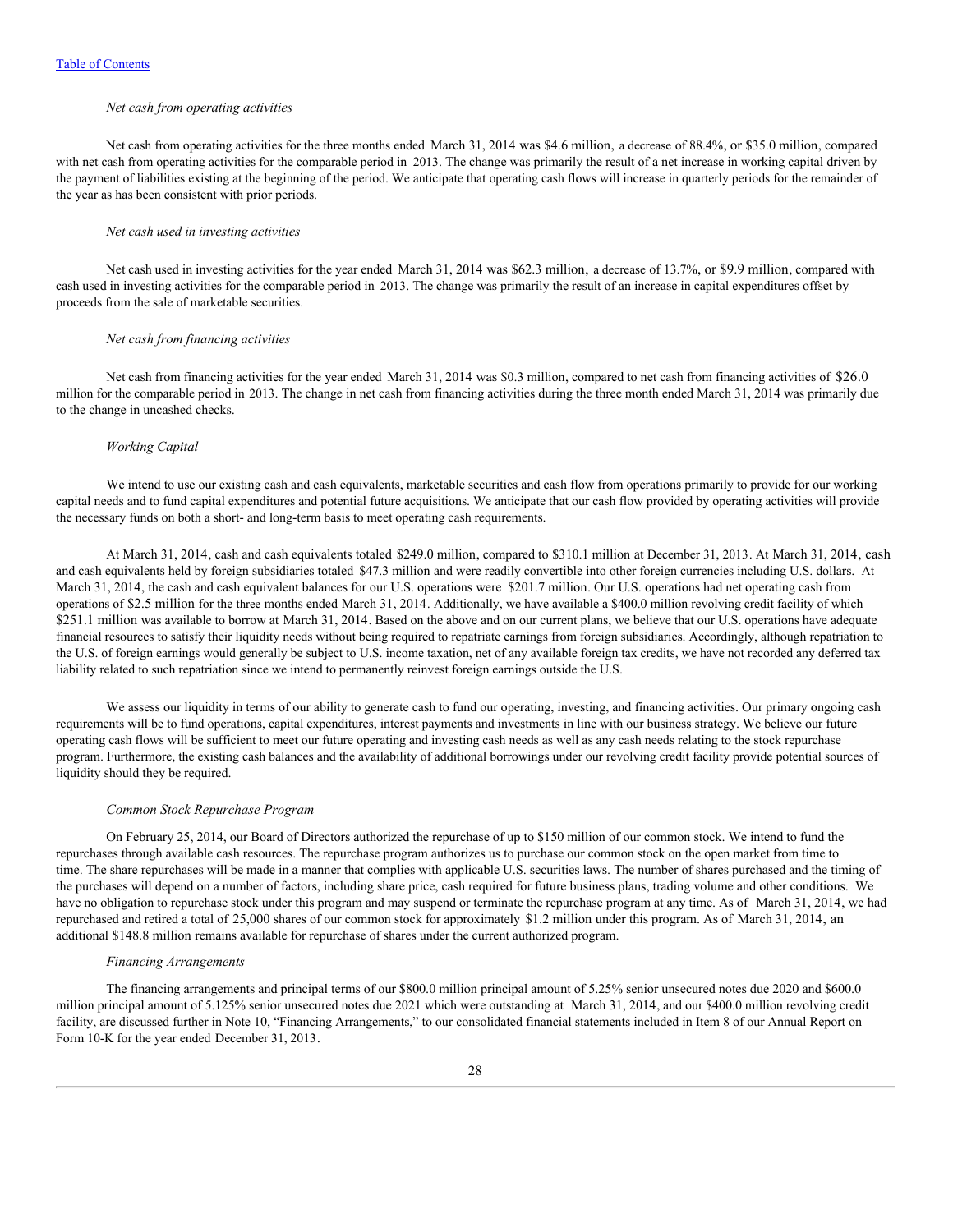#### *Net cash from operating activities*

Net cash from operating activities for the three months ended March 31, 2014 was \$4.6 million, a decrease of 88.4%, or \$35.0 million, compared with net cash from operating activities for the comparable period in 2013. The change was primarily the result of a net increase in working capital driven by the payment of liabilities existing at the beginning of the period. We anticipate that operating cash flows will increase in quarterly periods for the remainder of the year as has been consistent with prior periods.

#### *Net cash used in investing activities*

Net cash used in investing activities for the year ended March 31, 2014 was \$62.3 million, a decrease of 13.7%, or \$9.9 million, compared with cash used in investing activities for the comparable period in 2013. The change was primarily the result of an increase in capital expenditures offset by proceeds from the sale of marketable securities.

#### *Net cash from financing activities*

Net cash from financing activities for the year ended March 31, 2014 was \$0.3 million, compared to net cash from financing activities of \$26.0 million for the comparable period in 2013. The change in net cash from financing activities during the three month ended March 31, 2014 was primarily due to the change in uncashed checks.

#### *Working Capital*

We intend to use our existing cash and cash equivalents, marketable securities and cash flow from operations primarily to provide for our working capital needs and to fund capital expenditures and potential future acquisitions. We anticipate that our cash flow provided by operating activities will provide the necessary funds on both a short- and long-term basis to meet operating cash requirements.

At March 31, 2014, cash and cash equivalents totaled \$249.0 million, compared to \$310.1 million at December 31, 2013. At March 31, 2014, cash and cash equivalents held by foreign subsidiaries totaled \$47.3 million and were readily convertible into other foreign currencies including U.S. dollars. At March 31, 2014, the cash and cash equivalent balances for our U.S. operations were \$201.7 million. Our U.S. operations had net operating cash from operations of \$2.5 million for the three months ended March 31, 2014. Additionally, we have available a \$400.0 million revolving credit facility of which \$251.1 million was available to borrow at March 31, 2014. Based on the above and on our current plans, we believe that our U.S. operations have adequate financial resources to satisfy their liquidity needs without being required to repatriate earnings from foreign subsidiaries. Accordingly, although repatriation to the U.S. of foreign earnings would generally be subject to U.S. income taxation, net of any available foreign tax credits, we have not recorded any deferred tax liability related to such repatriation since we intend to permanently reinvest foreign earnings outside the U.S.

We assess our liquidity in terms of our ability to generate cash to fund our operating, investing, and financing activities. Our primary ongoing cash requirements will be to fund operations, capital expenditures, interest payments and investments in line with our business strategy. We believe our future operating cash flows will be sufficient to meet our future operating and investing cash needs as well as any cash needs relating to the stock repurchase program. Furthermore, the existing cash balances and the availability of additional borrowings under our revolving credit facility provide potential sources of liquidity should they be required.

#### *Common Stock Repurchase Program*

On February 25, 2014, our Board of Directors authorized the repurchase of up to \$150 million of our common stock. We intend to fund the repurchases through available cash resources. The repurchase program authorizes us to purchase our common stock on the open market from time to time. The share repurchases will be made in a manner that complies with applicable U.S. securities laws. The number of shares purchased and the timing of the purchases will depend on a number of factors, including share price, cash required for future business plans, trading volume and other conditions. We have no obligation to repurchase stock under this program and may suspend or terminate the repurchase program at any time. As of March 31, 2014, we had repurchased and retired a total of 25,000 shares of our common stock for approximately \$1.2 million under this program. As of March 31, 2014, an additional \$148.8 million remains available for repurchase of shares under the current authorized program.

#### *Financing Arrangements*

The financing arrangements and principal terms of our \$800.0 million principal amount of 5.25% senior unsecured notes due 2020 and \$600.0 million principal amount of 5.125% senior unsecured notes due 2021 which were outstanding at March 31, 2014, and our \$400.0 million revolving credit facility, are discussed further in Note 10, "Financing Arrangements," to our consolidated financial statements included in Item 8 of our Annual Report on Form 10-K for the year ended December 31, 2013.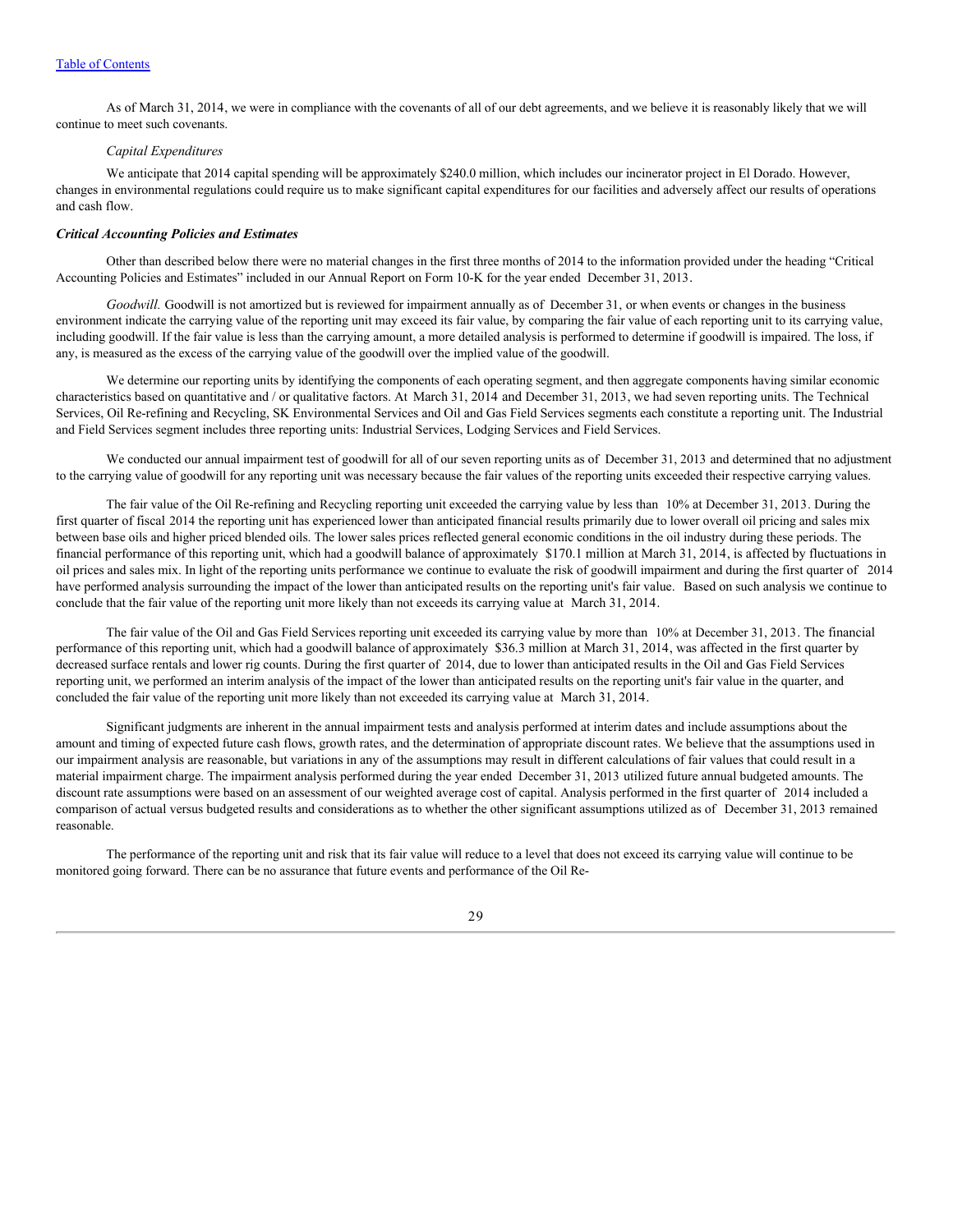As of March 31, 2014, we were in compliance with the covenants of all of our debt agreements, and we believe it is reasonably likely that we will continue to meet such covenants.

#### *Capital Expenditures*

We anticipate that 2014 capital spending will be approximately \$240.0 million, which includes our incinerator project in El Dorado. However, changes in environmental regulations could require us to make significant capital expenditures for our facilities and adversely affect our results of operations and cash flow.

#### *Critical Accounting Policies and Estimates*

Other than described below there were no material changes in the first three months of 2014 to the information provided under the heading "Critical Accounting Policies and Estimates" included in our Annual Report on Form 10-K for the year ended December 31, 2013.

*Goodwill.* Goodwill is not amortized but is reviewed for impairment annually as of December 31, or when events or changes in the business environment indicate the carrying value of the reporting unit may exceed its fair value, by comparing the fair value of each reporting unit to its carrying value, including goodwill. If the fair value is less than the carrying amount, a more detailed analysis is performed to determine if goodwill is impaired. The loss, if any, is measured as the excess of the carrying value of the goodwill over the implied value of the goodwill.

We determine our reporting units by identifying the components of each operating segment, and then aggregate components having similar economic characteristics based on quantitative and / or qualitative factors. At March 31, 2014 and December 31, 2013, we had seven reporting units. The Technical Services, Oil Re-refining and Recycling, SK Environmental Services and Oil and Gas Field Services segments each constitute a reporting unit. The Industrial and Field Services segment includes three reporting units: Industrial Services, Lodging Services and Field Services.

We conducted our annual impairment test of goodwill for all of our seven reporting units as of December 31, 2013 and determined that no adjustment to the carrying value of goodwill for any reporting unit was necessary because the fair values of the reporting units exceeded their respective carrying values.

The fair value of the Oil Re-refining and Recycling reporting unit exceeded the carrying value by less than 10% at December 31, 2013. During the first quarter of fiscal 2014 the reporting unit has experienced lower than anticipated financial results primarily due to lower overall oil pricing and sales mix between base oils and higher priced blended oils. The lower sales prices reflected general economic conditions in the oil industry during these periods. The financial performance of this reporting unit, which had a goodwill balance of approximately \$170.1 million at March 31, 2014, is affected by fluctuations in oil prices and sales mix. In light of the reporting units performance we continue to evaluate the risk of goodwill impairment and during the first quarter of 2014 have performed analysis surrounding the impact of the lower than anticipated results on the reporting unit's fair value. Based on such analysis we continue to conclude that the fair value of the reporting unit more likely than not exceeds its carrying value at March 31, 2014.

The fair value of the Oil and Gas Field Services reporting unit exceeded its carrying value by more than 10% at December 31, 2013. The financial performance of this reporting unit, which had a goodwill balance of approximately \$36.3 million at March 31, 2014, was affected in the first quarter by decreased surface rentals and lower rig counts. During the first quarter of 2014, due to lower than anticipated results in the Oil and Gas Field Services reporting unit, we performed an interim analysis of the impact of the lower than anticipated results on the reporting unit's fair value in the quarter, and concluded the fair value of the reporting unit more likely than not exceeded its carrying value at March 31, 2014.

Significant judgments are inherent in the annual impairment tests and analysis performed at interim dates and include assumptions about the amount and timing of expected future cash flows, growth rates, and the determination of appropriate discount rates. We believe that the assumptions used in our impairment analysis are reasonable, but variations in any of the assumptions may result in different calculations of fair values that could result in a material impairment charge. The impairment analysis performed during the year ended December 31, 2013 utilized future annual budgeted amounts. The discount rate assumptions were based on an assessment of our weighted average cost of capital. Analysis performed in the first quarter of 2014 included a comparison of actual versus budgeted results and considerations as to whether the other significant assumptions utilized as of December 31, 2013 remained reasonable.

The performance of the reporting unit and risk that its fair value will reduce to a level that does not exceed its carrying value will continue to be monitored going forward. There can be no assurance that future events and performance of the Oil Re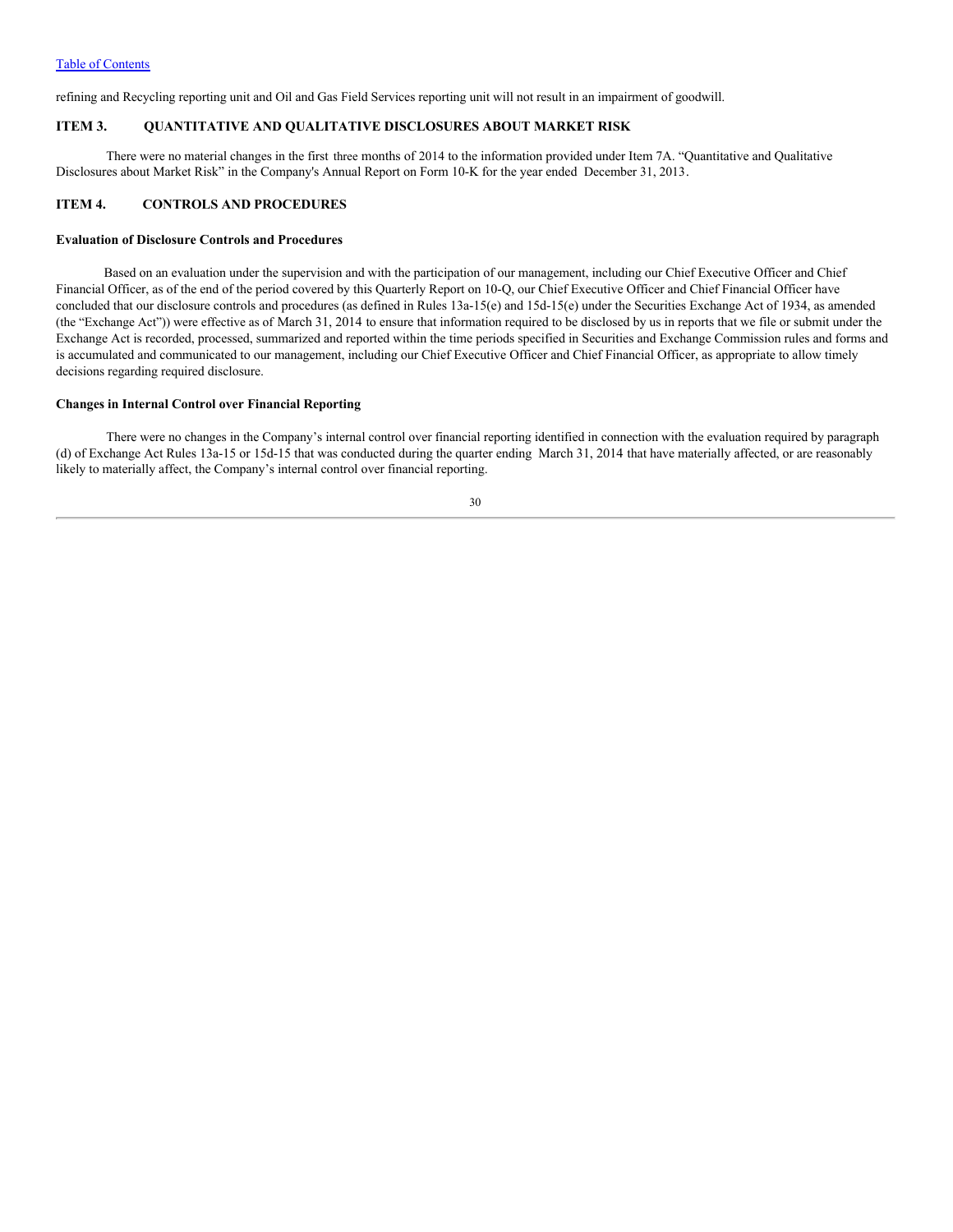<span id="page-33-0"></span>refining and Recycling reporting unit and Oil and Gas Field Services reporting unit will not result in an impairment of goodwill.

### **ITEM 3. QUANTITATIVE AND QUALITATIVE DISCLOSURES ABOUT MARKET RISK**

There were no material changes in the first three months of 2014 to the information provided under Item 7A. "Quantitative and Qualitative Disclosures about Market Risk" in the Company's Annual Report on Form 10-K for the year ended December 31, 2013.

## **ITEM 4. CONTROLS AND PROCEDURES**

## **Evaluation of Disclosure Controls and Procedures**

Based on an evaluation under the supervision and with the participation of our management, including our Chief Executive Officer and Chief Financial Officer, as of the end of the period covered by this Quarterly Report on 10-Q, our Chief Executive Officer and Chief Financial Officer have concluded that our disclosure controls and procedures (as defined in Rules 13a-15(e) and 15d-15(e) under the Securities Exchange Act of 1934, as amended (the "Exchange Act")) were effective as of March 31, 2014 to ensure that information required to be disclosed by us in reports that we file or submit under the Exchange Act is recorded, processed, summarized and reported within the time periods specified in Securities and Exchange Commission rules and forms and is accumulated and communicated to our management, including our Chief Executive Officer and Chief Financial Officer, as appropriate to allow timely decisions regarding required disclosure.

#### **Changes in Internal Control over Financial Reporting**

There were no changes in the Company's internal control over financial reporting identified in connection with the evaluation required by paragraph (d) of Exchange Act Rules 13a-15 or 15d-15 that was conducted during the quarter ending March 31, 2014 that have materially affected, or are reasonably likely to materially affect, the Company's internal control over financial reporting.

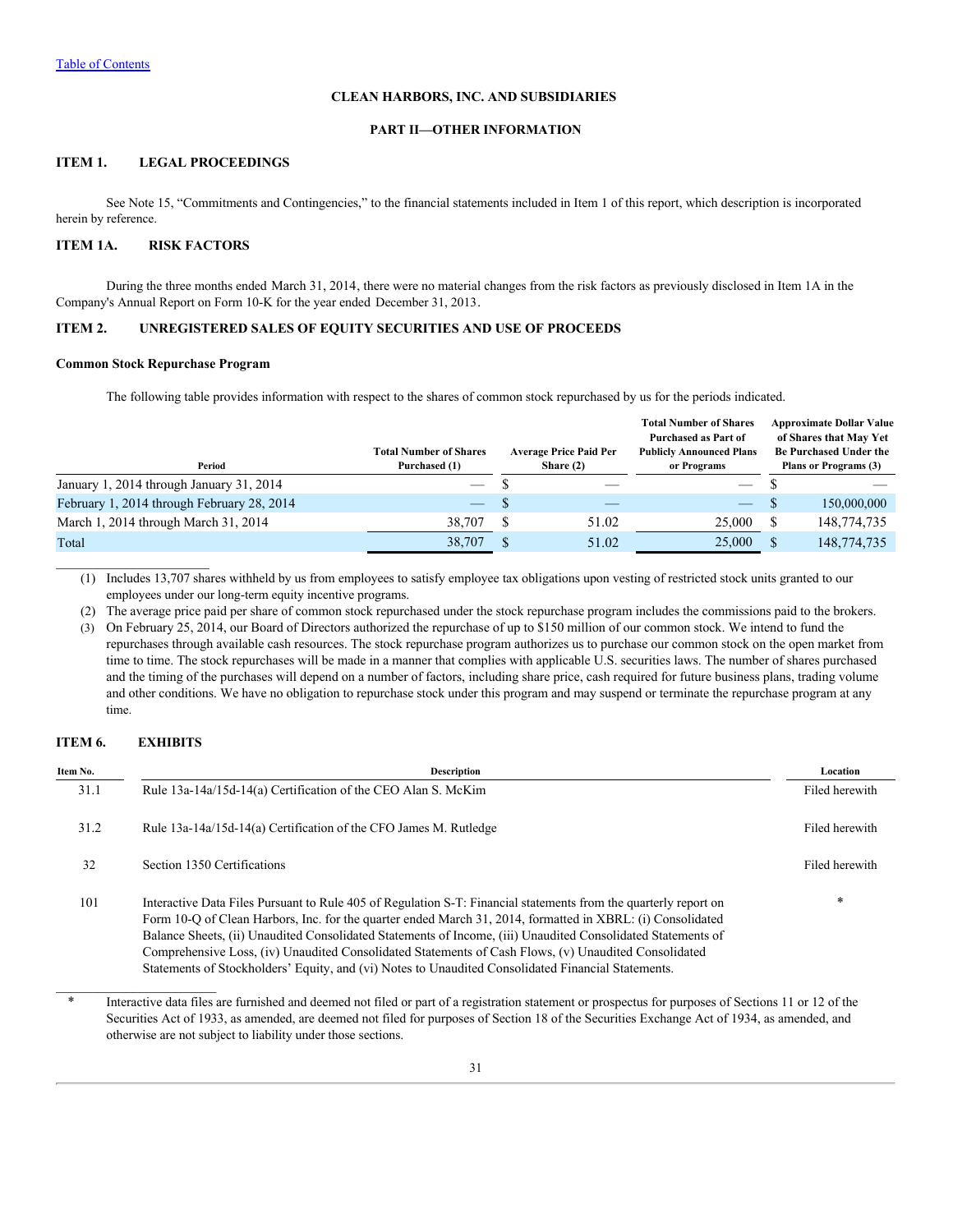### **PART II—OTHER INFORMATION**

## <span id="page-34-0"></span>**ITEM 1. LEGAL PROCEEDINGS**

See Note 15, "Commitments and Contingencies," to the financial statements included in Item 1 of this report, which description is incorporated herein by reference.

#### **ITEM 1A. RISK FACTORS**

During the three months ended March 31, 2014, there were no material changes from the risk factors as previously disclosed in Item 1A in the Company's Annual Report on Form 10-K for the year ended December 31, 2013.

#### **ITEM 2. UNREGISTERED SALES OF EQUITY SECURITIES AND USE OF PROCEEDS**

#### **Common Stock Repurchase Program**

The following table provides information with respect to the shares of common stock repurchased by us for the periods indicated.

| Period                                     | <b>Total Number of Shares</b><br>Purchased (1) | <b>Average Price Paid Per</b><br>Share $(2)$ | <b>Total Number of Shares</b><br>Purchased as Part of<br><b>Publicly Announced Plans</b><br>or Programs | <b>Approximate Dollar Value</b><br>of Shares that May Yet<br><b>Be Purchased Under the</b><br>Plans or Programs (3) |             |
|--------------------------------------------|------------------------------------------------|----------------------------------------------|---------------------------------------------------------------------------------------------------------|---------------------------------------------------------------------------------------------------------------------|-------------|
| January 1, 2014 through January 31, 2014   |                                                |                                              |                                                                                                         |                                                                                                                     |             |
| February 1, 2014 through February 28, 2014 |                                                |                                              | $\overline{\phantom{0}}$                                                                                |                                                                                                                     | 150,000,000 |
| March 1, 2014 through March 31, 2014       | 38,707                                         | 51.02                                        | 25,000                                                                                                  |                                                                                                                     | 148,774,735 |
| Total                                      | 38,707                                         | 51.02                                        | 25,000                                                                                                  |                                                                                                                     | 148,774,735 |

(1) Includes 13,707 shares withheld by us from employees to satisfy employee tax obligations upon vesting of restricted stock units granted to our employees under our long-term equity incentive programs.

(2) The average price paid per share of common stock repurchased under the stock repurchase program includes the commissions paid to the brokers.

(3) On February 25, 2014, our Board of Directors authorized the repurchase of up to \$150 million of our common stock. We intend to fund the repurchases through available cash resources. The stock repurchase program authorizes us to purchase our common stock on the open market from time to time. The stock repurchases will be made in a manner that complies with applicable U.S. securities laws. The number of shares purchased and the timing of the purchases will depend on a number of factors, including share price, cash required for future business plans, trading volume and other conditions. We have no obligation to repurchase stock under this program and may suspend or terminate the repurchase program at any time.

#### **ITEM 6. EXHIBITS**

 $\mathcal{L}_\text{max}$ 

| Item No. | <b>Description</b>                                                                                                                                                                                                                                                                                                                                                                                                                                                                                                                                           | Location       |
|----------|--------------------------------------------------------------------------------------------------------------------------------------------------------------------------------------------------------------------------------------------------------------------------------------------------------------------------------------------------------------------------------------------------------------------------------------------------------------------------------------------------------------------------------------------------------------|----------------|
| 31.1     | Rule 13a-14a/15d-14(a) Certification of the CEO Alan S. McKim                                                                                                                                                                                                                                                                                                                                                                                                                                                                                                | Filed herewith |
| 31.2     | Rule 13a-14a/15d-14(a) Certification of the CFO James M. Rutledge                                                                                                                                                                                                                                                                                                                                                                                                                                                                                            | Filed herewith |
| 32       | Section 1350 Certifications                                                                                                                                                                                                                                                                                                                                                                                                                                                                                                                                  | Filed herewith |
| 101      | Interactive Data Files Pursuant to Rule 405 of Regulation S-T: Financial statements from the quarterly report on<br>Form 10-Q of Clean Harbors, Inc. for the quarter ended March 31, 2014, formatted in XBRL: (i) Consolidated<br>Balance Sheets, (ii) Unaudited Consolidated Statements of Income, (iii) Unaudited Consolidated Statements of<br>Comprehensive Loss, (iv) Unaudited Consolidated Statements of Cash Flows, (v) Unaudited Consolidated<br>Statements of Stockholders' Equity, and (vi) Notes to Unaudited Consolidated Financial Statements. | *              |

Interactive data files are furnished and deemed not filed or part of a registration statement or prospectus for purposes of Sections 11 or 12 of the Securities Act of 1933, as amended, are deemed not filed for purposes of Section 18 of the Securities Exchange Act of 1934, as amended, and otherwise are not subject to liability under those sections.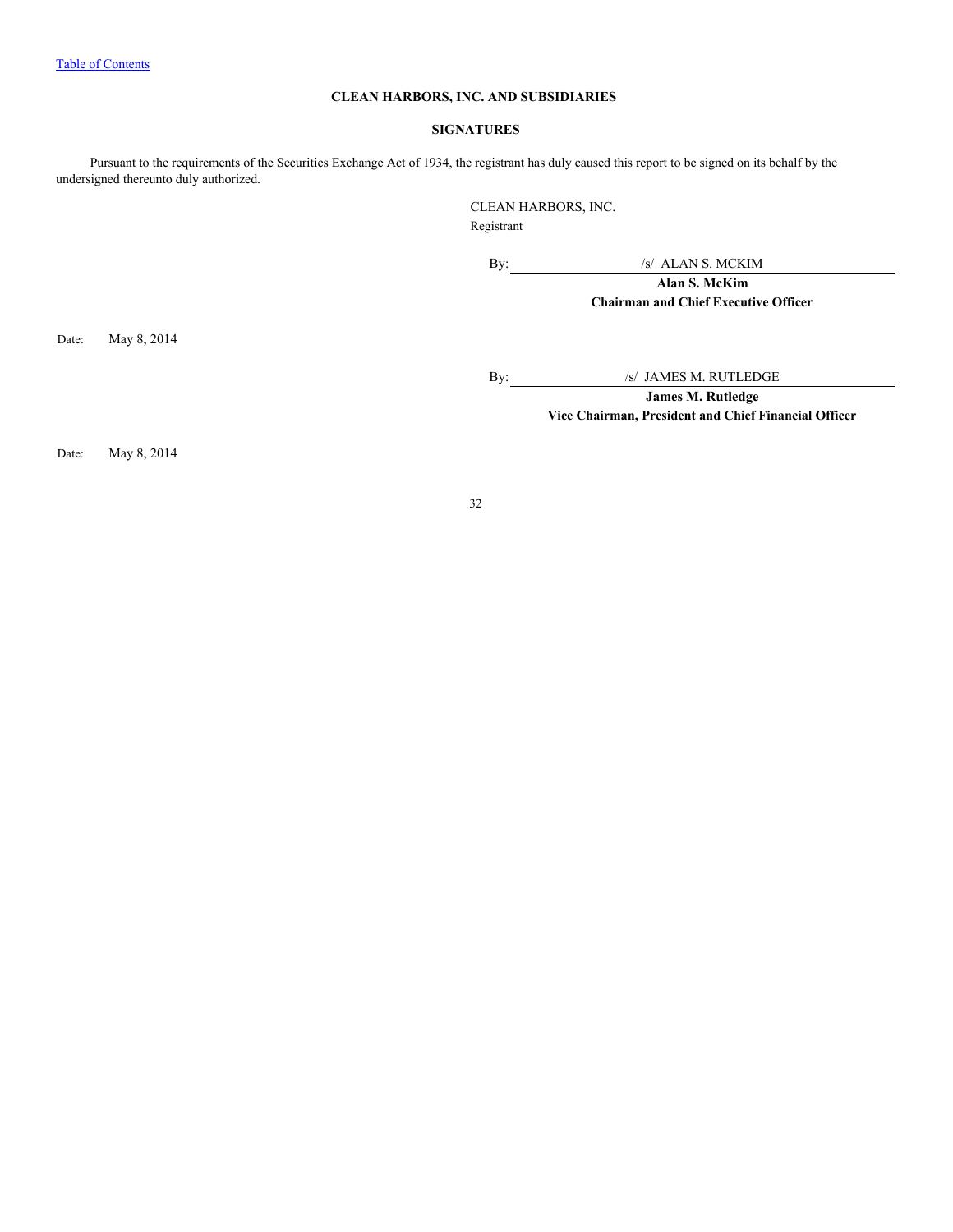## **SIGNATURES**

Pursuant to the requirements of the Securities Exchange Act of 1934, the registrant has duly caused this report to be signed on its behalf by the undersigned thereunto duly authorized.

> CLEAN HARBORS, INC. Registrant

> > By: /s/ ALAN S. MCKIM

**Alan S. McKim Chairman and Chief Executive Officer**

Date: May 8, 2014

By: /s/ JAMES M. RUTLEDGE

**James M. Rutledge Vice Chairman, President and Chief Financial Officer**

Date: May 8, 2014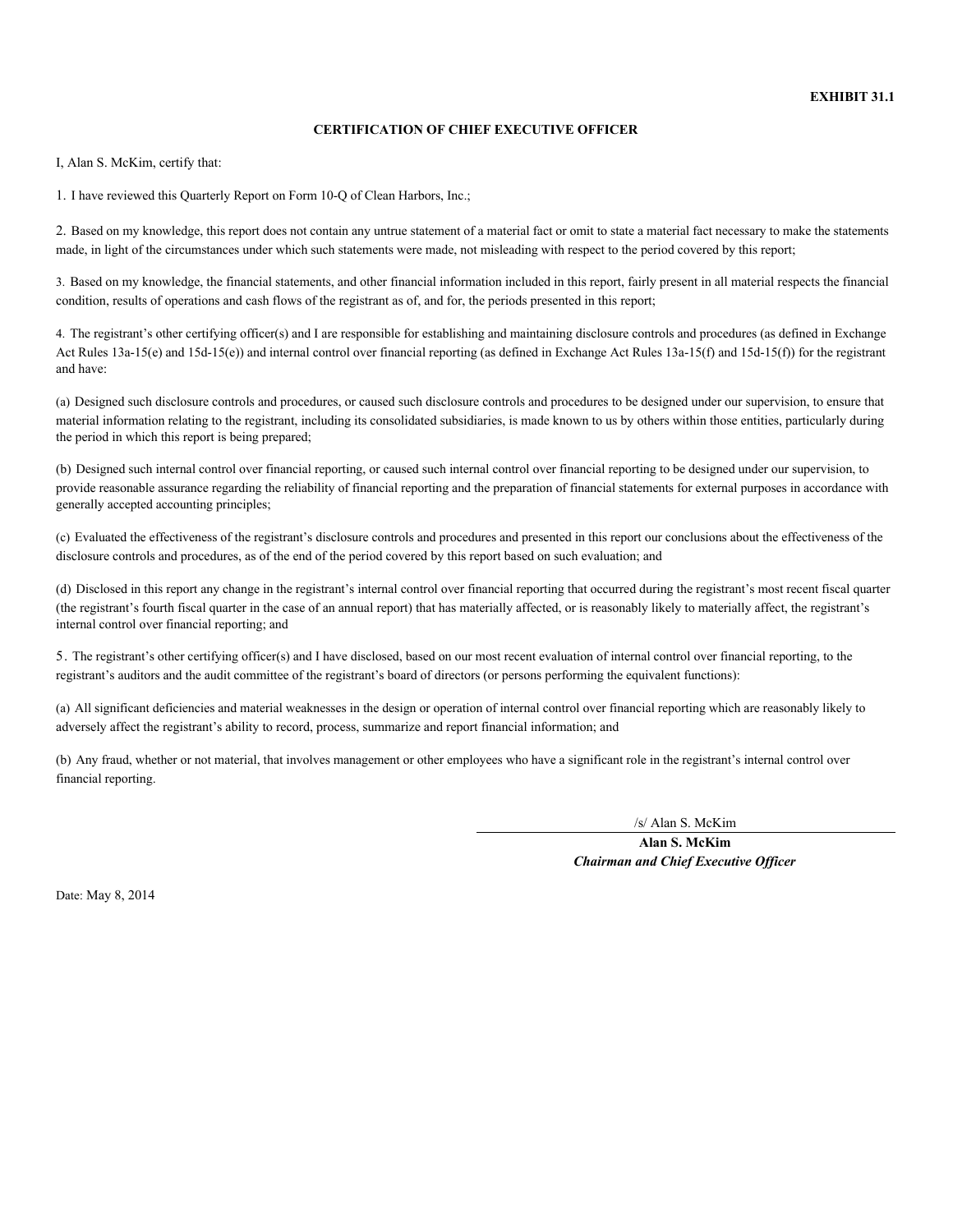## **CERTIFICATION OF CHIEF EXECUTIVE OFFICER**

I, Alan S. McKim, certify that:

1. I have reviewed this Quarterly Report on Form 10-Q of Clean Harbors, Inc.;

2. Based on my knowledge, this report does not contain any untrue statement of a material fact or omit to state a material fact necessary to make the statements made, in light of the circumstances under which such statements were made, not misleading with respect to the period covered by this report;

3. Based on my knowledge, the financial statements, and other financial information included in this report, fairly present in all material respects the financial condition, results of operations and cash flows of the registrant as of, and for, the periods presented in this report;

4. The registrant's other certifying officer(s) and I are responsible for establishing and maintaining disclosure controls and procedures (as defined in Exchange Act Rules 13a-15(e) and 15d-15(e)) and internal control over financial reporting (as defined in Exchange Act Rules 13a-15(f) and 15d-15(f)) for the registrant and have:

(a) Designed such disclosure controls and procedures, or caused such disclosure controls and procedures to be designed under our supervision, to ensure that material information relating to the registrant, including its consolidated subsidiaries, is made known to us by others within those entities, particularly during the period in which this report is being prepared;

(b) Designed such internal control over financial reporting, or caused such internal control over financial reporting to be designed under our supervision, to provide reasonable assurance regarding the reliability of financial reporting and the preparation of financial statements for external purposes in accordance with generally accepted accounting principles;

(c) Evaluated the effectiveness of the registrant's disclosure controls and procedures and presented in this report our conclusions about the effectiveness of the disclosure controls and procedures, as of the end of the period covered by this report based on such evaluation; and

(d) Disclosed in this report any change in the registrant's internal control over financial reporting that occurred during the registrant's most recent fiscal quarter (the registrant's fourth fiscal quarter in the case of an annual report) that has materially affected, or is reasonably likely to materially affect, the registrant's internal control over financial reporting; and

5. The registrant's other certifying officer(s) and I have disclosed, based on our most recent evaluation of internal control over financial reporting, to the registrant's auditors and the audit committee of the registrant's board of directors (or persons performing the equivalent functions):

(a) All significant deficiencies and material weaknesses in the design or operation of internal control over financial reporting which are reasonably likely to adversely affect the registrant's ability to record, process, summarize and report financial information; and

(b) Any fraud, whether or not material, that involves management or other employees who have a significant role in the registrant's internal control over financial reporting.

/s/ Alan S. McKim

**Alan S. McKim** *Chairman and Chief Executive Officer*

Date: May 8, 2014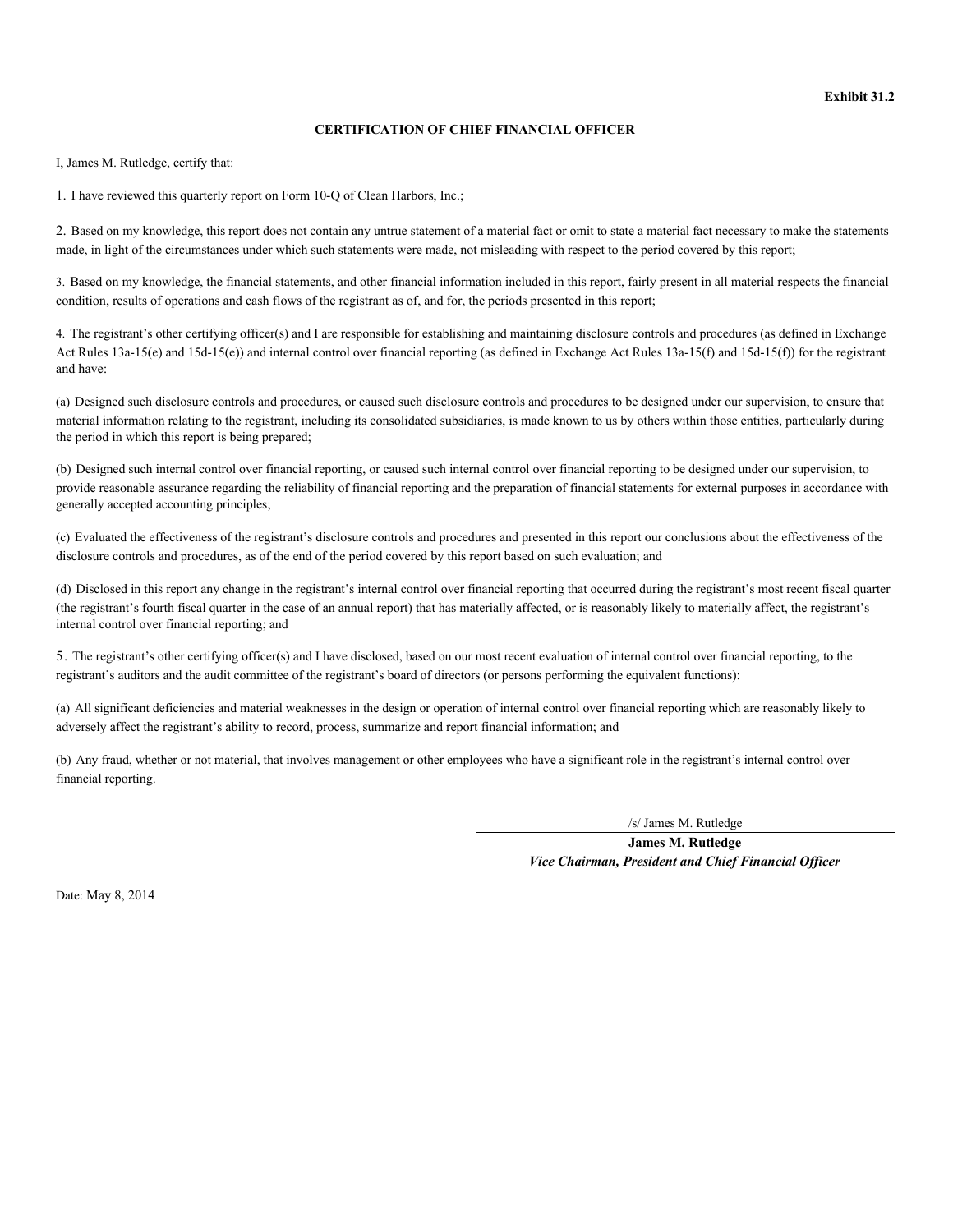## **CERTIFICATION OF CHIEF FINANCIAL OFFICER**

I, James M. Rutledge, certify that:

1. I have reviewed this quarterly report on Form 10-Q of Clean Harbors, Inc.;

2. Based on my knowledge, this report does not contain any untrue statement of a material fact or omit to state a material fact necessary to make the statements made, in light of the circumstances under which such statements were made, not misleading with respect to the period covered by this report;

3. Based on my knowledge, the financial statements, and other financial information included in this report, fairly present in all material respects the financial condition, results of operations and cash flows of the registrant as of, and for, the periods presented in this report;

4. The registrant's other certifying officer(s) and I are responsible for establishing and maintaining disclosure controls and procedures (as defined in Exchange Act Rules 13a-15(e) and 15d-15(e)) and internal control over financial reporting (as defined in Exchange Act Rules 13a-15(f) and 15d-15(f)) for the registrant and have:

(a) Designed such disclosure controls and procedures, or caused such disclosure controls and procedures to be designed under our supervision, to ensure that material information relating to the registrant, including its consolidated subsidiaries, is made known to us by others within those entities, particularly during the period in which this report is being prepared;

(b) Designed such internal control over financial reporting, or caused such internal control over financial reporting to be designed under our supervision, to provide reasonable assurance regarding the reliability of financial reporting and the preparation of financial statements for external purposes in accordance with generally accepted accounting principles;

(c) Evaluated the effectiveness of the registrant's disclosure controls and procedures and presented in this report our conclusions about the effectiveness of the disclosure controls and procedures, as of the end of the period covered by this report based on such evaluation; and

(d) Disclosed in this report any change in the registrant's internal control over financial reporting that occurred during the registrant's most recent fiscal quarter (the registrant's fourth fiscal quarter in the case of an annual report) that has materially affected, or is reasonably likely to materially affect, the registrant's internal control over financial reporting; and

5. The registrant's other certifying officer(s) and I have disclosed, based on our most recent evaluation of internal control over financial reporting, to the registrant's auditors and the audit committee of the registrant's board of directors (or persons performing the equivalent functions):

(a) All significant deficiencies and material weaknesses in the design or operation of internal control over financial reporting which are reasonably likely to adversely affect the registrant's ability to record, process, summarize and report financial information; and

(b) Any fraud, whether or not material, that involves management or other employees who have a significant role in the registrant's internal control over financial reporting.

/s/ James M. Rutledge

**James M. Rutledge** *Vice Chairman, President and Chief Financial Officer*

Date: May 8, 2014